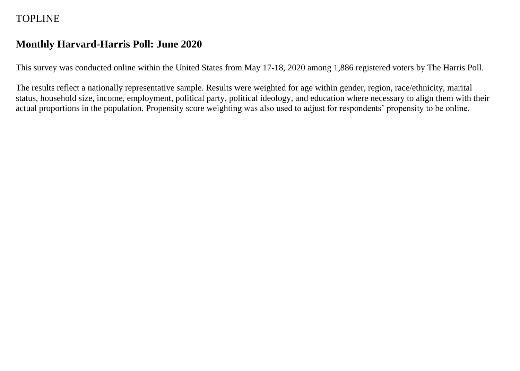## TOPLINE

# **Monthly Harvard-Harris Poll: June 2020**

This survey was conducted online within the United States from May 17-18, 2020 among 1,886 registered voters by The Harris Poll.

The results reflect a nationally representative sample. Results were weighted for age within gender, region, race/ethnicity, marital status, household size, income, employment, political party, political ideology, and education where necessary to align them with their actual proportions in the population. Propensity score weighting was also used to adjust for respondents' propensity to be online.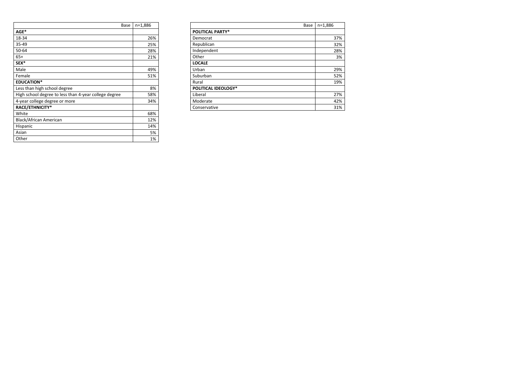| Base                                                  | n=1,886 | Base                       | $n=1,886$ |
|-------------------------------------------------------|---------|----------------------------|-----------|
| $AGE*$                                                |         | <b>POLITICAL PARTY*</b>    |           |
| 18-34                                                 | 26%     | Democrat                   | 37%       |
| 35-49                                                 | 25%     | Republican                 | 32%       |
| 50-64                                                 | 28%     | Independent                | 28%       |
| 65+                                                   | 21%     | Other                      | 3%        |
| SEX*                                                  |         | <b>LOCALE</b>              |           |
| Male                                                  | 49%     | Urban                      | 29%       |
| Female                                                | 51%     | Suburban                   | 52%       |
| <b>EDUCATION*</b>                                     |         | Rural                      | 19%       |
| Less than high school degree                          | 8%      | <b>POLITICAL IDEOLOGY*</b> |           |
| High school degree to less than 4-year college degree | 58%     | Liberal                    | 27%       |
| 4-year college degree or more                         | 34%     | Moderate                   | 42%       |
| RACE/ETHNICITY*                                       |         | Conservative               | 31%       |
|                                                       |         |                            |           |

| Base                                                  | $n=1,886$ |                            |
|-------------------------------------------------------|-----------|----------------------------|
| AGE*                                                  |           | <b>POLITICAL PARTY*</b>    |
| 18-34                                                 | 26%       | Democrat                   |
| 35-49                                                 | 25%       | Republican                 |
| 50-64                                                 | 28%       | Independent                |
| $65+$                                                 | 21%       | Other                      |
| SEX*                                                  |           | <b>LOCALE</b>              |
| Male                                                  | 49%       | Urban                      |
| Female                                                | 51%       | Suburban                   |
| <b>EDUCATION*</b>                                     |           | Rural                      |
| Less than high school degree                          | 8%        | <b>POLITICAL IDEOLOGY*</b> |
| High school degree to less than 4-year college degree | 58%       | Liberal                    |
| 4-year college degree or more                         | 34%       | Moderate                   |
| RACE/ETHNICITY*                                       |           | Conservative               |
| White                                                 | 68%       |                            |
| <b>Black/African American</b>                         | 12%       |                            |
| Hispanic                                              | 14%       |                            |
| Asian                                                 | 5%        |                            |
| Other                                                 | 1%        |                            |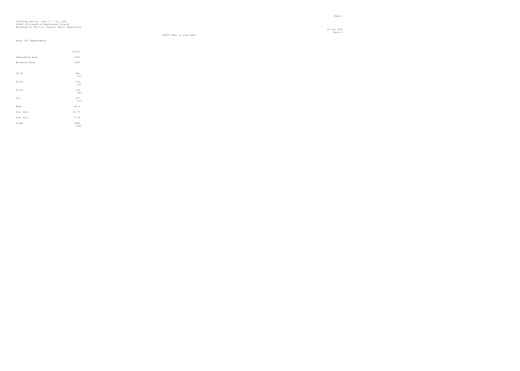Q4007 What is your age?

|                 | Total        |
|-----------------|--------------|
| Unweighted Base | 1886         |
| Weighted Base   | 1886         |
|                 |              |
| $18 - 34$       | 486<br>26%   |
| $35 - 49$       | 475<br>25%   |
| $50 - 64$       | 528<br>28%   |
| $65+$           | 397<br>21%   |
| Mean            | 48.4         |
| Std. Dev.       | 16.77        |
| Std. Err.       | 0.39         |
| Sigma           | 1886<br>100% |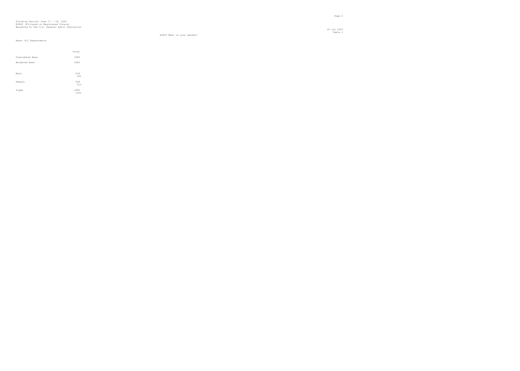Q4005 What is your gender?

| Total        |
|--------------|
| 1886         |
| 1886         |
|              |
| 918<br>49%   |
|              |
| 968<br>51%   |
|              |
| 1886<br>100% |
|              |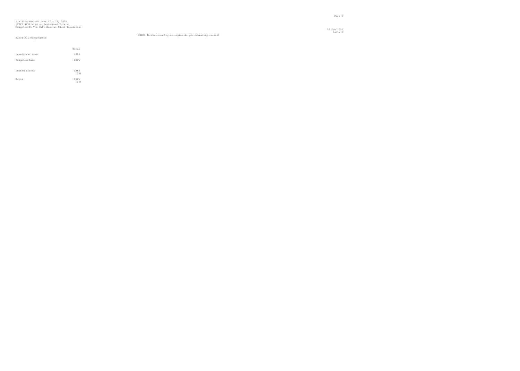#### Q2109 In what country or region do you currently reside?

|                 | Total        |
|-----------------|--------------|
| Unweighted Base | 1886         |
| Weighted Base   | 1886         |
| United States   | 1886         |
|                 | 100%         |
| Sigma           | 1886<br>100% |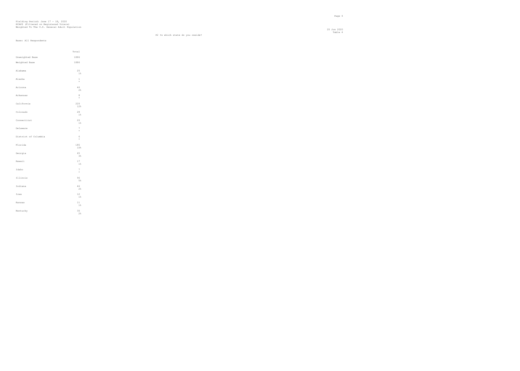Total Unweighted Base 1886 Weighted Base 1886 Alabama  $\begin{array}{c} 2\,5 \\ 1\, \text{\textdegree}\end{array}$ Alaska  $\frac{1}{\star}$  \* Arizona  $\begin{array}{c} 46 \\ 28 \end{array}$ Arkansas  $\begin{array}{ccc} 8 \\ \star \end{array}$  $\star$ California  $^{220}_{12\%}$  $\text{Colorado}$  $28 \atop 1\%$ Connecticut  $\begin{array}{c} 20 \\ 1\% \end{array}$ Delaware  $\frac{7}{100}$  \* District of Columbia 6  $\star$ Florida  $\begin{array}{c} 185 \\ 10\% \end{array}$ Georgia 65<br>3% а в село в село во село во село во село во село во 1988 година, како е од 1988 година, како е од 198 Hawaii 17  $\begin{array}{c} 17 \\ 1\% \end{array}$ Idaho  $\frac{7}{4}$  \* Illinois 96 the state of the state of the state of the state of the state of the state of the state of the state of the state of the state of the state of the state of the state of the state of the state of the state of the state of t Indiana  $46$ <br> $2%$ Iowa  $\begin{array}{c} 12 \\ 1\% \end{array}$ Kansas  $11 \atop 1\%$ Kentucky  $\begin{array}{c} 30 \\ 2\% \end{array}$ 

S2 In which state do you reside?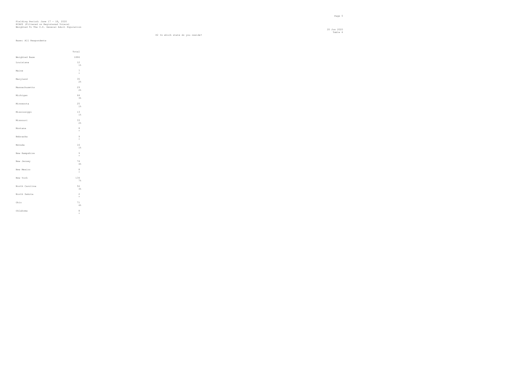S2 In which state do you reside?

Base: All Respondents

 Total Weighted Base 1886 Louisiana  $\begin{array}{c} 12 \\ 1\% \end{array}$ Maine  $\frac{7}{10}$  \* Maryland 35  $\begin{array}{c} 35 \\ 2\% \end{array}$ Massachusetts 29  $\begin{array}{c} 29 \\ 28 \end{array}$ Michigan 64  $\frac{64}{3}$ а в село в село во село во село во село во село во село во село во село во село во село во село во село во сел<br>Во село во село во село во село во село во село во село во село во село во село во село во село во село во сел Minnesota 25  $2\frac{5}{1\%}$ Mississippi 13  $\begin{array}{c} 13 \\ 18 \end{array}$ Missouri 33 **2% в после 2% година в 2% године 2% године 2%** Montana  $\begin{array}{ccc} 8 \\ + \end{array}$  \* Nebraska 9  $\star$ Nevada  $16$ <br> $1%$ 1% and 1% and 1% and 1% and 1% and 1% and 1% and 1% and 1% and 1% and 1% and 1% and 1% and 1% and 1% and 1% and 1% and 1% and 1% and 1% and 1% and 1% and 1% and 1% and 1% and 1% and 1% and 1% and 1% and 1% and 1% and 1% and New Hampshire  $9 +$  $\star$ New Jersey  $\begin{array}{c} 74 \\ 4\% \end{array}$ New Mexico  $8 \times 10^{-10}$  \* New York  $\begin{array}{c} 134 \\ 78 \end{array}$ North Carolina 56  $\begin{array}{c} 56 \\ 3\% \end{array}$ North Dakota  $\frac{2}{\star}$  \* Ohio 71  $\begin{array}{c} 71 \\ 4\, \mathrm{\$} \end{array}$ Oklahoma 8

 $\star$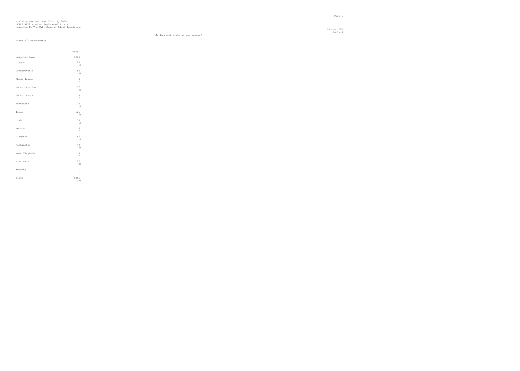Total Weighted Base 1886 Oregon  $\begin{array}{c} 23 \\ 1\% \end{array}$ Pennsylvania 68 **4%** Rhode Island  $\frac{4}{\star}$  \* South Carolina  $\begin{array}{c} 37 \\ 2\% \end{array}$  $\begin{array}{ccc} \text{South Dakota} & \hspace{1.5cm} 3 \\ \star & \end{array}$  $\star$ Tennessee  $30$ <br> $2\%$ **2% в после 2% година в 2% године 2% године 2%**  $T$ exas  $\begin{array}{r} 126 \\ 7\% \end{array}$ Utah 14  $\begin{array}{c} 1\,4 \\ 1\,8 \end{array}$ Vermont  $\frac{3}{4}$  \* Virginia 47  $\begin{array}{c} 47 \\ 28 \end{array}$  $\begin{array}{cccc}\n\text{Washington} & & & 48 \\
\hline\n38 & & & \\
\end{array}$ <u>3% and the state of the state of the state of the state of the state of the state of the state of the state of the state of the state of the state of the state of the state of the state of the state of the state of the st</u> West Virginia 9  $\star$ Wisconsin 32  $\begin{array}{c} 32 \\ 28 \end{array}$ Wyoming  $\frac{1}{\star}$  \* Sigma  $1886$ <br> $100%$ 

 20 Jun 2020 Table 4

S2 In which state do you reside?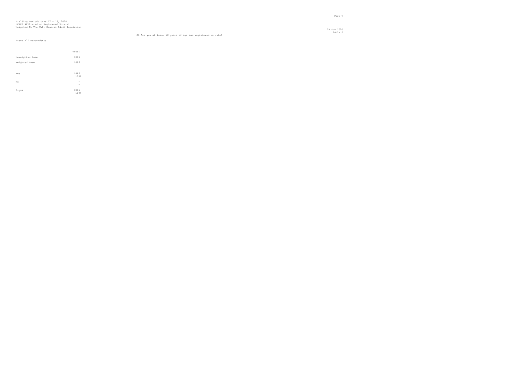#### Table 5 S1 Are you at least 18 years of age and registered to vote?

|                 | Total                    |  |
|-----------------|--------------------------|--|
| Unweighted Base | 1886                     |  |
| Weighted Base   | 1886                     |  |
|                 |                          |  |
| Yes             | 1886<br>100%             |  |
| No              | $\overline{\phantom{a}}$ |  |
|                 | $\overline{\phantom{a}}$ |  |
| Sigma           | 1886<br>100%             |  |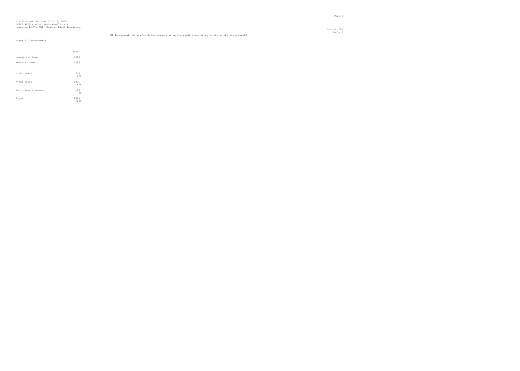20 Jun 2020

|                     | Total        |  |
|---------------------|--------------|--|
| Unweighted Base     | 1886         |  |
| Weighted Base       | 1886         |  |
|                     |              |  |
| Right track         | 505<br>27%   |  |
| Wrong track         | 1211<br>64%  |  |
| Don't know / Unsure | 169<br>$9\%$ |  |
| Sigma               | 1886<br>100% |  |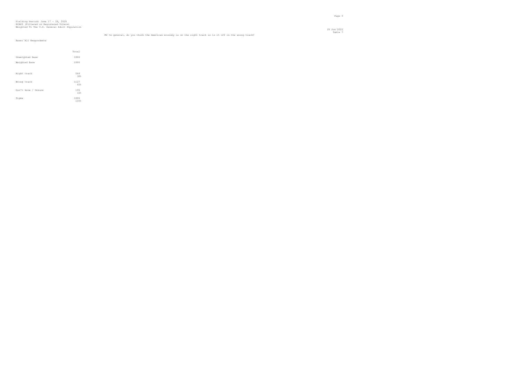|  | M2 In general, do you think the American economy is on the right track or is it off on the wrong track? |  |  |
|--|---------------------------------------------------------------------------------------------------------|--|--|
|--|---------------------------------------------------------------------------------------------------------|--|--|

|                     | Total        |  |
|---------------------|--------------|--|
| Unweighted Base     | 1886         |  |
| Weighted Base       | 1886         |  |
|                     |              |  |
| Right track         | 564<br>30%   |  |
| Wrong track         | 1127<br>60%  |  |
| Don't know / Unsure | 195<br>10%   |  |
| Sigma               | 1886<br>100% |  |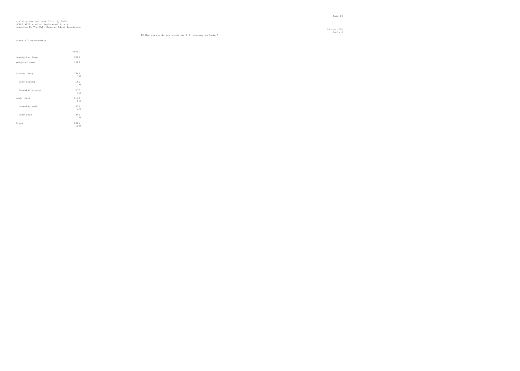20 Jun 2020 Table 8<br>I3 How strong do you think the U.S. economy is today?

Base: All Respondents

|                 | Total        |
|-----------------|--------------|
| Unweighted Base | 1886         |
| Weighted Base   | 1886         |
|                 |              |
| Strong (Net)    | 743<br>39%   |
| Very strong     | 166<br>$9\%$ |
| Somewhat strong | 577<br>31%   |
| Weak (Net)      | 1143<br>61%  |
| Somewhat weak   | 800<br>42%   |
| Very weak       | 342<br>18%   |
| Sigma           | 1886<br>100% |

en de la provincia de la provincia de la provincia de la provincia de la provincia de la provincia de la provi<br>Page 10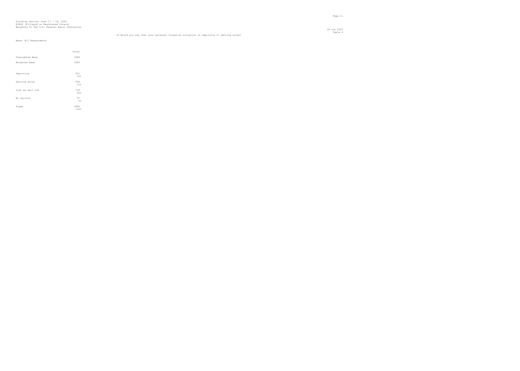### Fielding Period: June 17 - 18, 2020 HCAPS (Filtered on Registered Voters) Weighted To The U.S. General Adult Population

I4 Would you say that your personal financial situation is improving or getting worse?

|                  | Total        |  |
|------------------|--------------|--|
| Unweighted Base  | 1886         |  |
| Weighted Base    | 1886         |  |
|                  |              |  |
| Improving        | 421<br>22%   |  |
| Getting worse    | 586<br>31%   |  |
| Just as well off | 793<br>42%   |  |
| No opinion       | 87<br>5%     |  |
| Sigma            | 1886<br>100% |  |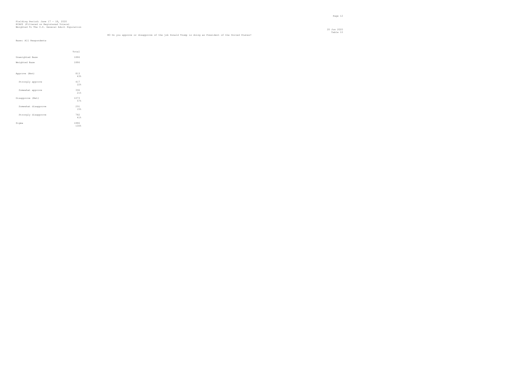Total Unweighted Base 1886 Weighted Base 1886 Approve (Net)  $\begin{array}{c} 813 \\ 43\% \end{array}$ Strongly approve  $^{417}_{22\%}$ Somewhat approve  $396$ <br> $21%$ Disapprove (Net)  $1073$ <br>57% Somewhat disapprove  $\begin{array}{c} 2\,9\,1 \\ 1\,5\, \$ \end{array}$ Strongly disapprove  $782$ <br> $41%$  $Signa$ 1886<br>100%

 20 Jun 2020 Table 10 M3 Do you approve or disapprove of the job Donald Trump is doing as President of the United States?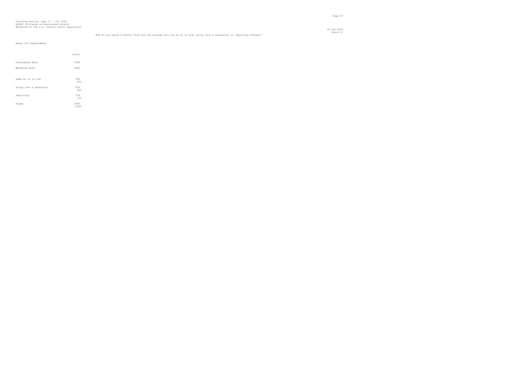|                        | Total        |  |
|------------------------|--------------|--|
| Unweighted Base        | 1886         |  |
| Weighted Base          | 1886         |  |
|                        |              |  |
| Same as it is now      | 386<br>20%   |  |
| Going into a recession | 920<br>49%   |  |
| Improving              | 579<br>31%   |  |
| Sigma                  | 1886<br>100% |  |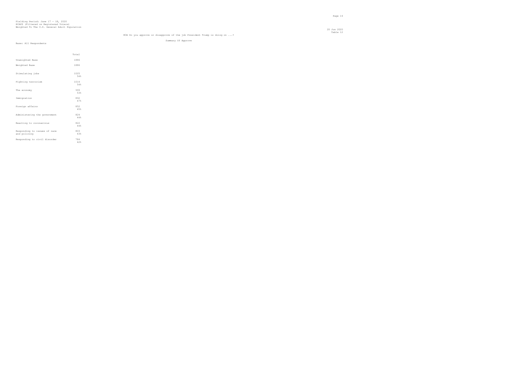#### Table 12 M3A Do you approve or disapprove of the job President Trump is doing on ...?

Summary Of Approve

|                                              | Total       |  |
|----------------------------------------------|-------------|--|
| Unweighted Base                              | 1886        |  |
| Weighted Base                                | 1886        |  |
| Stimulating jobs                             | 1025<br>54% |  |
| Fighting terrorism                           | 1014<br>54% |  |
| The economy                                  | 999<br>53%  |  |
| Immigration                                  | 892<br>47%  |  |
| Foreign affairs                              | 852<br>45%  |  |
| Administering the government                 | 824<br>44%  |  |
| Reacting to coronavirus                      | 822<br>44%  |  |
| Responding to issues of race<br>and policing | 803<br>43%  |  |
| Responding to civil disorder                 | 784<br>42%  |  |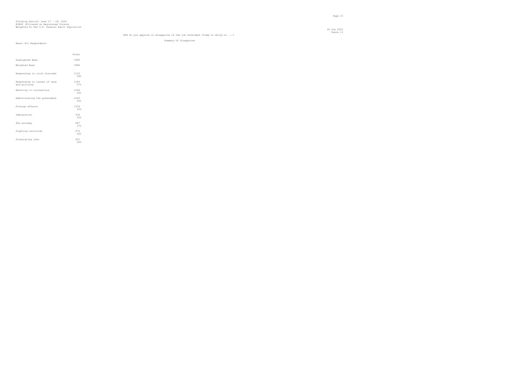#### Table 13 M3A Do you approve or disapprove of the job President Trump is doing on ...?

Summary Of Disapprove

|                                              | Total       |  |
|----------------------------------------------|-------------|--|
| Unweighted Base                              | 1886        |  |
| Weighted Base                                | 1886        |  |
| Responding to civil disorder                 | 1102<br>58% |  |
| Responding to issues of race<br>and policing | 1083<br>57% |  |
| Reacting to coronavirus                      | 1064<br>56% |  |
| Administering the government                 | 1062<br>56% |  |
| Foreign affairs                              | 1034<br>55% |  |
| Immigration                                  | 994<br>53%  |  |
| The economy                                  | 887<br>47%  |  |
| Fighting terrorism                           | 872<br>46%  |  |
| Stimulating jobs                             | 861<br>46%  |  |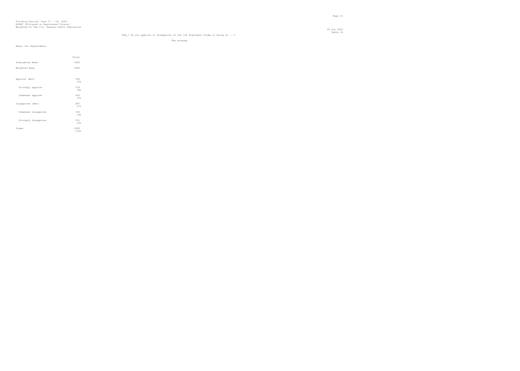en de la provincia de la provincia de la provincia de la provincia de la provincia de la provincia de la provi<br>Page 16

The economy

|                     | Total |
|---------------------|-------|
| Unweighted Base     | 1886  |
| Weighted Base       | 1886  |
|                     |       |
| Approve (Net)       | 999   |
|                     | 53%   |
| Strongly approve    | 536   |
|                     | 28%   |
| Somewhat approve    | 463   |
|                     | 25%   |
| Disapprove (Net)    | 887   |
|                     | 47%   |
| Somewhat disapprove | 336   |
|                     | 18%   |
| Strongly disapprove | 551   |
|                     | 29%   |
| Sigma               | 1886  |
|                     | 100%  |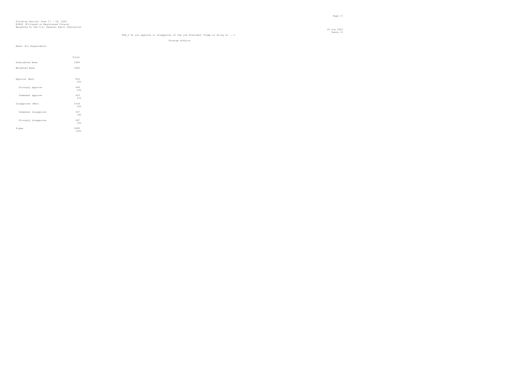#### Table 15 M3A\_2 Do you approve or disapprove of the job President Trump is doing on ...?

Foreign affairs

|                     | Total |
|---------------------|-------|
| Unweighted Base     | 1886  |
| Weighted Base       | 1886  |
|                     |       |
| Approve (Net)       | 852   |
|                     | 4.5%  |
| Strongly approve    | 448   |
|                     | 2.4%  |
| Somewhat approve    | 403   |
|                     | 21%   |
| Disapprove (Net)    | 1034  |
|                     | 55%   |
| Somewhat disapprove | 347   |
|                     | 18%   |
| Strongly disapprove | 687   |
|                     | 36%   |
| Sigma               | 1886  |
|                     | 100%  |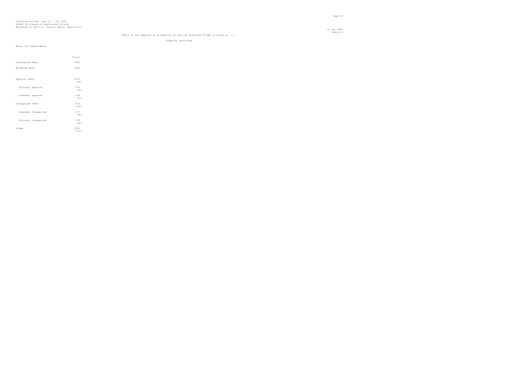#### Table 16 M3A\_3 Do you approve or disapprove of the job President Trump is doing on ...?

Fighting terrorism

|                     | Total |
|---------------------|-------|
| Unweighted Base     | 1886  |
| Weighted Base       | 1886  |
|                     |       |
| Approve (Net)       | 1014  |
|                     | 54%   |
| Strongly approve    | 550   |
|                     | 29%   |
| Somewhat approve    | 464   |
|                     | 25%   |
| Disapprove (Net)    | 872   |
|                     | 46%   |
| Somewhat disapprove | 337   |
|                     | 18%   |
| Strongly disapprove | 535   |
|                     | 28%   |
| Sigma               | 1886  |
|                     | 100%  |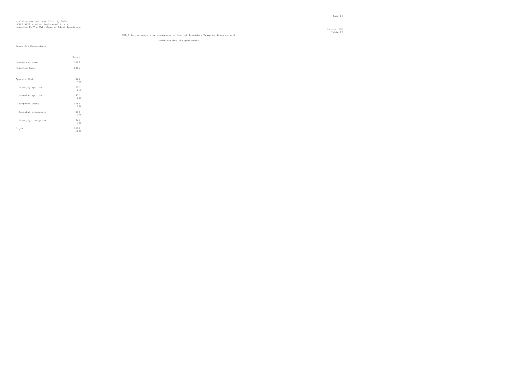#### Table 17 M3A\_4 Do you approve or disapprove of the job President Trump is doing on ...?

Administering the government

|                     | Total |
|---------------------|-------|
| Unweighted Base     | 1886  |
| Weighted Base       | 1886  |
|                     |       |
| Approve (Net)       | 824   |
|                     | 44%   |
| Strongly approve    | 392   |
|                     | 21%   |
| Somewhat approve    | 432   |
|                     | 23%   |
| Disapprove (Net)    | 1062  |
|                     | 56%   |
| Somewhat disapprove | 318   |
|                     | 17%   |
| Strongly disapprove | 745   |
|                     | 39%   |
| Sigma               | 1886  |
|                     | 100%  |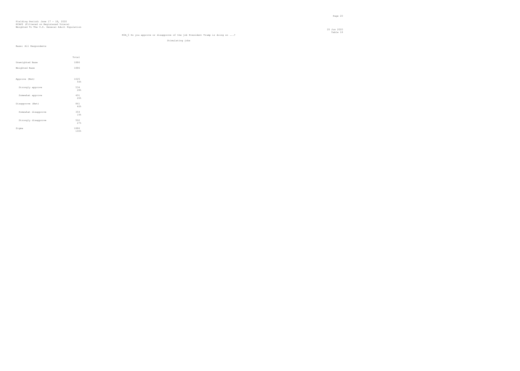#### M3A\_5 Do you approve or disapprove of the job President Trump is doing on ...?<br>M3A\_5 Do you approve or disapprove of the job President Trump is doing on ...?

Stimulating jobs

|                     | Total        |
|---------------------|--------------|
| Unweighted Base     | 1886         |
| Weighted Base       | 1886         |
|                     |              |
| Approve (Net)       | 1025<br>54%  |
| Strongly approve    | 534<br>28%   |
| Somewhat approve    | 491<br>26%   |
| Disapprove (Net)    | 861<br>46%   |
| Somewhat disapprove | 359<br>19%   |
| Strongly disapprove | 502<br>27%   |
| Sigma               | 1886<br>100% |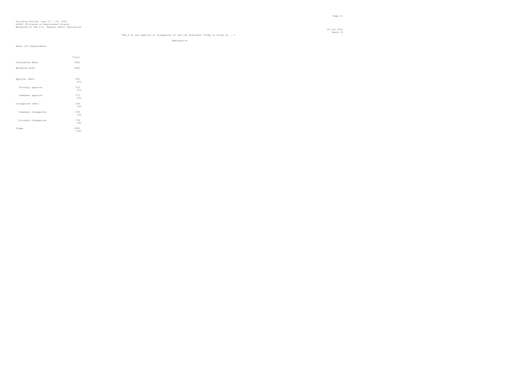#### Table 19 M3A\_6 Do you approve or disapprove of the job President Trump is doing on ...?

Immigration

|                     | Total        |  |
|---------------------|--------------|--|
| Unweighted Base     | 1886         |  |
| Weighted Base       | 1886         |  |
|                     |              |  |
| Approve (Net)       | 892<br>47%   |  |
| Strongly approve    | 515<br>27%   |  |
| Somewhat approve    | 377<br>20%   |  |
| Disapprove (Net)    | 994<br>53%   |  |
| Somewhat disapprove | 284<br>15%   |  |
| Strongly disapprove | 709<br>38%   |  |
| Sigma               | 1886<br>100% |  |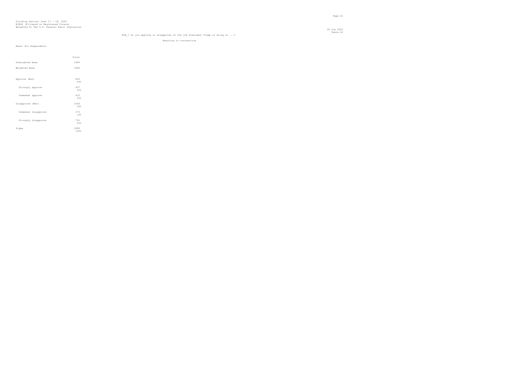#### Table 20 M3A\_7 Do you approve or disapprove of the job President Trump is doing on ...?

Reacting to coronavirus

|                     | Total      |
|---------------------|------------|
| Unweighted Base     | 1886       |
| Weighted Base       | 1886       |
|                     |            |
| Approve (Net)       | 822<br>44% |
|                     |            |
| Strongly approve    | 407        |
|                     | 22%        |
| Somewhat approve    | 415        |
|                     | 22%        |
| Disapprove (Net)    | 1064       |
|                     | 56%        |
| Somewhat disapprove | 273        |
|                     | 14%        |
| Strongly disapprove | 791        |
|                     | 42%        |
| Sigma               | 1886       |
|                     | 100%       |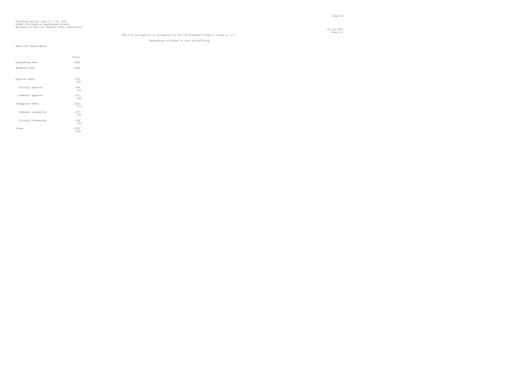#### Table 21 M3A\_8 Do you approve or disapprove of the job President Trump is doing on ...?

Responding to issues of race and policing

|                     | Total |  |
|---------------------|-------|--|
| Unweighted Base     | 1886  |  |
| Weighted Base       | 1886  |  |
|                     |       |  |
| Approve (Net)       | 803   |  |
|                     | 43%   |  |
| Strongly approve    | 386   |  |
|                     | 20%   |  |
| Somewhat approve    | 417   |  |
|                     | 22%   |  |
| Disapprove (Net)    | 1083  |  |
|                     | 57%   |  |
| Somewhat disapprove | 297   |  |
|                     | 16%   |  |
| Strongly disapprove | 786   |  |
|                     | 42%   |  |
| Sigma               | 1886  |  |
|                     | 100%  |  |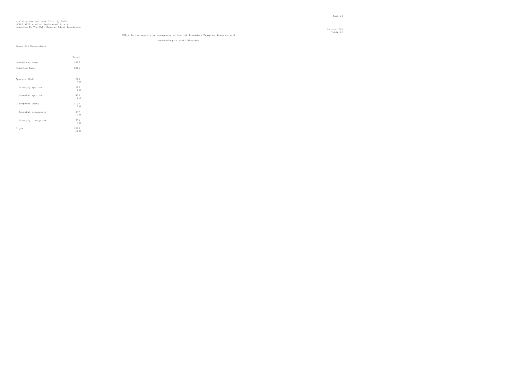#### Table 22 M3A\_9 Do you approve or disapprove of the job President Trump is doing on ...?

Responding to civil disorder

|                     | Total |
|---------------------|-------|
| Unweighted Base     | 1886  |
| Weighted Base       | 1886  |
|                     |       |
| Approve (Net)       | 784   |
|                     | 42%   |
| Strongly approve    | 385   |
|                     | 20%   |
| Somewhat approve    | 400   |
|                     | 21%   |
| Disapprove (Net)    | 1102  |
|                     | 58%   |
| Somewhat disapprove | 347   |
|                     | 18%   |
| Strongly disapprove | 754   |
|                     | 40%   |
| Sigma               | 1886  |
|                     | 100%  |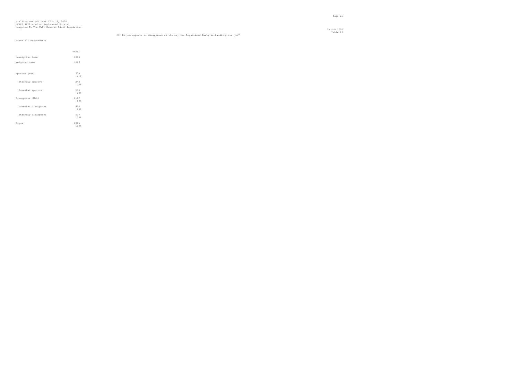20 Jun 2020

#### Table 23 M4 Do you approve or disapprove of the way the Republican Party is handling its job?

|                     | Total        |  |
|---------------------|--------------|--|
| Unweighted Base     | 1886         |  |
| Weighted Base       | 1886         |  |
|                     |              |  |
| Approve (Net)       | 779<br>41%   |  |
| Strongly approve    | 243<br>13%   |  |
| Somewhat approve    | 536<br>28%   |  |
| Disapprove (Net)    | 1107<br>59%  |  |
| Somewhat disapprove | 490<br>26%   |  |
| Strongly disapprove | 617<br>33%   |  |
| Sigma               | 1886<br>100% |  |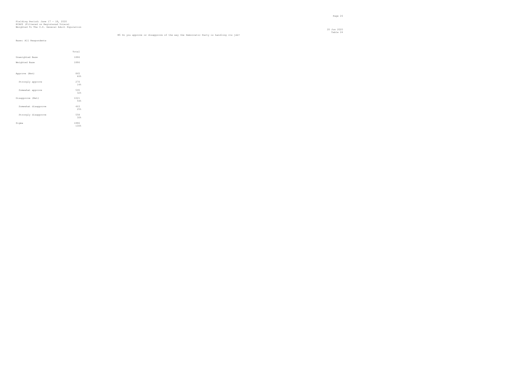#### Table 24 M5 Do you approve or disapprove of the way the Democratic Party is handling its job?

|                     | Total |  |
|---------------------|-------|--|
| Unweighted Base     | 1886  |  |
| Weighted Base       | 1886  |  |
|                     |       |  |
| Approve (Net)       | 865   |  |
|                     | 46%   |  |
| Strongly approve    | 270   |  |
|                     | 14%   |  |
| Somewhat approve    | 595   |  |
|                     | 32%   |  |
| Disapprove (Net)    | 1021  |  |
|                     | 54%   |  |
| Somewhat disapprove | 463   |  |
|                     | 25%   |  |
| Strongly disapprove | 558   |  |
|                     | 30%   |  |
| Sigma               | 1886  |  |
|                     | 100%  |  |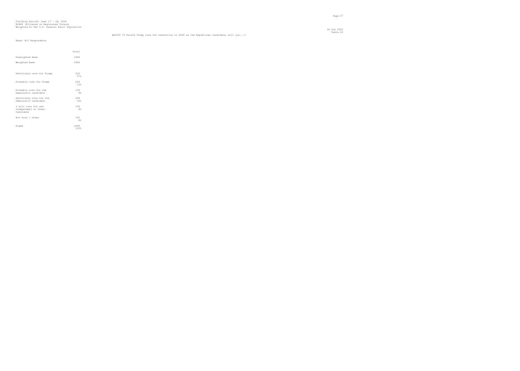|                                                          | Total        |
|----------------------------------------------------------|--------------|
| Unweighted Base                                          | 1886         |
| Weighted Base                                            | 1886         |
|                                                          |              |
| Definitely vote for Trump                                | 502<br>27%   |
| Probably vote for Trump                                  | 244<br>13%   |
| Probably vote for the<br>Democratic candidate            | 154<br>8%    |
| Definitely vote for the<br>Democratic candidate          | 688<br>36%   |
| I will vote for and<br>Independent or Other<br>Candidate | 156<br>8%    |
| Not Sure / Other                                         | 142<br>8%    |
| Sigma                                                    | 1886<br>100% |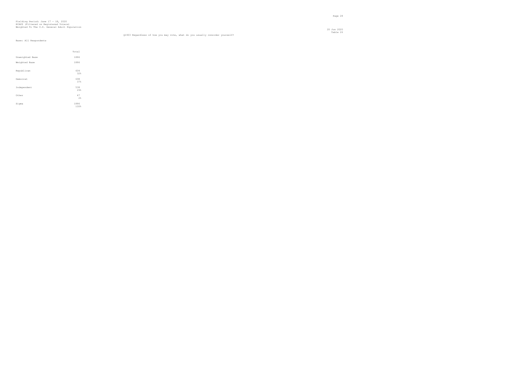20 Jun 2020 Table 26 Q1903 Regardless of how you may vote, what do you usually consider yourself?

|                 | Total |
|-----------------|-------|
| Unweighted Base | 1886  |
| Weighted Base   | 1886  |
|                 |       |
| Republican      | 604   |
|                 | 32%   |
|                 |       |
| Democrat        | 698   |
|                 | 37%   |
|                 |       |
| Independent     | 538   |
|                 | 29%   |
|                 |       |
| Other           | 47    |
|                 | 2%    |
|                 |       |
| Sigma           | 1886  |
|                 | 100%  |
|                 |       |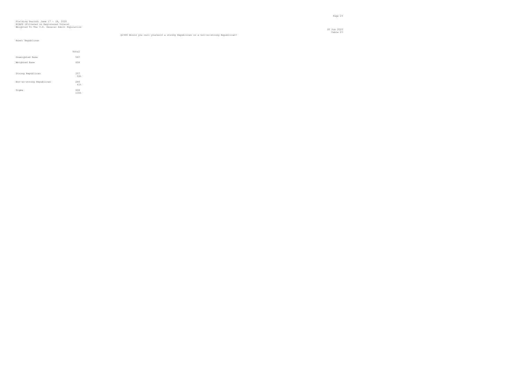20 Jun 2020

#### Table 27 Q1905 Would you call yourself a strong Republican or a not-so-strong Republican?

#### Base: Republican

|                          | Total       |
|--------------------------|-------------|
| Unweighted Base          | 587         |
| Weighted Base            | 604         |
|                          |             |
| Strong Republican        | 357<br>59%  |
| Not-so-strong Republican | 246<br>41%  |
| Sigma                    | 604<br>100% |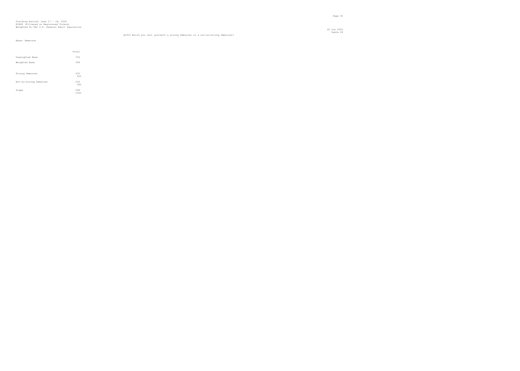#### Table 28 Q1910 Would you call yourself a strong Democrat or a not-so-strong Democrat?

#### Base: Democrat

|                        | Total       |
|------------------------|-------------|
| Unweighted Base        | 706         |
| Weighted Base          | 698         |
|                        |             |
| Strong Democrat        | 432<br>62%  |
| Not-so-strong Democrat | 266<br>38%  |
| Sigma                  | 698<br>100% |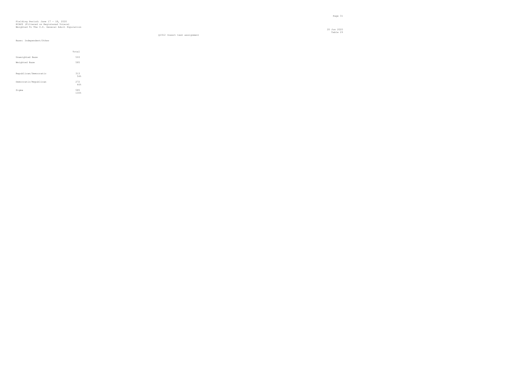Q1912 Insert text assignment

#### Base: Independent/Other

|                       | Total       |
|-----------------------|-------------|
| Unweighted Base       | 593         |
| Weighted Base         | 585         |
| Republican/Democratic | 313<br>54%  |
| Democratic/Republican | 272<br>46%  |
| Sigma                 | 585<br>100% |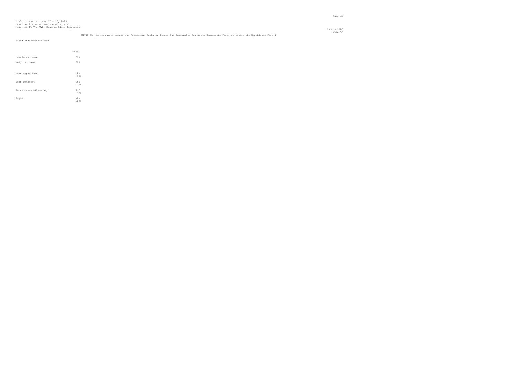$\frac{585}{100\%}$ 

 $Signa$ 

 20 Jun 2020 Table 30 Q1915 Do you lean more toward the Republican Party or toward the Democratic Party/the Democratic Party or toward the Republican Party?

| Base: Independent/Other |            |  |  |
|-------------------------|------------|--|--|
|                         | Total      |  |  |
| Unweighted Base         | 593        |  |  |
| Weighted Base           | 585        |  |  |
|                         |            |  |  |
| Lean Republican         | 152<br>26% |  |  |
| Lean Democrat           | 156<br>27% |  |  |
| Do not lean either way  | 277<br>47% |  |  |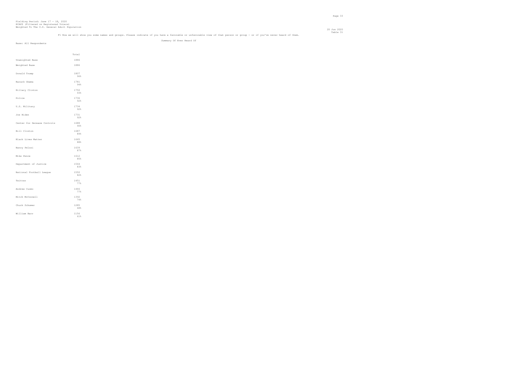#### Table 31 now we will show you some names and groups. Please indicate if you have a favorable or unfavorable view of that person or group - or if you've never heard of them.

20 Jun 2020

Summary Of Ever Heard Of

|                             | Total       |
|-----------------------------|-------------|
| Unweighted Base             | 1886        |
| Weighted Base               | 1886        |
| Donald Trump                | 1807        |
|                             | 96%         |
| Barack Obama                | 1781<br>94% |
| Hillary Clinton             | 1750<br>93% |
| Police                      | 1736<br>92% |
| U.S. Military               | 1734<br>92% |
| Joe Biden                   | 1731<br>92% |
| Center for Decease Controls | 1688<br>90% |
| Bill Clinton                | 1687<br>89% |
| Black Lives Matter          | 1665<br>88% |
| Nancy Pelosi                | 1639<br>87% |
| Mike Pence                  | 1612<br>85% |
| Department of Justice       | 1564<br>83% |
| National Football League    | 1550<br>82% |
| Twitter                     | 1451<br>77% |
| Andrew Cuomo                | 1446<br>77% |
| Mitch McConnell             | 1392<br>74% |
| Chuck Schumer               | 1285<br>68% |
| William Barr                | 1156<br>61% |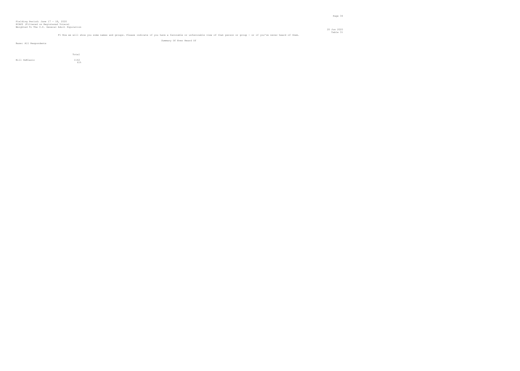#### Table 31 now we will show you some names and groups. Please indicate if you have a favorable or unfavorable view of that person or group - or if you've never heard of them.

20 Jun 2020

Bill DeBlasio

 $\begin{array}{c} 1142 \\ 618 \end{array}$ 

Summary Of Ever Heard Of

Base: All Respondents

Total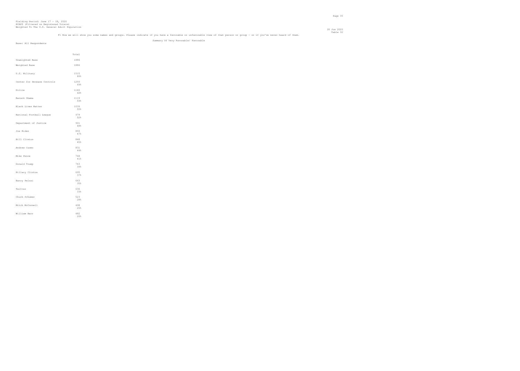#### Table 32<br>Fl Now we will show you some names and groups. Please indicate if you have a favorable or unfavorable view of that person or group - or if you've never heard of them.

Summary Of Very Favorable/ Favorable

|                             | Total       |
|-----------------------------|-------------|
| Unweighted Base             | 1886        |
| Weighted Base               | 1886        |
| U.S. Military               | 1515<br>80% |
| Center for Decease Controls | 1293<br>69% |
| Police                      | 1140<br>60% |
| Barack Obama                | 1119<br>59% |
| Black Lives Matter          | 1039<br>55% |
| National Football League    | 979<br>52%  |
| Department of Justice       | 901<br>48%  |
| Joe Biden                   | 893<br>47%  |
| Bill Clinton                | 848<br>45%  |
| Andrew Cuomo                | 831<br>44%  |
| Mike Pence                  | 768<br>41%  |
| Donald Trump                | 743<br>39%  |
| Hillary Clinton             | 695<br>37%  |
| Nancy Pelosi                | 663<br>35%  |
| Twitter                     | 630<br>33%  |
| Chuck Schumer               | 523<br>28%  |
| Mitch McConnell             | 498<br>26%  |
| William Barr                | 482<br>26%  |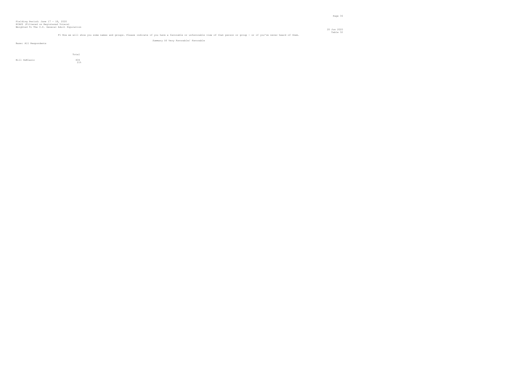# Table 32<br>Fl Now we will show you some names and groups. Please indicate if you have a favorable or unfavorable view of that person or group - or if you've never heard of them.

20 Jun 2020

 Total Bill DeBlasio 404  $\frac{404}{218}$ 

Summary Of Very Favorable/ Favorable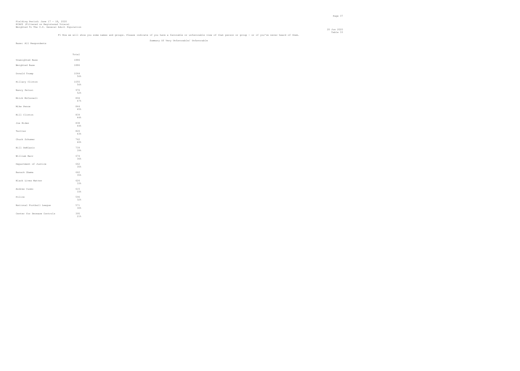#### Table 33<br>F1 Now we will show you some names and groups. Please indicate if you have a favorable or unfavorable view of that person or group - or if you've never heard of them.

20 Jun 2020

Summary Of Very Unfavorable/ Unfavorable

|                             | Total       |  |
|-----------------------------|-------------|--|
| Unweighted Base             | 1886        |  |
| Weighted Base               | 1886        |  |
| Donald Trump                | 1064<br>56% |  |
| Hillary Clinton             | 1055<br>56% |  |
| Nancy Pelosi                | 976<br>52%  |  |
| Mitch McConnell             | 894<br>47%  |  |
| Mike Pence                  | 844<br>45%  |  |
| Bill Clinton                | 839<br>44%  |  |
| Joe Biden                   | 838<br>44%  |  |
| Twitter                     | 820<br>43%  |  |
| Chuck Schumer               | 762<br>40%  |  |
| Bill DeBlasio               | 739<br>39%  |  |
| William Barr                | 674<br>36%  |  |
| Department of Justice       | 662<br>35%  |  |
| Barack Obama                | 662<br>35%  |  |
| Black Lives Matter          | 626<br>33%  |  |
| Andrew Cuomo                | 615<br>33%  |  |
| Police                      | 596<br>32%  |  |
| National Football League    | 571<br>30%  |  |
| Center for Decease Controls | 395<br>21%  |  |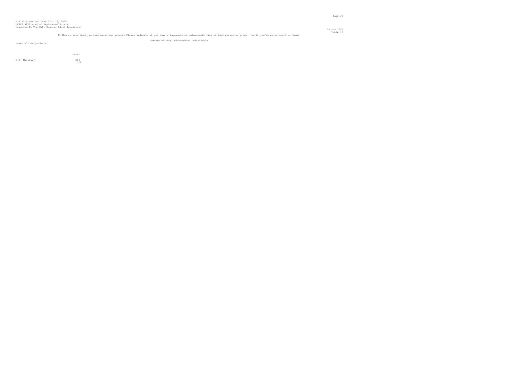# Table 33<br>F1 Now we will show you some names and groups. Please indicate if you have a favorable or unfavorable view of that person or group - or if you've never heard of them.

20 Jun 2020

 Total U.S. Military  $^{219}_{12\%}$ 

Summary Of Very Unfavorable/ Unfavorable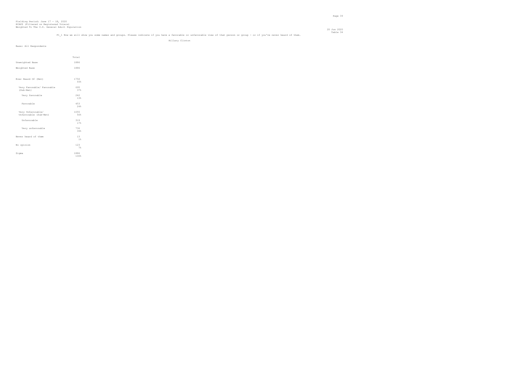## Table 34 m<br>Fl 1 Now we will show you some names and groups. Please indicate if you have a favorable or unfavorable view of that person or group - or if you've never heard of them.

20 Jun 2020

Hillary Clinton

|  |  | Base: All Respondents |
|--|--|-----------------------|
|--|--|-----------------------|

|                                            | Total        |  |
|--------------------------------------------|--------------|--|
| Unweighted Base                            | 1886         |  |
| Weighted Base                              | 1886         |  |
|                                            |              |  |
| Ever Heard Of (Net)                        | 1750<br>93%  |  |
| Very Favorable/ Favorable<br>(Sub-Net)     | 695<br>37%   |  |
| Very favorable                             | 242<br>13%   |  |
| Favorable                                  | 453<br>2.4%  |  |
| Very Unfavorable/<br>Unfavorable (Sub-Net) | 1055<br>56%  |  |
| Unfavorable                                | 319<br>17%   |  |
| Very unfavorable                           | 736<br>39%   |  |
| Never heard of them                        | 13<br>1%     |  |
| No opinion                                 | 123<br>7%    |  |
| Sigma                                      | 1886<br>100% |  |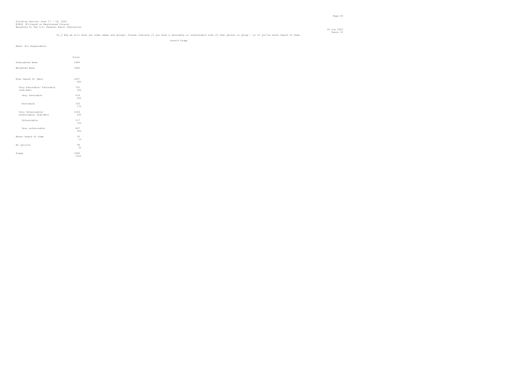# Table 35 Table 35<br>Fl 2 Now we will show you some names and groups. Please indicate if you have a favorable or unfavorable view of that person or group - or if you've never heard of them.

20 Jun 2020

Donald Trump

| Base: All Respondents     |        |
|---------------------------|--------|
|                           |        |
|                           |        |
|                           |        |
|                           | Total  |
|                           |        |
| Unweighted Base           | 1886   |
|                           |        |
| Weighted Base             | 1886   |
|                           |        |
|                           |        |
| Ever Heard Of (Net)       | 1807   |
|                           | 96%    |
|                           |        |
| Very Favorable/ Favorable | 743    |
| (Sub-Net)                 | 39%    |
|                           |        |
| Very favorable            | 414    |
|                           | 22%    |
|                           |        |
| Favorable                 | 330    |
|                           | 17%    |
|                           |        |
| Very Unfavorable/         | 1064   |
| Unfavorable (Sub-Net)     | 56%    |
| Unfavorable               | 217    |
|                           | $12\,$ |
|                           |        |
| Very unfavorable          | 847    |
|                           | 45%    |
|                           |        |
| Never heard of them       | 20     |
|                           | $1\,$  |
|                           |        |
| No opinion                | $5\,8$ |
|                           | 3%     |
| Sigma                     | 1886   |
|                           | 100%   |
|                           |        |
|                           |        |
|                           |        |
|                           |        |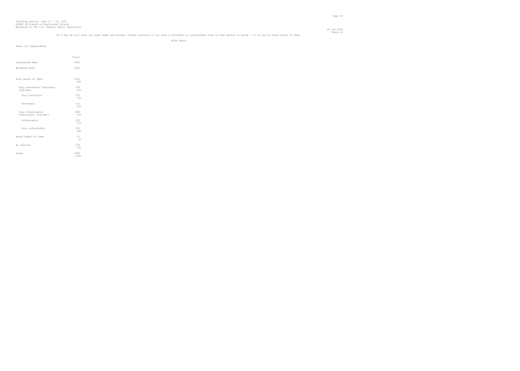## Table 36 Table 36 Table 36 Table 36 Table 36 Table 36 Table 36 Table or unfavorable view of that person or group - or if you've never heard of them.

20 Jun 2020

Mike Pence

| Base: All Respondents     |            |
|---------------------------|------------|
|                           |            |
|                           |            |
|                           | Total      |
|                           |            |
| Unweighted Base           | 1886       |
| Weighted Base             | 1886       |
|                           |            |
|                           |            |
| Ever Heard Of (Net)       | 1612       |
|                           | 85%        |
|                           |            |
| Very Favorable/ Favorable | 768        |
| (Sub-Net)                 | 41%        |
| Very favorable            | 355        |
|                           | 19%        |
|                           |            |
| Favorable                 | 412<br>22% |
|                           |            |
| Very Unfavorable/         | 844        |
| Unfavorable (Sub-Net)     | 45%        |
| Unfavorable               | 319        |
|                           | 17%        |
|                           |            |
| Very unfavorable          | 525        |
|                           | 28%        |
| Never heard of them       | 41         |
|                           | $2\,$      |
|                           |            |
| No opinion                | 232<br>12% |
|                           |            |
| Sigma                     | 1886       |
|                           | 100%       |
|                           |            |
|                           |            |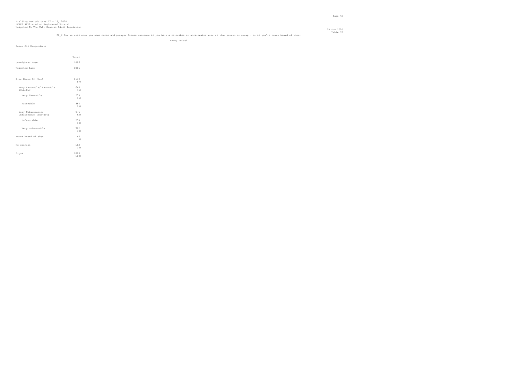## Table 37<br>Fl 9 Now we will show you some names and groups. Please indicate if you have a favorable or unfavorable view of that person or group - or if you've never heard of them.

20 Jun 2020

Nancy Pelosi

| Base: All Respondents                      |            |
|--------------------------------------------|------------|
|                                            |            |
|                                            |            |
|                                            | Total      |
| Unweighted Base                            | 1886       |
| Weighted Base                              | 1886       |
|                                            |            |
| Ever Heard Of (Net)                        | 1639       |
|                                            | 87%        |
| Very Favorable/ Favorable                  | 663        |
| (Sub-Net)                                  | 35%        |
| Very favorable                             | 279<br>15% |
|                                            |            |
| Favorable                                  | 384<br>20% |
|                                            |            |
| Very Unfavorable/<br>Unfavorable (Sub-Net) | 976<br>52% |
|                                            |            |
| Unfavorable                                | 254<br>13% |
|                                            |            |
| Very unfavorable                           | 722<br>38% |
|                                            |            |
| Never heard of them                        | 65<br>3%   |
|                                            | 182        |
| No opinion                                 | 10%        |
|                                            | 1886       |
| Sigma                                      | 100%       |
|                                            |            |
|                                            |            |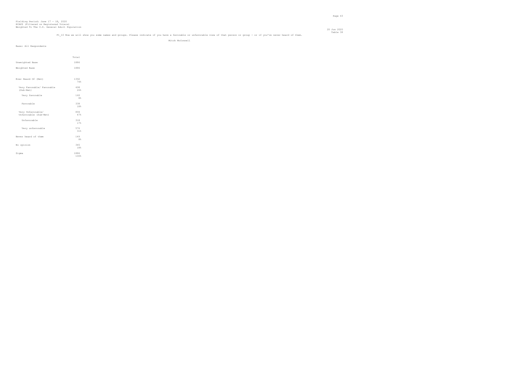# Table 38 Table 38<br>Fl 10 Now we will show you some names and groups. Please indicate if you have a favorable or unfavorable view of that person or group - or if you've never heard of them.

Mitch McConnell

| Base: All Respondents                      |              |  |
|--------------------------------------------|--------------|--|
|                                            | Total        |  |
| Unweighted Base                            | 1886         |  |
| Weighted Base                              | 1886         |  |
|                                            |              |  |
| Ever Heard Of (Net)                        | 1392<br>74%  |  |
| Very Favorable/ Favorable<br>(Sub-Net)     | 498<br>26%   |  |
| Very favorable                             | 160<br>8%    |  |
| Favorable                                  | 338<br>18%   |  |
| Very Unfavorable/<br>Unfavorable (Sub-Net) | 894<br>47%   |  |
| Unfavorable                                | 318<br>17%   |  |
| Very unfavorable                           | 576<br>31%   |  |
| Never heard of them                        | 149<br>8%    |  |
| No opinion                                 | 345<br>18%   |  |
| Sigma                                      | 1886<br>100% |  |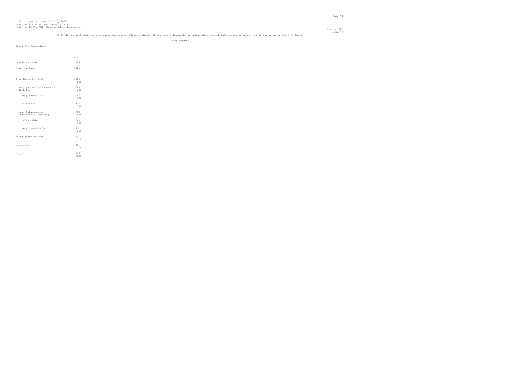# Table 39 Table 39 Table 39 Table 39 Table 39 Table 39 Table or unfavorable or unfavorable view of that person or group - or if you've never heard of them.

Chuck Schumer

| Base: All Respondents     |            |
|---------------------------|------------|
|                           |            |
|                           | Total      |
|                           |            |
| Unweighted Base           | 1886       |
| Weighted Base             | 1886       |
|                           |            |
| Ever Heard Of (Net)       | 1285       |
|                           | 68%        |
| Very Favorable/ Favorable | 523        |
| (Sub-Net)                 | 28%        |
| Very favorable            | 187        |
|                           | 10%        |
| Favorable                 | 336        |
|                           | 18%        |
| Very Unfavorable/         | 762        |
| Unfavorable (Sub-Net)     | 40%        |
| Unfavorable               | 269<br>14% |
|                           |            |
| Very unfavorable          | 492<br>26% |
| Never heard of them       | 211        |
|                           | $11\%$     |
| No opinion                | 391        |
|                           | 21%        |
| Sigma                     | 1886       |
|                           | 100%       |
|                           |            |
|                           |            |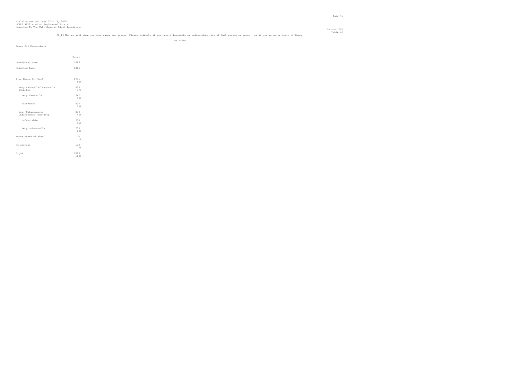#### Table 40 Table 40 Table 40 Table 40 Table 40 Table 40 Table or unfavorable or unfavorable view of that person or group - or if you've never heard of them.

20 Jun 2020

Joe Biden

| Base: All Respondents     |        |
|---------------------------|--------|
|                           |        |
|                           |        |
|                           | Total  |
| Unweighted Base           | 1886   |
| Weighted Base             | 1886   |
|                           |        |
| Ever Heard Of (Net)       | 1731   |
|                           | 92%    |
| Very Favorable/ Favorable | 893    |
| (Sub-Net)                 | 47%    |
| Very favorable            | 362    |
|                           | 19%    |
| Favorable                 | 532    |
|                           | 28%    |
| Very Unfavorable/         | 838    |
| Unfavorable (Sub-Net)     | 44%    |
| Unfavorable               | 303    |
|                           | 16%    |
| Very unfavorable          | 535    |
|                           | 28%    |
| Never heard of them       | $25\,$ |
|                           | $1\,$  |
| No opinion                | 130    |
|                           | 7%     |
| Sigma                     | 1886   |
|                           | 100%   |
|                           |        |
|                           |        |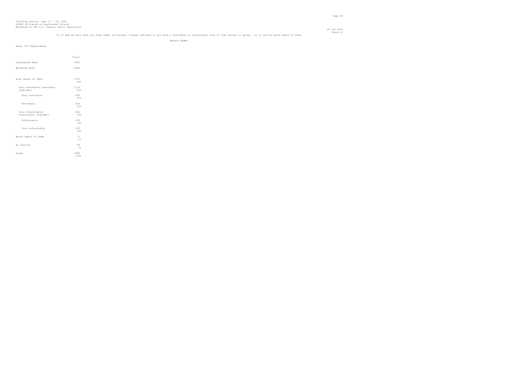## Table 41 Table 41 Table 41 Table 41<br>Fl 37 Now we will show you some names and groups. Please indicate if you have a favorable or unfavorable view of that person or group - or if you've never heard of them.

Barack Obama

| Base: All Respondents                      |              |
|--------------------------------------------|--------------|
|                                            | Total        |
| Unweighted Base                            | 1886         |
| Weighted Base                              | 1886         |
| Ever Heard Of (Net)                        | 1781<br>94%  |
| Very Favorable/ Favorable<br>(Sub-Net)     | 1119<br>59%  |
| Very favorable                             | 699<br>37%   |
| Favorable                                  | 420<br>22%   |
| Very Unfavorable/<br>Unfavorable (Sub-Net) | 662<br>35%   |
| Unfavorable                                | 230<br>12%   |
| Very unfavorable                           | 432<br>23%   |
| Never heard of them                        | 11<br>1%     |
| No opinion                                 | 94<br>5%     |
| Sigma                                      | 1886<br>100% |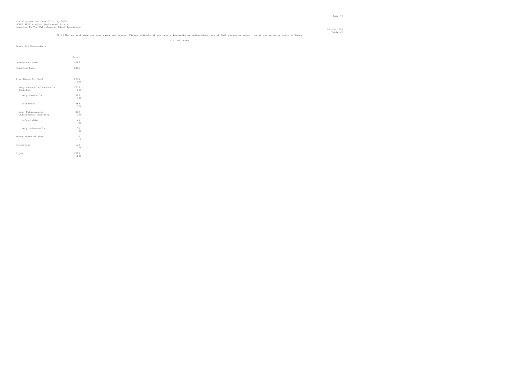# Table 42 Table 42<br>Fl 53 Now we will show you some names and groups. Please indicate if you have a favorable or unfavorable view of that person or group - or if you've never heard of them.

U.S. Military

| Base: All Respondents                  |             |
|----------------------------------------|-------------|
|                                        |             |
|                                        |             |
|                                        | Total       |
|                                        |             |
| Unweighted Base                        | 1886        |
|                                        |             |
| Weighted Base                          | 1886        |
|                                        |             |
|                                        |             |
| Ever Heard Of (Net)                    | 1734        |
|                                        | 92%         |
|                                        |             |
| Very Favorable/ Favorable<br>(Sub-Net) | 1515<br>80% |
|                                        |             |
| Very favorable                         | 825         |
|                                        | 44%         |
|                                        |             |
| Favorable                              | 689<br>37%  |
|                                        |             |
| Very Unfavorable/                      | 219         |
| Unfavorable (Sub-Net)                  | 12%         |
|                                        |             |
| Unfavorable                            | 144         |
|                                        | $8\,$       |
| Very unfavorable                       | 75          |
|                                        | $4\,$       |
|                                        |             |
| Never heard of them                    | 15          |
|                                        | 1%          |
| No opinion                             | 138         |
|                                        | 7%          |
|                                        |             |
| Sigma                                  | 1886        |
|                                        | 100%        |
|                                        |             |
|                                        |             |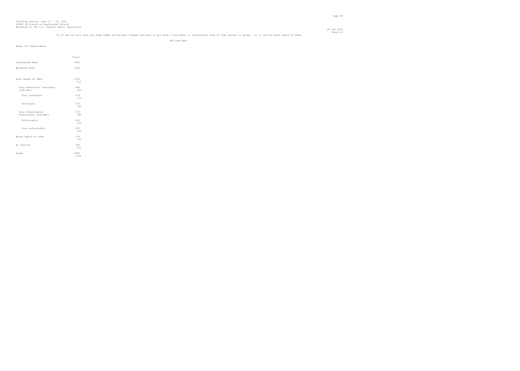# Table 43 and the Viet of the Magnetic or unfavorable or unfavorable view of that person or group - or if you've never heard of them.<br>Fl 67 Now we will show you some names and groups. Please indicate if you have a favorable

William Barr

| Base: All Respondents                      |              |  |
|--------------------------------------------|--------------|--|
|                                            | Total        |  |
| Unweighted Base                            | 1886         |  |
| Weighted Base                              | 1886         |  |
| Ever Heard Of (Net)                        | 1156<br>61%  |  |
| Very Favorable/ Favorable<br>(Sub-Net)     | 482<br>26%   |  |
| Very favorable                             | 210<br>11%   |  |
| Favorable                                  | 272<br>14%   |  |
| Very Unfavorable/<br>Unfavorable (Sub-Net) | 674<br>36%   |  |
| Unfavorable                                | 242<br>13%   |  |
| Very unfavorable                           | 432<br>23%   |  |
| Never heard of them                        | 334<br>18%   |  |
| No opinion                                 | 396<br>21%   |  |
| Sigma                                      | 1886<br>100% |  |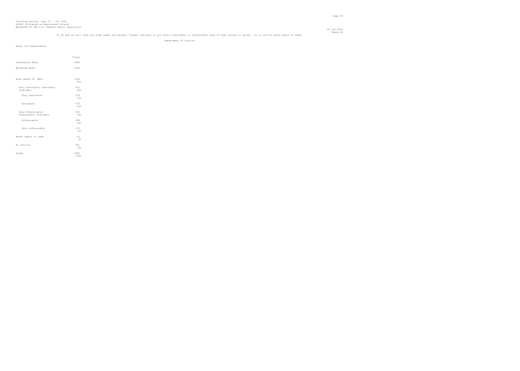## Table 44 Table 44 Table 44 Table 44<br>Fl 68 Now we will show you some names and groups. Please indicate if you have a favorable or unfavorable view of that person or group - or if you've never heard of them.

Department of Justice

|                                            | Total        |  |
|--------------------------------------------|--------------|--|
| Unweighted Base                            | 1886         |  |
| Weighted Base                              | 1886         |  |
|                                            |              |  |
| Ever Heard Of (Net)                        | 1564<br>83%  |  |
| Very Favorable/ Favorable<br>(Sub-Net)     | 901<br>48%   |  |
| Very favorable                             | 230<br>12%   |  |
| Favorable                                  | 672<br>36%   |  |
| Very Unfavorable/<br>Unfavorable (Sub-Net) | 662<br>35%   |  |
| Unfavorable                                | 384<br>20%   |  |
| Very unfavorable                           | 279<br>15%   |  |
| Never heard of them                        | 41<br>2%     |  |
| No opinion                                 | 281<br>15%   |  |
| Sigma                                      | 1886<br>100% |  |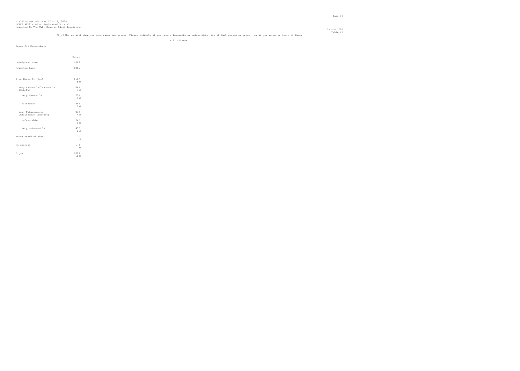# Table 45 m<br>Fl 78 Now we will show you some names and groups. Please indicate if you have a favorable or unfavorable view of that person or group - or if you've never heard of them.

Bill Clinton

| Base: All Respondents                      |              |
|--------------------------------------------|--------------|
|                                            | Total        |
| Unweighted Base                            | 1886         |
| Weighted Base                              | 1886         |
|                                            |              |
| Ever Heard Of (Net)                        | 1687<br>89%  |
| Very Favorable/ Favorable<br>(Sub-Net)     | 848<br>45%   |
| Very favorable                             | 308<br>16%   |
| Favorable                                  | 540<br>29%   |
| Very Unfavorable/<br>Unfavorable (Sub-Net) | 839<br>44%   |
| Unfavorable                                | 362<br>19%   |
| Very unfavorable                           | 477<br>25%   |
| Never heard of them                        | 21<br>1%     |
| No opinion                                 | 178<br>9%    |
| Sigma                                      | 1886<br>100% |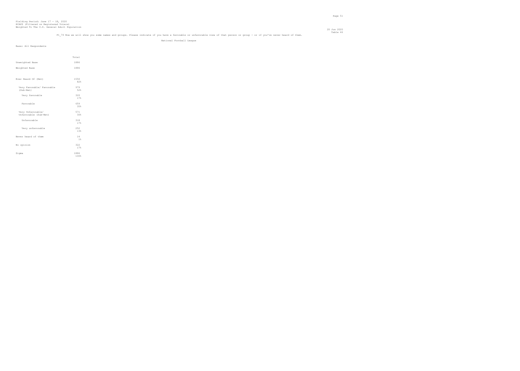## Table 46 Table 46 Table 16 Table 46 Table 46 Table 46 Table or unfavorable or unfavorable view of that person or group - or if you've never heard of them.

National Football League

| Base: All Respondents     |       |
|---------------------------|-------|
|                           |       |
|                           | Total |
| Unweighted Base           | 1886  |
| Weighted Base             | 1886  |
|                           |       |
| Ever Heard Of (Net)       | 1550  |
|                           | 82%   |
| Very Favorable/ Favorable | 979   |
| (Sub-Net)                 | 52%   |
| Very favorable            | 320   |
|                           | 17%   |
| Favorable                 | 659   |
|                           | 35%   |
| Very Unfavorable/         | 571   |
| Unfavorable (Sub-Net)     | 30%   |
| Unfavorable               | 318   |
|                           | 17%   |
| Very unfavorable          | 252   |
|                           | 13%   |
| Never heard of them       | 14    |
|                           | $1\%$ |
| No opinion                | 322   |
|                           | 17%   |
| Sigma                     | 1886  |
|                           | 100%  |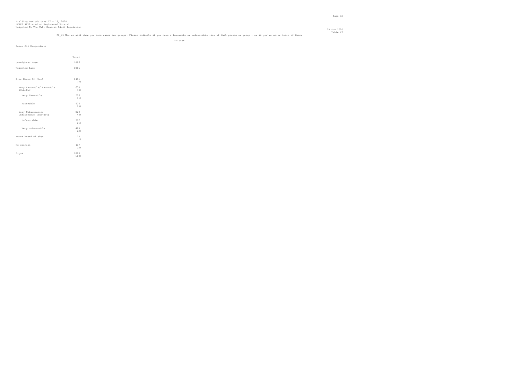#### 20 Jun 2020 Table 47<br>Fl 81 Now we will show you some names and groups. Please indicate if you have a favorable or unfavorable view of that person or group - or if you've never heard of them.

Twitter

| Base: All Respondents                      |              |  |
|--------------------------------------------|--------------|--|
|                                            | Total        |  |
| Unweighted Base                            | 1886         |  |
| Weighted Base                              | 1886         |  |
|                                            |              |  |
| Ever Heard Of (Net)                        | 1451<br>77%  |  |
| Very Favorable/ Favorable<br>(Sub-Net)     | 630<br>33%   |  |
| Very favorable                             | 205<br>11%   |  |
| Favorable                                  | 425<br>23%   |  |
| Very Unfavorable/<br>Unfavorable (Sub-Net) | 820<br>43%   |  |
| Unfavorable                                | 397<br>21%   |  |
| Very unfavorable                           | 424<br>22%   |  |
| Never heard of them                        | 18<br>$1\%$  |  |
| No opinion                                 | 417<br>22%   |  |
| Sigma                                      | 1886<br>100% |  |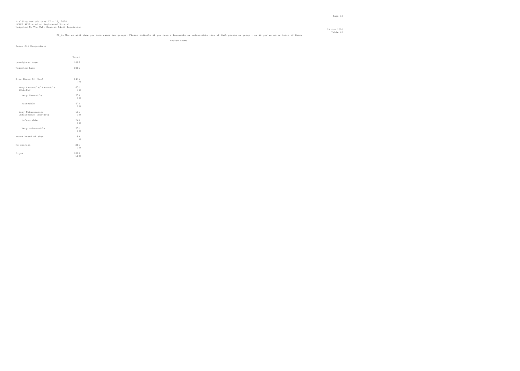# Table 48 Table 48 and the some names and groups. Please indicate if you have a favorable or unfavorable view of that person or group - or if you've never heard of them. Table 48 and them.

Andrew Cuomo

| Base: All Respondents                      |              |
|--------------------------------------------|--------------|
|                                            | Total        |
| Unweighted Base                            | 1886         |
| Weighted Base                              | 1886         |
| Ever Heard Of (Net)                        | 1446<br>77%  |
| Very Favorable/ Favorable<br>(Sub-Net)     | 831<br>44%   |
| Very favorable                             | 359<br>19%   |
| Favorable                                  | 472<br>25%   |
| Very Unfavorable/<br>Unfavorable (Sub-Net) | 615<br>33%   |
| Unfavorable                                | 263<br>14%   |
| Very unfavorable                           | 351<br>19%   |
| Never heard of them                        | 159<br>8%    |
| No opinion                                 | 281<br>15%   |
| Sigma                                      | 1886<br>100% |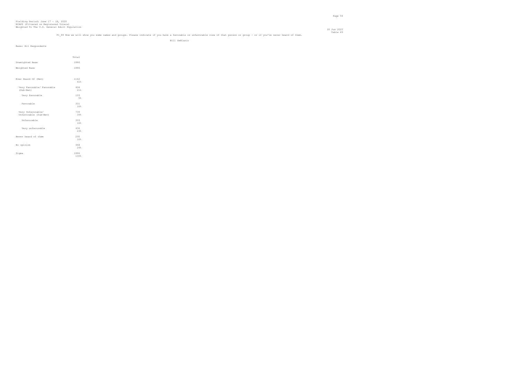# Table 49 now we will show you some names and groups. Please indicate if you have a favorable or unfavorable view of that person or group - or if you've never heard of them. Table 49

Bill DeBlasio

| Base: All Respondents                      |              |  |
|--------------------------------------------|--------------|--|
|                                            | Total        |  |
| Unweighted Base                            | 1886         |  |
| Weighted Base                              | 1886         |  |
|                                            |              |  |
| Ever Heard Of (Net)                        | 1142<br>61%  |  |
| Very Favorable/ Favorable<br>(Sub-Net)     | 404<br>21%   |  |
| Very favorable                             | 103<br>5%    |  |
| Favorable                                  | 301<br>16%   |  |
| Very Unfavorable/<br>Unfavorable (Sub-Net) | 739<br>39%   |  |
| Unfavorable                                | 303<br>16%   |  |
| Very unfavorable                           | 436<br>23%   |  |
| Never heard of them                        | 295<br>16%   |  |
| No opinion                                 | 448<br>24%   |  |
| Sigma                                      | 1886<br>100% |  |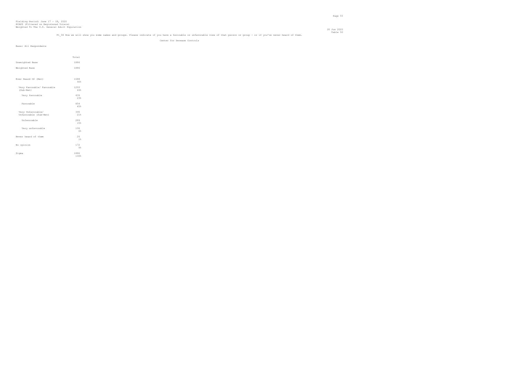## Table 50 m<br>Fl 94 Now we will show you some names and groups. Please indicate if you have a favorable or unfavorable view of that person or group - or if you've never heard of them.

Center for Decease Controls

|                 | Total |
|-----------------|-------|
| Unweighted Base | 1886  |
| Weighted Base   | 1886  |

| Ever Heard Of (Net)                        | 1688<br>90%  |  |
|--------------------------------------------|--------------|--|
| Very Favorable/ Favorable<br>(Sub-Net)     | 1293<br>69%  |  |
| Very favorable                             | 439<br>23%   |  |
| Favorable                                  | 854<br>45%   |  |
| Very Unfavorable/<br>Unfavorable (Sub-Net) | 395<br>21%   |  |
| Unfavorable                                | 289<br>15%   |  |
| Very unfavorable                           | 106<br>6%    |  |
| Never heard of them                        | 26<br>$1\%$  |  |
| No opinion                                 | 172<br>$9\%$ |  |
| Sigma                                      | 1886<br>100% |  |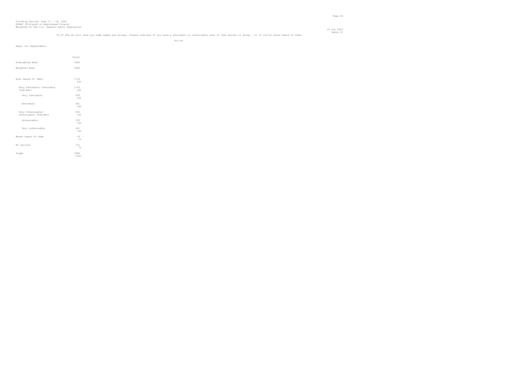#### 20 Jun 2020 Table 51 تrable 51<br>Fl 97 Now we will show you some names and groups. Please indicate if you have a favorable or unfavorable view of that person or group - or if you've never heard of them.

|                                            |               |  | Police |  |  |
|--------------------------------------------|---------------|--|--------|--|--|
| Base: All Respondents                      |               |  |        |  |  |
|                                            |               |  |        |  |  |
|                                            | Total         |  |        |  |  |
| Unweighted Base                            | 1886          |  |        |  |  |
| Weighted Base                              | 1886          |  |        |  |  |
|                                            |               |  |        |  |  |
| Ever Heard Of (Net)                        | 1736<br>92%   |  |        |  |  |
| Very Favorable/ Favorable<br>(Sub-Net)     | 1140<br>60%   |  |        |  |  |
| Very favorable                             | 459<br>24%    |  |        |  |  |
| Favorable                                  | 681<br>36%    |  |        |  |  |
| Very Unfavorable/<br>Unfavorable (Sub-Net) | 596<br>32%    |  |        |  |  |
| Unfavorable                                | 355<br>19%    |  |        |  |  |
| Very unfavorable                           | 241<br>$13\%$ |  |        |  |  |
| Never heard of them                        | 19<br>$1\,$   |  |        |  |  |
| No opinion                                 | 131<br>7%     |  |        |  |  |
| Sigma                                      | 1886<br>100%  |  |        |  |  |
|                                            |               |  |        |  |  |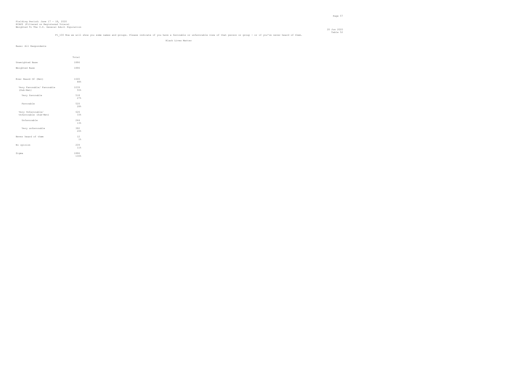# Table 52<br>Fl 100 Now we will show you some names and groups. Please indicate if you have a favorable or unfavorable view of that person or group - or if you've never heard of them.

Black Lives Matter

| Base: All Respondents                      |                         |  |
|--------------------------------------------|-------------------------|--|
|                                            | Total                   |  |
| Unweighted Base                            | 1886                    |  |
| Weighted Base                              | 1886                    |  |
| Ever Heard Of (Net)                        | 1665<br>88%             |  |
| Very Favorable/ Favorable<br>(Sub-Net)     | 1039<br>55%             |  |
| Very favorable                             | 518<br>27%              |  |
| Favorable                                  | 520<br>28%              |  |
| Very Unfavorable/<br>Unfavorable (Sub-Net) | 626<br>33%              |  |
| Unfavorable                                | 244<br>13%              |  |
| Very unfavorable                           | 382<br>20%              |  |
| Never heard of them                        | $12 \overline{ }$<br>1% |  |
| No opinion                                 | 209<br>11%              |  |
| Sigma                                      | 1886<br>100%            |  |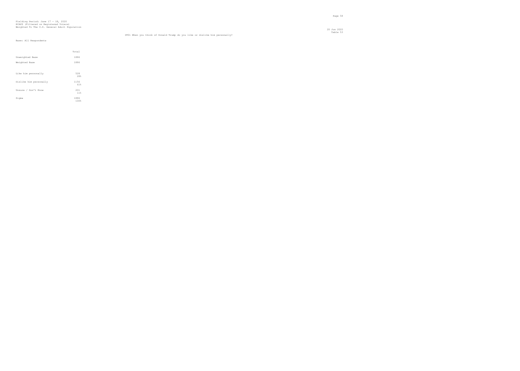#### Table 53 DT01 When you think of Donald Trump do you like or dislike him personally?

|                        | Total        |  |
|------------------------|--------------|--|
| Unweighted Base        | 1886         |  |
| Weighted Base          | 1886         |  |
|                        |              |  |
| Like him personally    | 528<br>28%   |  |
| Dislike him personally | 1156<br>61%  |  |
| Unsure / Don't Know    | 201<br>11%   |  |
| Sigma                  | 1886<br>100% |  |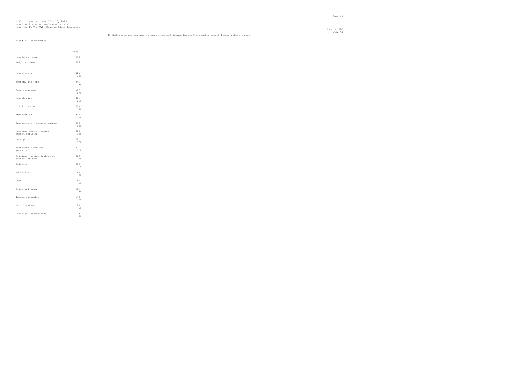# Fielding Period: June 17 - 18, 2020 HCAPS (Filtered on Registered Voters) Weighted To The U.S. General Adult Population

20 Jun 2020

 Total Unweighted Base 1886 Weighted Base 1886 Coronavirus  $859$ <br> $46%$ Economy and jobs 541 541 Race relations  $\begin{array}{c} 517 \\ 27\% \end{array}$ Health care  $\begin{array}{c} 481 \\ 25\% \end{array}$ Civil disorder  $309$ <br> $16%$ Immigration  $304$ <br> $16%$ Environment / climate change  $\begin{array}{c} 238 \\ 13\% \end{array}$ National debt / federal 224 budget deficits 12% Corruption  $\begin{array}{c} 222 \\ 12\% \end{array}$ Terrorism / national 221 security 12% Criminal justice (policing, 220 courts, prisons) 12% Policing  $\begin{array}{c} 214 \\ 11\% \end{array}$ Education  $\begin{array}{c} 168 \\ 9\% \end{array}$  $Guns$  $166$ <br>9% Crime and drugs  $\begin{array}{c} 161 \\ 9\% \end{array}$ Income inequality  $\begin{array}{c} 143 \\ 88 \end{array}$ School safety  $\begin{array}{c} 120 \\ 6\% \end{array}$ Political correctness  $\begin{array}{c} 119 \\ 68 \end{array}$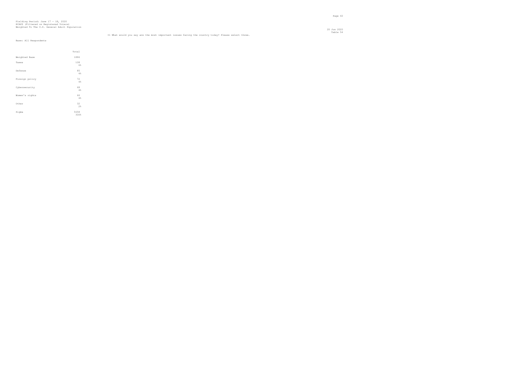# Fielding Period: June 17 - 18, 2020 HCAPS (Filtered on Registered Voters) Weighted To The U.S. General Adult Population

20 Jun 2020

|                                                                                                                                                                                                                                                                                                                                     | Table 54 |
|-------------------------------------------------------------------------------------------------------------------------------------------------------------------------------------------------------------------------------------------------------------------------------------------------------------------------------------|----------|
| Il What would you say are the most important issues facing the country today? Please select three.<br>. The contract of the contract of the contract of the contract of the contract of the contract of the contract of the contract of the contract of the contract of the contract of the contract of the contract of the contrac |          |

Base: All Respondents

 Total Weighted Base 1886 Taxes  $\begin{array}{c} 108 \\ 6\% \end{array}$ Defense  $\begin{array}{c} 8\,5 \\ 4\, \text{\textdegree}\end{array}$ Foreign policy  $72 \\
4%$ Cybersecurity  $\begin{array}{c} 68 \\ 4\% \end{array}$ Women's rights 66  $66$   $4\,$ 0ther  $32 \atop 2\%$ Sigma 5658 300%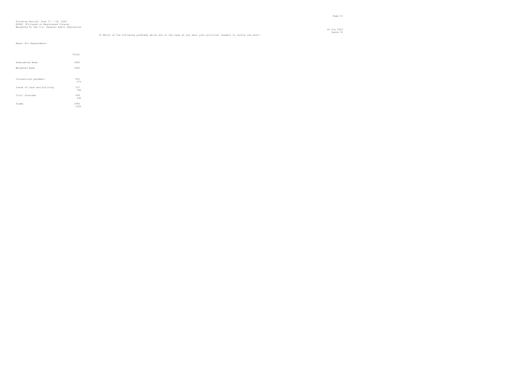en de la provincia de la provincia de la provincia de la provincia de la provincia de la provincia de la provi<br>Page 61

|                            | Total        |
|----------------------------|--------------|
| Unweighted Base            | 1886         |
| Weighted Base              | 1886         |
|                            |              |
| Coronavirus pandemic       | 891<br>47%   |
| Issue of race and policing | 537<br>28%   |
| Civil disorder             | 458<br>24%   |
| Sigma                      | 1886<br>100% |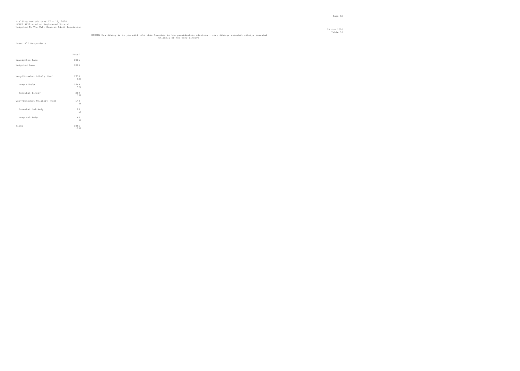# HORSE1 How likely is it you will vote this November in the presidential election - very likely, somewhat likely, somewhat<br>unlikely or not very likely?

|                              | Total        |  |
|------------------------------|--------------|--|
|                              |              |  |
| Unweighted Base              | 1886         |  |
| Weighted Base                | 1886         |  |
|                              |              |  |
| Very/Somewhat Likely (Net)   | 1738         |  |
|                              | 92%          |  |
| Very Likely                  | 1449         |  |
|                              | 77%          |  |
| Somewhat Likely              | 289          |  |
|                              | 15%          |  |
| Very/Somewhat Unlikely (Net) | 148          |  |
|                              | 8%           |  |
| Somewhat Unlikely            | 89<br>5%     |  |
|                              |              |  |
| Very Unlikely                | 60<br>3%     |  |
|                              |              |  |
| Sigma                        | 1886<br>100% |  |
|                              |              |  |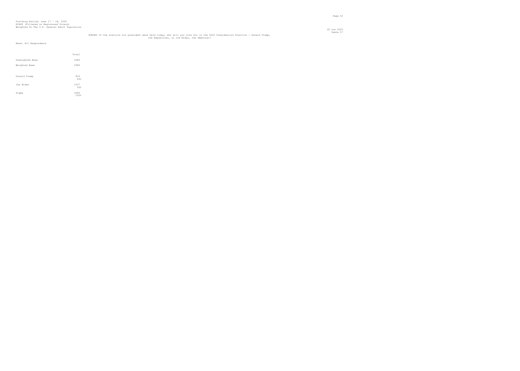en de la provincia de la provincia de la provincia de la provincia de la provincia de la provincia de la provi<br>Page 63

| Total        |
|--------------|
| 1886         |
| 1886         |
|              |
| 829          |
| 44%          |
| 1057<br>56%  |
| 1886<br>100% |
|              |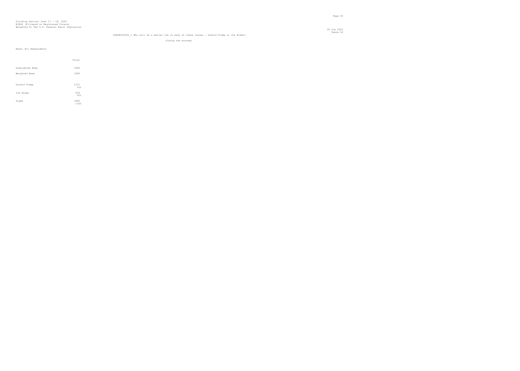#### 20 Jun 2020 Table 58 HORSE062002\_1 Who will do a better job on each of these issues - Donald Trump or Joe Biden?

Fixing the economy

|                 | Total        |
|-----------------|--------------|
| Unweighted Base | 1886         |
| Weighted Base   | 1886         |
| Donald Trump    | 1031<br>55%  |
| Joe Biden       | 855<br>45%   |
| Sigma           | 1886<br>100% |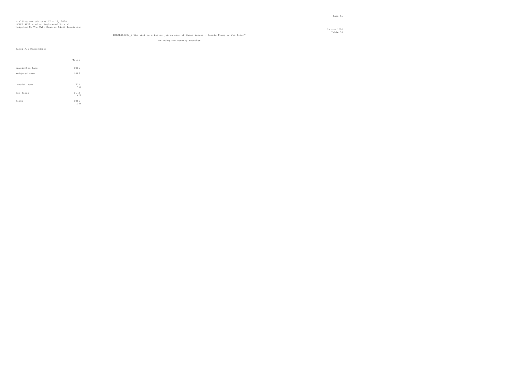#### 20 Jun 2020 Table 59 HORSE062002\_2 Who will do a better job on each of these issues - Donald Trump or Joe Biden?

Bringing the country together

|                 | Total        |
|-----------------|--------------|
| Unweighted Base | 1886         |
| Weighted Base   | 1886         |
| Donald Trump    | 714<br>38%   |
| Joe Biden       | 1172<br>62%  |
| Sigma           | 1886<br>100% |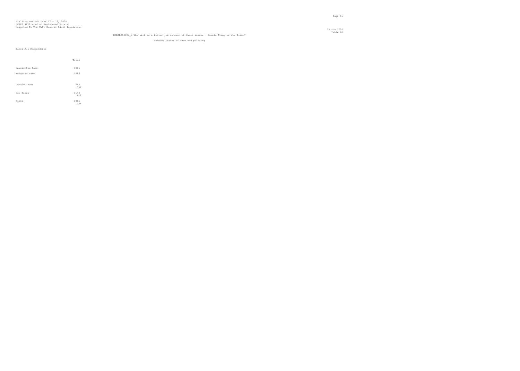#### 20 Jun 2020 Table 60 HORSE062002\_3 Who will do a better job on each of these issues - Donald Trump or Joe Biden?

# Solving issues of race and policing

|                 | Total        |
|-----------------|--------------|
| Unweighted Base | 1886         |
| Weighted Base   | 1886         |
|                 |              |
| Donald Trump    | 743<br>39%   |
| Joe Biden       | 1143<br>61%  |
| Sigma           | 1886<br>100% |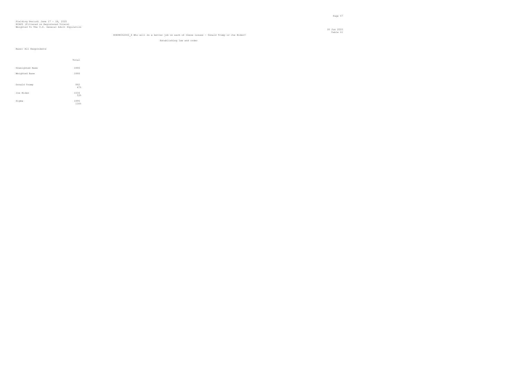#### 20 Jun 2020 Table 61 HORSE062002\_4 Who will do a better job on each of these issues - Donald Trump or Joe Biden?

# Establishing law and order

|                 | Total        |
|-----------------|--------------|
| Unweighted Base | 1886         |
| Weighted Base   | 1886         |
|                 |              |
| Donald Trump    | 882<br>47%   |
| Joe Biden       | 1004<br>53%  |
| Sigma           | 1886<br>100% |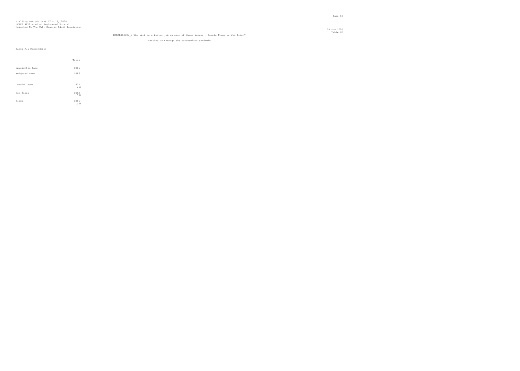#### 20 Jun 2020 Table 62 HORSE062002\_5 Who will do a better job on each of these issues - Donald Trump or Joe Biden?

# Getting us through the coronavirus pandemic

|                 | Total        |
|-----------------|--------------|
| Unweighted Base | 1886         |
| Weighted Base   | 1886         |
|                 |              |
| Donald Trump    | 834<br>44%   |
| Joe Biden       | 1052<br>56%  |
| Sigma           | 1886<br>100% |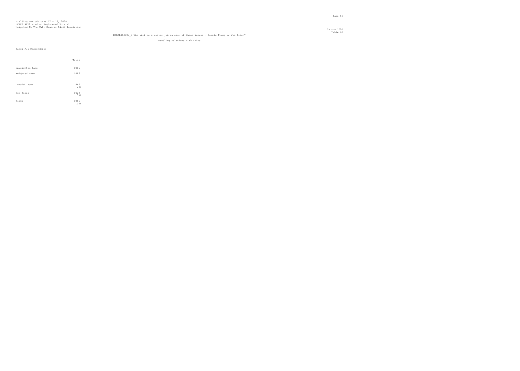## Table 63 HORSE062002\_6 Who will do a better job on each of these issues - Donald Trump or Joe Biden?

## Handling relations with China

|                 | Total        |
|-----------------|--------------|
| Unweighted Base | 1886         |
| Weighted Base   | 1886         |
| Donald Trump    | 866          |
| Joe Biden       | 46%<br>1020  |
|                 | 54%          |
| Sigma           | 1886<br>100% |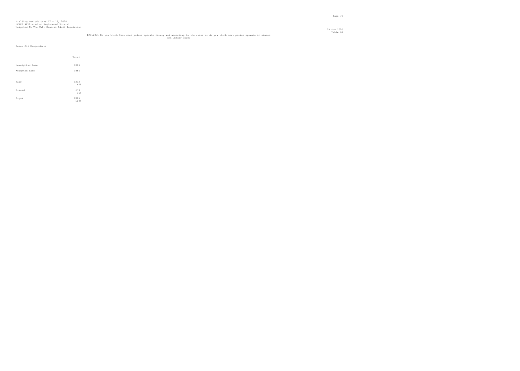# Table 64 RP062001 Do you think that most police operate fairly and according to the rules or do you think most police operate in biased and unfair ways?

en de la provincia de la provincia de la provincia de la provincia de la provincia de la provincia de la provi<br>Page 70

|  | Base: All Respondents |
|--|-----------------------|
|  |                       |

|                 | Total        |
|-----------------|--------------|
| Unweighted Base | 1886         |
| Weighted Base   | 1886         |
|                 |              |
| Fair            | 1212<br>64%  |
| Biased          | 674<br>36%   |
| Sigma           | 1886<br>100% |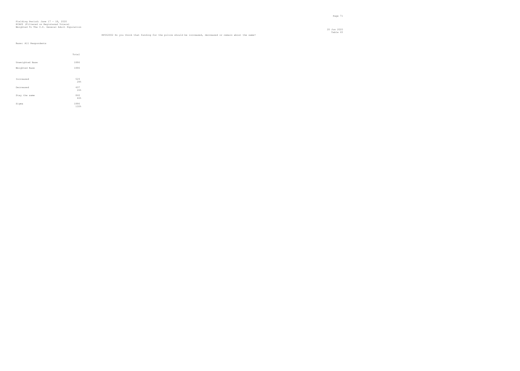en de la provincia de la provincia de la provincia de la provincia de la provincia de la provincia de la provi<br>Page 71

|  | Base: All Respondents |
|--|-----------------------|
|  |                       |

|                 | Total        |
|-----------------|--------------|
| Unweighted Base | 1886         |
| Weighted Base   | 1886         |
|                 |              |
| Increased       | 529<br>28%   |
| Decreased       | 497          |
|                 | 26%          |
| Stay the same   | 860<br>46%   |
| Sigma           | 1886<br>100% |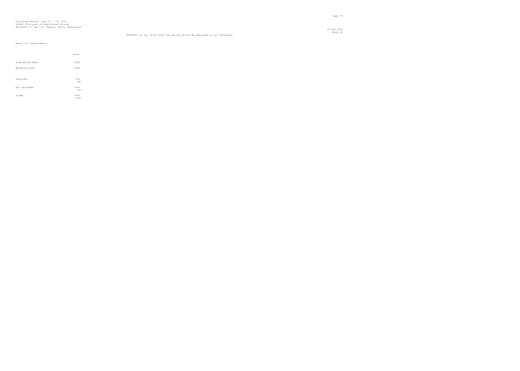en de la provincia de la provincia de la provincia de la provincia de la provincia de la provincia de la provi<br>Page 72

|                 | Total        |
|-----------------|--------------|
| Unweighted Base | 1886         |
| Weighted Base   | 1886         |
|                 |              |
| Defunded        | 536<br>28%   |
| Not defunded    | 1350<br>72%  |
| Sigma           | 1886<br>100% |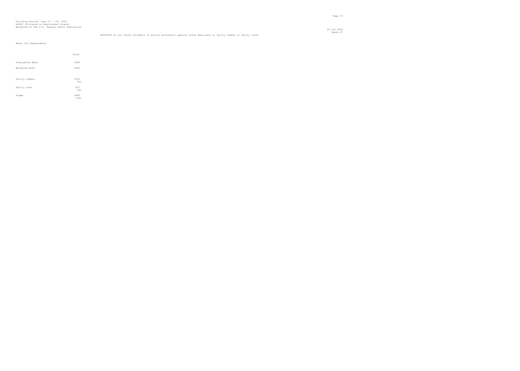en de la provincia de la provincia de la provincia de la provincia de la provincia de la provincia de la provi<br>Page 73

|                 | Total        |
|-----------------|--------------|
| Unweighted Base | 1886         |
| Weighted Base   | 1886         |
|                 |              |
| Fairly common   | 1059<br>56%  |
| Fairly rare     | 827<br>44%   |
| Sigma           | 1886<br>100% |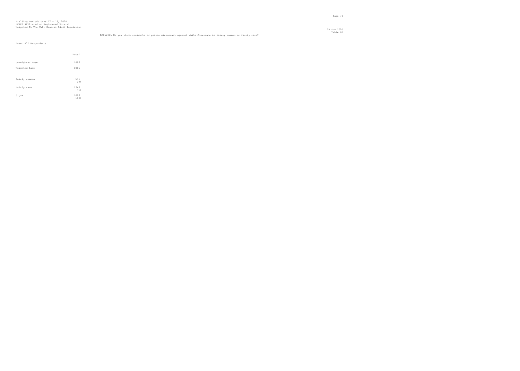en de la provincia de la provincia de la provincia de la provincia de la provincia de la provincia de la provi<br>Page 74

|                 | Total        |  |
|-----------------|--------------|--|
| Unweighted Base | 1886         |  |
| Weighted Base   | 1886         |  |
|                 |              |  |
| Fairly common   | 541<br>29%   |  |
| Fairly rare     | 1345<br>71%  |  |
|                 |              |  |
| Sigma           | 1886<br>100% |  |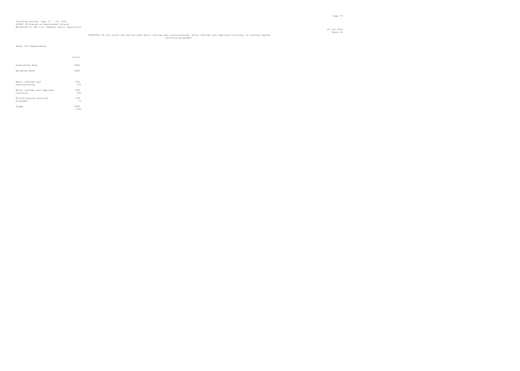### Table 69 RP062006 Do you think the police need major reforms and restructuring, minor reforms and improved training, or nothing beyond existing programs?

|                                        | Total        |
|----------------------------------------|--------------|
| Unweighted Base                        | 1886         |
| Weighted Base                          | 1886         |
|                                        |              |
| Major reforms and<br>restructuring     | 892<br>47%   |
| Minor reforms and improved<br>training | 865<br>46%   |
| Noting beyond existing<br>programs     | 129<br>7%    |
| Sigma                                  | 1886<br>100% |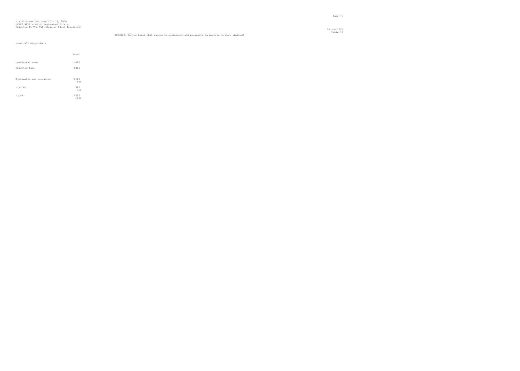## Fielding Period: June 17 - 18, 2020 HCAPS (Filtered on Registered Voters) Weighted To The U.S. General Adult Population

20 Jun 2020

### Table 70 RP062007 Do you think that racism is systematic and pervasive in America or more limited?

|                          | Total       |  |
|--------------------------|-------------|--|
| Unweighted Base          | 1886        |  |
| Weighted Base            | 1886        |  |
|                          |             |  |
| Systematic and pervasive | 1100<br>58% |  |
| Limited                  | 786<br>42%  |  |
| Sigma                    | 1886        |  |
|                          | 100%        |  |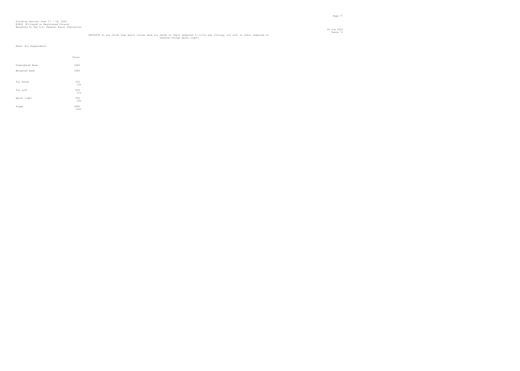## RP062008 Do you think that major cities were too harsh in their response to riots and looting, too soft in their response or<br>handled things about right?

en de la provincia de la provincia de la provincia de la provincia de la provincia de la provincia de la provi<br>Page 77

|                 | Total        |
|-----------------|--------------|
| Unweighted Base | 1886         |
| Weighted Base   | 1886         |
|                 |              |
| Too harsh       | 436<br>23%   |
| Too soft        | 895<br>47%   |
| About right     | 556<br>29%   |
| Sigma           | 1886<br>100% |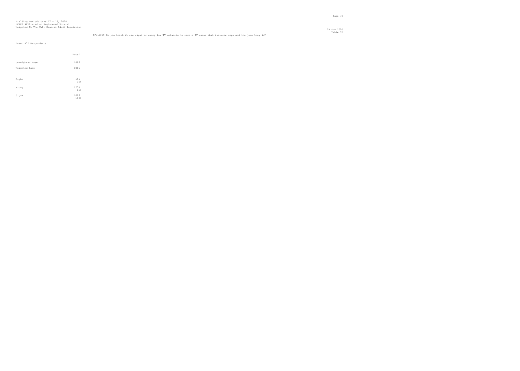### Table 72 RP062009 Do you think it was right or wrong for TV networks to remove TV shows that features cops and the jobs they do?

|                 | Total        |  |
|-----------------|--------------|--|
| Unweighted Base | 1886         |  |
| Weighted Base   | 1886         |  |
|                 |              |  |
| Right           | 656<br>35%   |  |
| Wrong           | 1230<br>65%  |  |
| Sigma           | 1886<br>100% |  |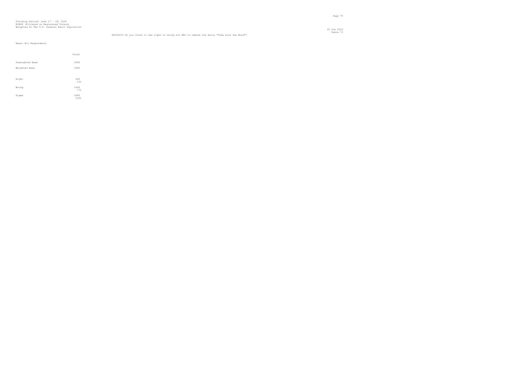## Fielding Period: June 17 - 18, 2020 HCAPS (Filtered on Registered Voters) Weighted To The U.S. General Adult Population

20 Jun 2020

### Table 73 RP062010 Do you think it was right or wrong for HBO to remove the movie "Gone with the Wind"?

|                 | Total        |
|-----------------|--------------|
| Unweighted Base | 1886         |
| Weighted Base   | 1886         |
|                 |              |
| Right           | 440<br>23%   |
| Wrong           | 1446         |
|                 | 77%          |
| Sigma           | 1886<br>100% |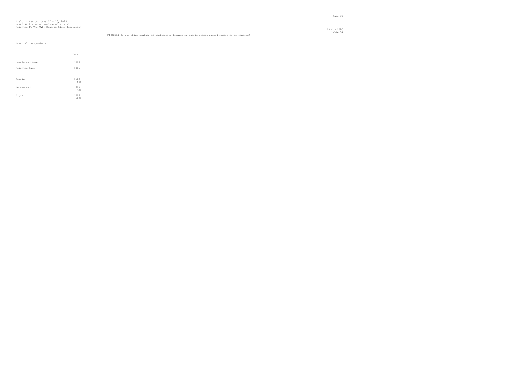en de la provincia de la provincia de la provincia de la provincia de la provincia de la provincia de la provi<br>Page 80

|                 | Total        |
|-----------------|--------------|
| Unweighted Base | 1886         |
| Weighted Base   | 1886         |
|                 |              |
| Remain          | 1103<br>58%  |
| Be removed      | 783<br>42%   |
| Sigma           | 1886<br>100% |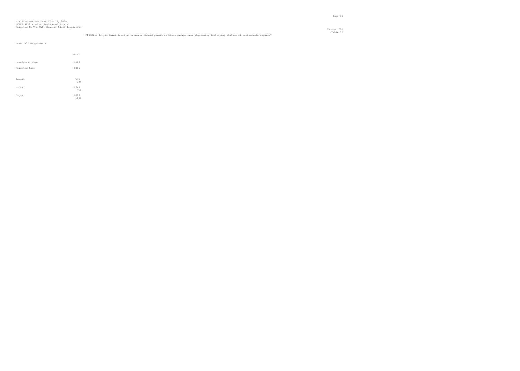### Table 75 RP062012 Do you think local governments should permit or block groups from physically destroying statues of confederate figures?

|                 | Total        |
|-----------------|--------------|
| Unweighted Base | 1886         |
| Weighted Base   | 1886         |
|                 |              |
| Permit          | 546<br>29%   |
| Block           | 1340<br>71%  |
| Sigma           | 1886<br>100% |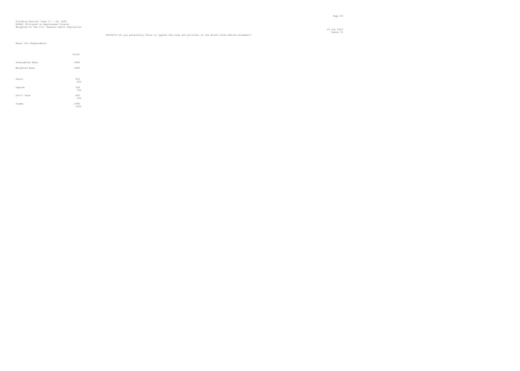en de la provincia de la provincia de la provincia de la provincia de la provincia de la provincia de la provi<br>Page 82

|  | Base: All Respondents |
|--|-----------------------|

|                 | Total      |  |
|-----------------|------------|--|
| Unweighted Base | 1886       |  |
| Weighted Base   | 1886       |  |
|                 |            |  |
| Favor           | 852<br>45% |  |
| Oppose          | 628<br>33% |  |
| Don't know      | 406<br>22% |  |
| Sigma           | 1886       |  |
|                 | 100%       |  |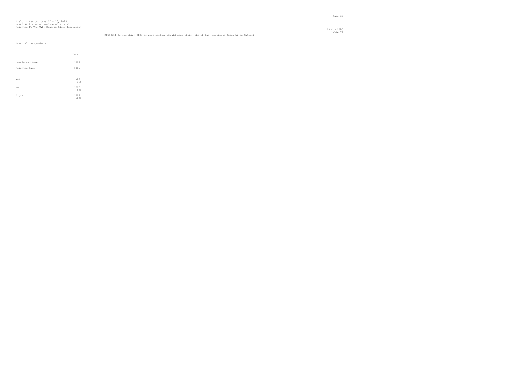### Fielding Period: June 17 - 18, 2020 HCAPS (Filtered on Registered Voters) Weighted To The U.S. General Adult Population

20 Jun 2020

### Table 77 RP062014 Do you think CEOs or news editors should lose their jobs if they criticize Black Lives Matter?

en de la provincia de la provincia de la provincia de la provincia de la provincia de la provincia de la provi<br>Page 83

|  | Base: All Respondents |
|--|-----------------------|
|  |                       |

|                 | Total        |
|-----------------|--------------|
| Unweighted Base | 1886         |
| Weighted Base   | 1886         |
|                 |              |
| Yes             | 589<br>31%   |
| No              | 1297<br>69%  |
| Sigma           | 1886<br>100% |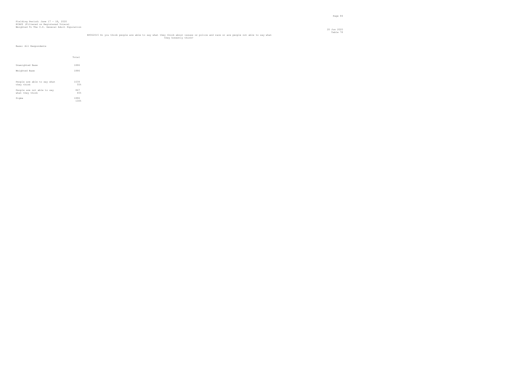en de la provincia de la provincia de la provincia de la provincia de la provincia de la provincia de la provi<br>Page 84

20 Jun 2020

|                                               | Total        |
|-----------------------------------------------|--------------|
| Unweighted Base                               | 1886         |
| Weighted Base                                 | 1886         |
|                                               |              |
| People are able to say what<br>they think     | 1039<br>55%  |
| People are not able to say<br>what they think | 847<br>45%   |
| Sigma                                         | 1886<br>100% |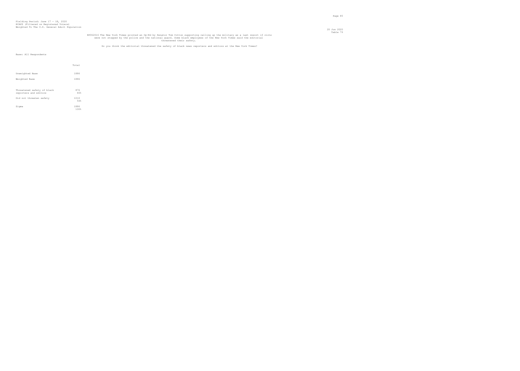# RPO62016 The New York Times printed an Op-Ed by Senator Tom Cotton supporting calling up the military as a last resort if riots were not stopped by the police and the national guard. Some black employees of the New York Ti

### Do you think the editorial threatened the safety of black news reporters and editors at the New York Times?

|  | Base: All Respondents |
|--|-----------------------|
|--|-----------------------|

|                                                     | Total        |
|-----------------------------------------------------|--------------|
| Unweighted Base                                     | 1886         |
| Weighted Base                                       | 1886         |
|                                                     |              |
| Threatened safety of black<br>reporters and editors | 876<br>46%   |
| Did not threaten safety                             | 1010<br>54%  |
| Sigma                                               | 1886<br>100% |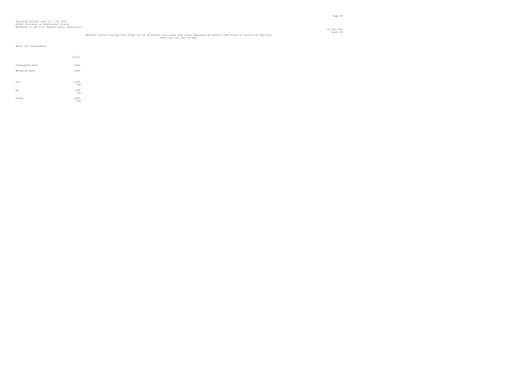### Table 80 RP062017 Should the New York Times run op ed pieces with views like those expressed by Senator Tom Cotton or should the New York Times not run such Op-Eds?

en de la provincia de la provincia de la provincia de la provincia de la provincia de la provincia de la provi<br>Page 86

|                 | Total        |
|-----------------|--------------|
| Unweighted Base | 1886         |
| Weighted Base   | 1886         |
|                 |              |
| Yes             | 1198<br>64%  |
| No              | 688<br>36%   |
| Sigma           | 1886<br>100% |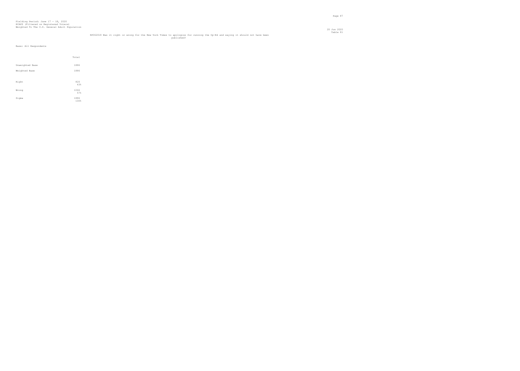### RP062018 Was it right or wrong for the New York Times to apologize for running the Op-Ed and saying it should not have been<br>published?

20 Jun 2020

|                 | Total        |
|-----------------|--------------|
| Unweighted Base | 1886         |
| Weighted Base   | 1886         |
|                 |              |
| Right           | 820<br>43%   |
| Wrong           | 1066<br>57%  |
| Sigma           | 1886<br>100% |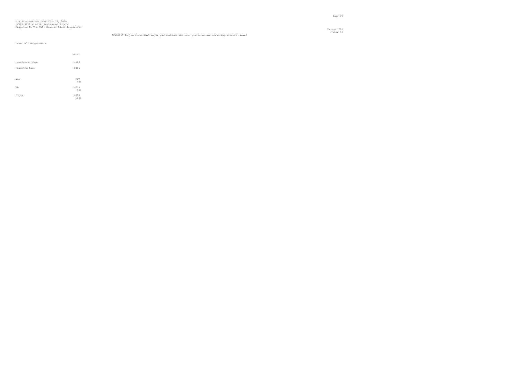## Fielding Period: June 17 - 18, 2020 HCAPS (Filtered on Registered Voters) Weighted To The U.S. General Adult Population

20 Jun 2020

### Table 82 RP062019 Do you think that major publications and tech platforms are censoring liberal views?

|                 | Total        |
|-----------------|--------------|
| Unweighted Base | 1886         |
| Weighted Base   | 1886         |
|                 |              |
| Yes             | 787<br>42%   |
| No              | 1099<br>58%  |
| Sigma           | 1886<br>100% |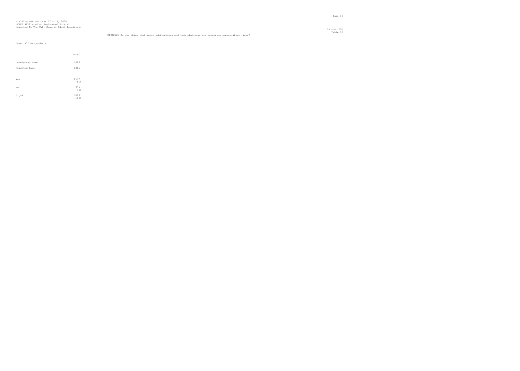en de la provincia de la provincia de la provincia de la provincia de la provincia de la provincia de la provi<br>Page 89

|                  | Total        |  |
|------------------|--------------|--|
| Unweighted Base  | 1886         |  |
| Weighted Base    | 1886         |  |
|                  |              |  |
| Yes              | 1147<br>61%  |  |
| $_{\mathrm{No}}$ | 739<br>39%   |  |
| Sigma            | 1886<br>100% |  |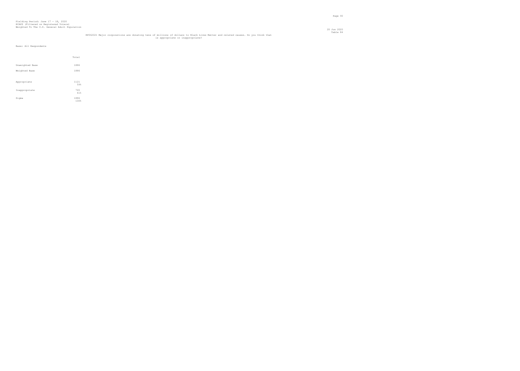### Table 84 RP062021 Major corporations are donating tens of millions of dollars to Black Lives Matter and related causes. Do you think that is appropriate or inappropriate?

en de la provincia de la provincia de la provincia de la provincia de la provincia de la provincia de la provi<br>Page 90

|                 | Total        |
|-----------------|--------------|
| Unweighted Base | 1886         |
| Weighted Base   | 1886         |
|                 |              |
| Appropriate     | 1121<br>59%  |
| Inappropriate   | 765<br>41%   |
| Sigma           | 1886<br>100% |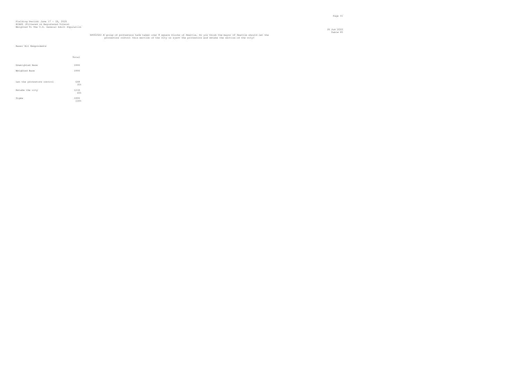en de la provincia de la provincia de la provincia de la provincia de la provincia de la provincia de la provi<br>Page 91

|                            | Total        |
|----------------------------|--------------|
| Unweighted Base            | 1886         |
| Weighted Base              | 1886         |
|                            |              |
| Let the protestors control | 668<br>35%   |
| Retake the city            | 1218<br>65%  |
| Sigma                      | 1886<br>100% |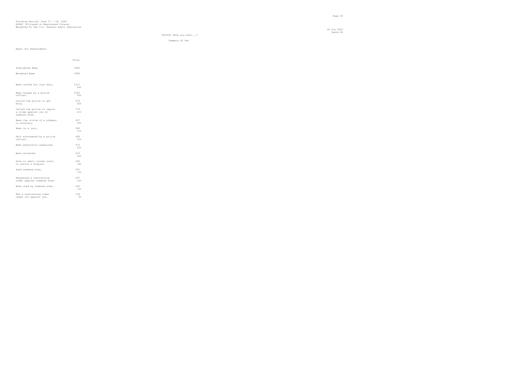20 Jun 2020 Table 86

Summary Of Yes

|                                                        | Total      |  |
|--------------------------------------------------------|------------|--|
|                                                        |            |  |
| Unweighted Base                                        | 1886       |  |
| Weighted Base                                          | 1886       |  |
|                                                        |            |  |
| Been called for jury duty.                             | 1211       |  |
|                                                        | 64%        |  |
| Been helped by a police                                | 1053       |  |
| officer.                                               | 56%        |  |
| Called the police to get<br>help.                      | 974<br>52% |  |
|                                                        |            |  |
| Called the police to report<br>a crime against you or  | 779<br>41% |  |
| someone else.                                          |            |  |
| Been the victim of a robbery                           | 667        |  |
| or burglary.                                           | 35%        |  |
| Been on a jury.                                        | 586        |  |
|                                                        | 31%        |  |
| Felt mistreated by a police<br>officer.                | 480<br>25% |  |
|                                                        |            |  |
| Been physically assaulted.                             | 475<br>25% |  |
| Been arrested.                                         | 419        |  |
|                                                        | 22%        |  |
| Gone to small claims court                             | 346        |  |
| to settle a dispute.                                   | 18%        |  |
| Sued someone else.                                     | 251        |  |
|                                                        | 13%        |  |
| Requested a restraining<br>order against someone else. | 247<br>13% |  |
|                                                        |            |  |
| Been sued by someone else.                             | 245<br>13% |  |
| Had a restraining order                                | 164        |  |
| taken out against you.                                 | $9\%$      |  |
|                                                        |            |  |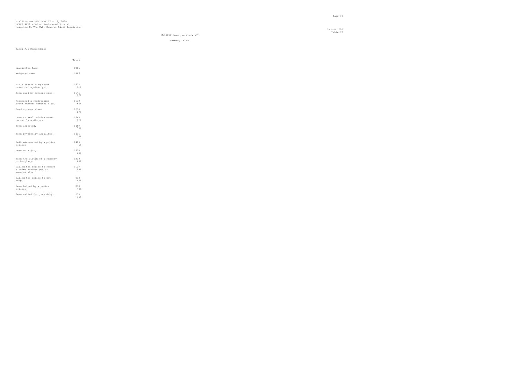20 Jun 2020 20 Jun 2020<br>Table 87

Summary Of No

|                                                                        | Total       |
|------------------------------------------------------------------------|-------------|
| Unweighted Base                                                        | 1886        |
| Weighted Base                                                          | 1886        |
| Had a restraining order                                                | 1722        |
| taken out against you.                                                 | 91%         |
| Been sued by someone else.                                             | 1641<br>87% |
| Requested a restraining<br>order against someone else.                 | 1639<br>87% |
| Sued someone else.                                                     | 1635<br>87% |
| Gone to small claims court<br>to settle a dispute.                     | 1540<br>82% |
| Been arrested.                                                         | 1467<br>78% |
| Been physically assaulted.                                             | 1411<br>75% |
| Felt mistreated by a police<br>officer.                                | 1406<br>75% |
| Been on a jury.                                                        | 1300<br>69% |
| Been the victim of a robbery<br>or burglary.                           | 1219<br>65% |
| Called the police to report<br>a crime against you or<br>someone else. | 1107<br>59% |
| Called the police to get<br>help.                                      | 912<br>48%  |
| Been helped by a police<br>officer.                                    | 833<br>44%  |
| Been called for jury duty.                                             | 675<br>36%  |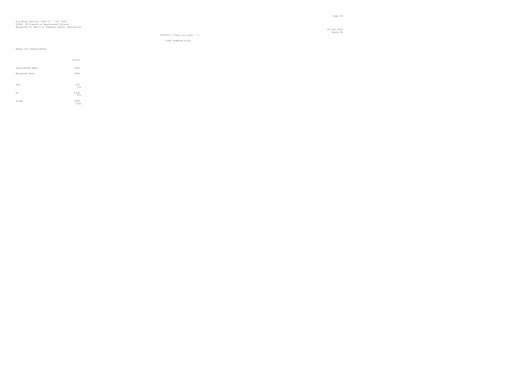### Table 88 C062001\_1 Have you ever...?

Sued someone else.

|                  | Total        |
|------------------|--------------|
| Unweighted Base  | 1886         |
| Weighted Base    | 1886         |
|                  |              |
| Yes              | 251<br>13%   |
| $_{\mathrm{No}}$ | 1635<br>87%  |
| Sigma            | 1886<br>100% |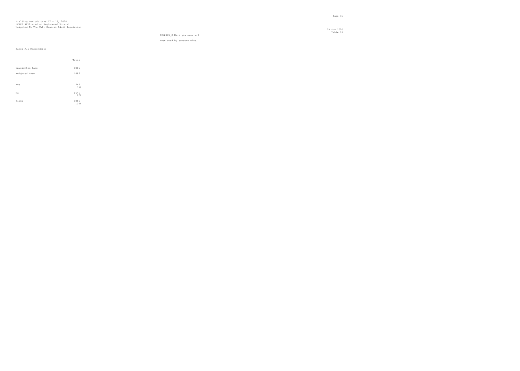en de la provincia de la provincia de la provincia de la provincia de la provincia de la provincia de la provi<br>Page 95

|                 | Total        |  |
|-----------------|--------------|--|
| Unweighted Base | 1886         |  |
| Weighted Base   | 1886         |  |
|                 |              |  |
| Yes             | 245<br>13%   |  |
| No              | 1641<br>87%  |  |
| Sigma           | 1886<br>100% |  |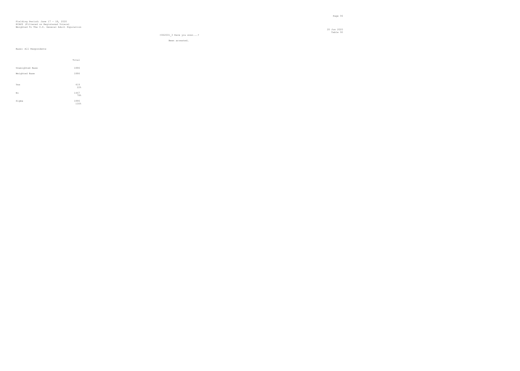20 Jun 2020 20 Jun 2020<br>Table 90

### C062001\_3 Have you ever...?

### Been arrested.

|                 | Total        |
|-----------------|--------------|
| Unweighted Base | 1886         |
| Weighted Base   | 1886         |
|                 |              |
| Yes             | 419<br>22%   |
| No              | 1467<br>78%  |
| Sigma           | 1886<br>100% |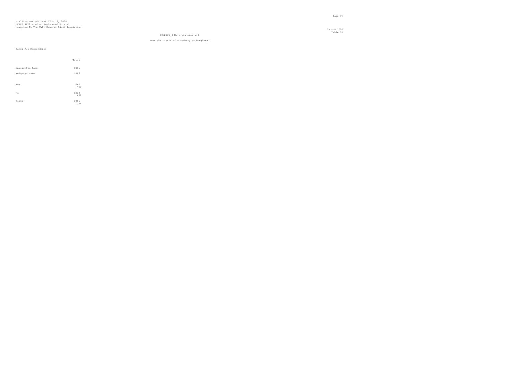20 Jun 2020 20 Jun 2020<br>Table 91

### C062001\_4 Have you ever...?

### Been the victim of a robbery or burglary.

|                  | Total        |
|------------------|--------------|
| Unweighted Base  | 1886         |
| Weighted Base    | 1886         |
|                  |              |
| Yes              | 667<br>35%   |
| $_{\mathrm{No}}$ | 1219<br>65%  |
| Sigma            | 1886<br>100% |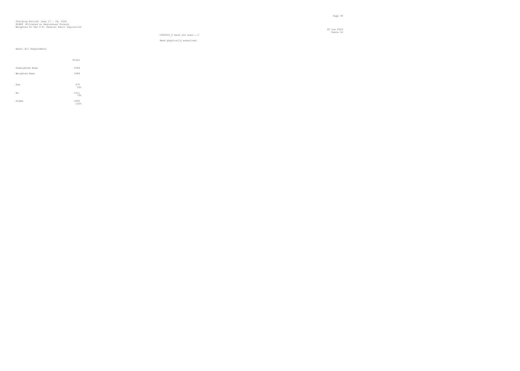20 Jun 2020 Table 92

en de la provincia de la provincia de la provincia de la provincia de la provincia de la provincia de la provi<br>Page 98

|                  | Total        |
|------------------|--------------|
| Unweighted Base  | 1886         |
| Weighted Base    | 1886         |
|                  |              |
| Yes              | 475<br>25%   |
| $_{\mathrm{No}}$ | 1411<br>75%  |
| Sigma            | 1886<br>100% |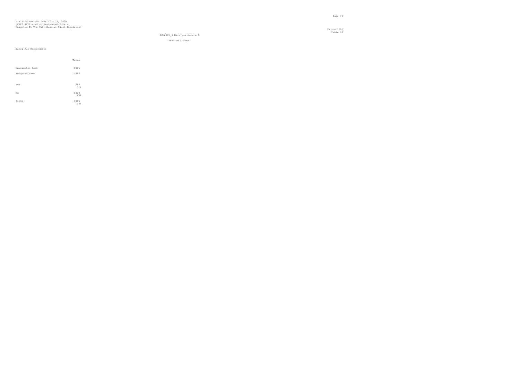#### Table 93 C062001\_6 Have you ever...? Been on a jury.

en de la provincia de la provincia de la provincia de la provincia de la provincia de la provincia de la provi<br>Page 99

|                  | Total        |
|------------------|--------------|
| Unweighted Base  | 1886         |
| Weighted Base    | 1886         |
|                  |              |
| Yes              | 586<br>31%   |
| $_{\mathrm{No}}$ | 1300<br>69%  |
| Sigma            | 1886<br>100% |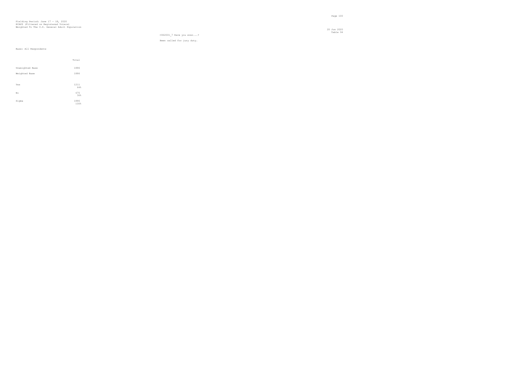#### 20 Jun 2020 20 Jun 2020<br>Table 94

### C062001\_7 Have you ever...? Been called for jury duty.

|                  | Total        |
|------------------|--------------|
| Unweighted Base  | 1886         |
| Weighted Base    | 1886         |
|                  |              |
| Yes              | 1211<br>64%  |
| $_{\mathrm{No}}$ | 675<br>36%   |
| Sigma            | 1886<br>100% |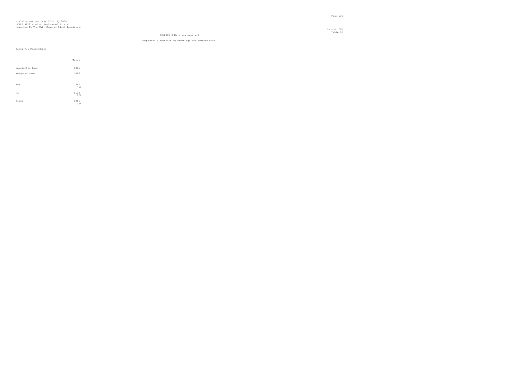### Table 95 C062001\_8 Have you ever...?

### Requested a restraining order against someone else.

|                 | Total        |
|-----------------|--------------|
| Unweighted Base | 1886         |
| Weighted Base   | 1886         |
|                 |              |
| Yes             | 247<br>13%   |
| No              | 1639<br>87%  |
| Sigma           | 1886<br>100% |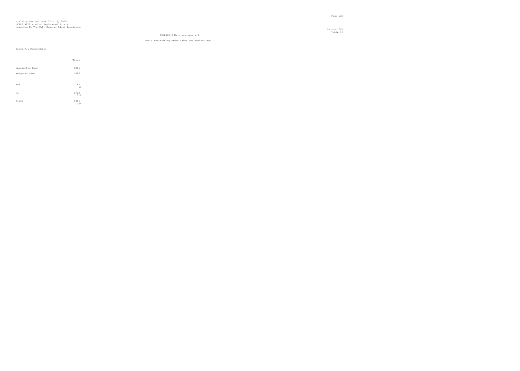### Table 96 C062001\_9 Have you ever...?

### Had a restraining order taken out against you.

|                  | Total        |  |
|------------------|--------------|--|
| Unweighted Base  | 1886         |  |
| Weighted Base    | 1886         |  |
|                  |              |  |
| Yes              | 164<br>9%    |  |
| $_{\mathrm{No}}$ | 1722         |  |
|                  | 91%          |  |
| Sigma            | 1886<br>100% |  |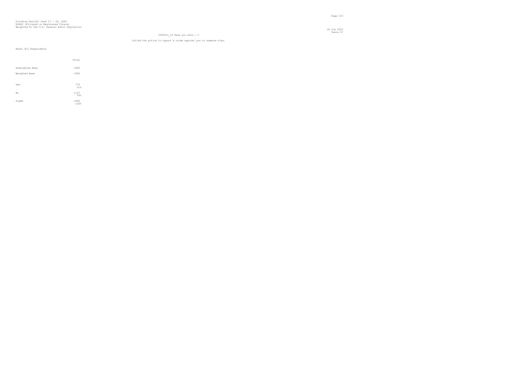Page 103

#### 20 Jun 2020 Table 97 C062001\_10 Have you ever...?

### Called the police to report a crime against you or someone else.

|                 | Total        |
|-----------------|--------------|
| Unweighted Base | 1886         |
| Weighted Base   | 1886         |
|                 |              |
| Yes             | 779<br>41%   |
| No              | 1107<br>59%  |
| Sigma           | 1886<br>100% |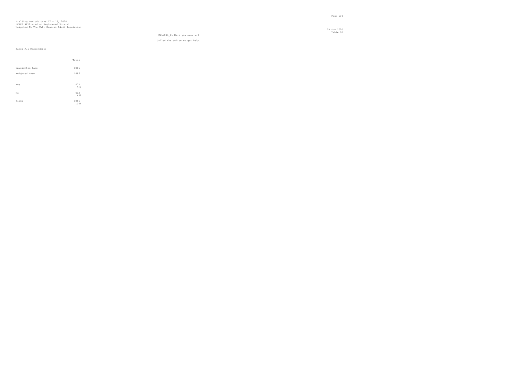20 Jun 2020 20 Jun 2020<br>Table 98

|                  | Total        |
|------------------|--------------|
| Unweighted Base  | 1886         |
| Weighted Base    | 1886         |
|                  |              |
| Yes              | 974<br>52%   |
| $_{\mathrm{No}}$ | 912<br>48%   |
| Sigma            | 1886<br>100% |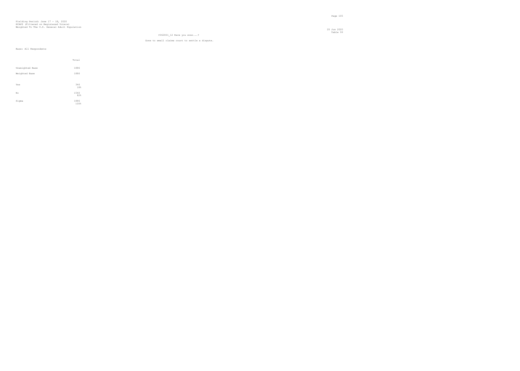20 Jun 2020 20 Jun 2020<br>Table 99

### C062001\_12 Have you ever...?

### Gone to small claims court to settle a dispute.

|                 | Total        |  |
|-----------------|--------------|--|
| Unweighted Base | 1886         |  |
| Weighted Base   | 1886         |  |
|                 |              |  |
| Yes             | 346<br>18%   |  |
| No              | 1540<br>82%  |  |
| Sigma           | 1886<br>100% |  |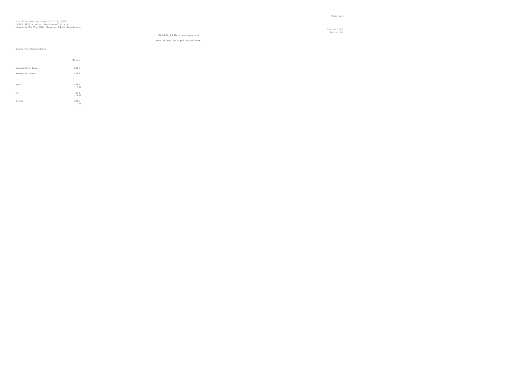### Table 100 C062001\_13 Have you ever...?

### Been helped by a police officer.

|                 | Total        |
|-----------------|--------------|
| Unweighted Base | 1886         |
| Weighted Base   | 1886         |
|                 |              |
| Yes             | 1053<br>56%  |
| No              | 833<br>44%   |
| Sigma           | 1886<br>100% |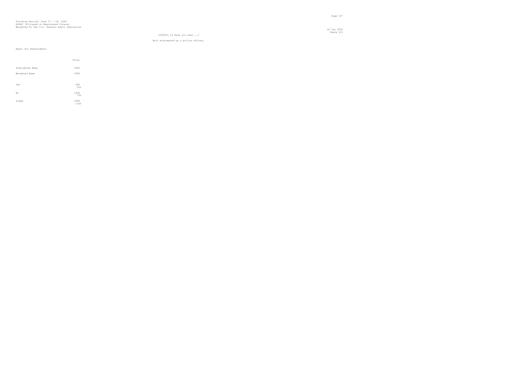## Table 101 C062001\_14 Have you ever...?

#### Felt mistreated by a police officer.

|                 | Total        |
|-----------------|--------------|
| Unweighted Base | 1886         |
| Weighted Base   | 1886         |
|                 |              |
| Yes             | 480<br>25%   |
| No              | 1406<br>75%  |
| Sigma           | 1886<br>100% |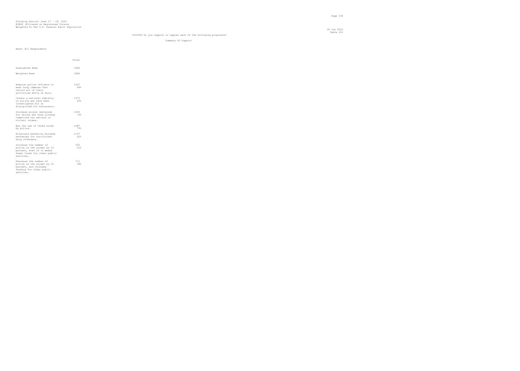#### 20 Jun 2020 20 Jun 2020<br>Table 102

#### C062002 Do you support or oppose each of the following proposals?

Summary Of Support

|                                                                                                                                | Total       |  |
|--------------------------------------------------------------------------------------------------------------------------------|-------------|--|
| Unweighted Base                                                                                                                | 1886        |  |
| Weighted Base                                                                                                                  | 1886        |  |
|                                                                                                                                |             |  |
| Require police officers to<br>wear body cameras that<br>record all of their<br>activities while on duty.                       | 1667<br>88% |  |
| Create a national registry<br>of police who have been<br>investigated for or<br>disciplined for misconduct.                    | 1572<br>83% |  |
| Increase prison sentences<br>for felons who have already<br>committed two serious or<br>violent crimes.                        | 1492<br>79% |  |
| Ban the use of choke holds<br>by police.                                                                                       | 1487<br>79% |  |
| Eliminate mandatory minimum<br>sentences for non-violent<br>drug offenders.                                                    | 1167<br>62% |  |
| Increase the number of<br>police on the street by 10<br>percent, even if it means<br>fewer funds for other public<br>services. | 955<br>51%  |  |
| Decrease the number of<br>police on the street by 10<br>percent, and increase<br>funding for other public<br>services.         | 711<br>38%  |  |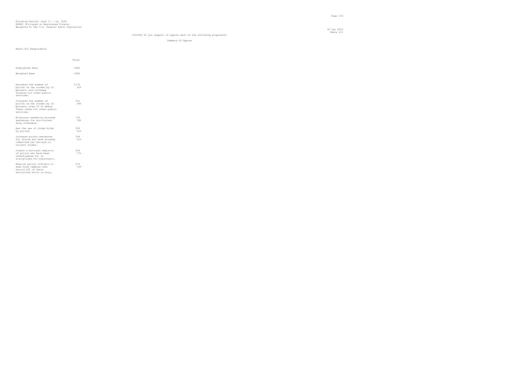#### 20 Jun 2020 20 Jun 2020<br>Table 103

#### C062002 Do you support or oppose each of the following proposals?

Summary Of Oppose

|                                                                                                                                | Total       |  |
|--------------------------------------------------------------------------------------------------------------------------------|-------------|--|
| Unweighted Base                                                                                                                | 1886        |  |
| Weighted Base                                                                                                                  | 1886        |  |
| Decrease the number of<br>police on the street by 10<br>percent, and increase<br>funding for other public<br>services.         | 1175<br>62% |  |
| Increase the number of<br>police on the street by 10<br>percent, even if it means<br>fewer funds for other public<br>services. | 931<br>49%  |  |
| Eliminate mandatory minimum<br>sentences for non-violent<br>drug offenders.                                                    | 719<br>38%  |  |
| Ban the use of choke holds<br>by police.                                                                                       | 399<br>21%  |  |
| Increase prison sentences<br>for felons who have already<br>committed two serious or<br>violent crimes.                        | 394<br>21%  |  |
| Create a national registry<br>of police who have been<br>investigated for or<br>disciplined for misconduct.                    | 314<br>17%  |  |
| Require police officers to<br>wear body cameras that<br>record all of their<br>activities while on duty.                       | 219<br>12%  |  |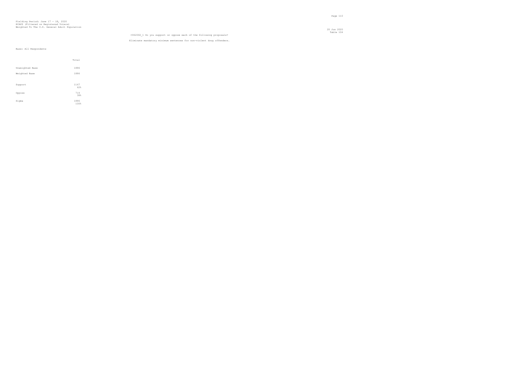20 Jun 2020 20 Jun 2020<br>Table 104

#### C062002\_1 Do you support or oppose each of the following proposals? Eliminate mandatory minimum sentences for non-violent drug offenders.

|                 | Total        |
|-----------------|--------------|
| Unweighted Base | 1886         |
| Weighted Base   | 1886         |
|                 |              |
| Support         | 1167<br>62%  |
| Oppose          | 719<br>38%   |
| Sigma           | 1886<br>100% |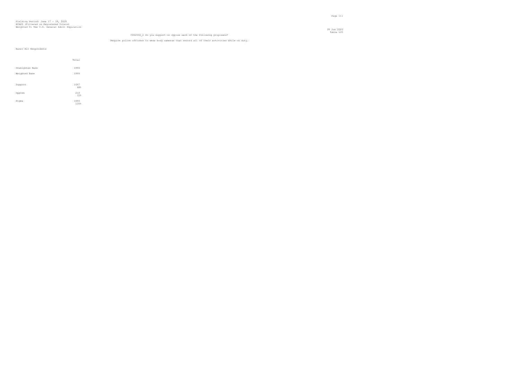## Table 105 C062002\_2 Do you support or oppose each of the following proposals?

#### Require police officers to wear body cameras that record all of their activities while on duty.

|                 | Total        |
|-----------------|--------------|
| Unweighted Base | 1886         |
| Weighted Base   | 1886         |
|                 |              |
| Support         | 1667<br>88%  |
| Oppose          | 219<br>12%   |
| Sigma           | 1886<br>100% |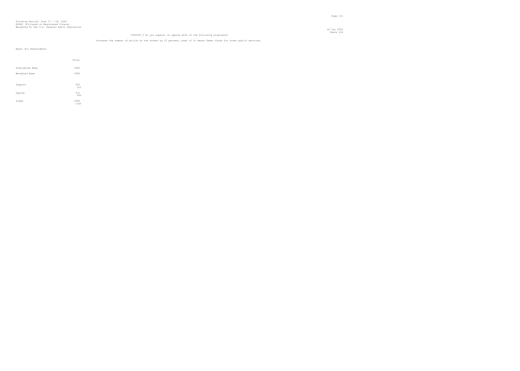## Table 106 C062002\_3 Do you support or oppose each of the following proposals?

#### Increase the number of police on the street by 10 percent, even if it means fewer funds for other public services.

|                 | Total        |  |
|-----------------|--------------|--|
| Unweighted Base | 1886         |  |
| Weighted Base   | 1886         |  |
|                 |              |  |
| Support         | 955<br>51%   |  |
| Oppose          | 931<br>49%   |  |
| Sigma           | 1886<br>100% |  |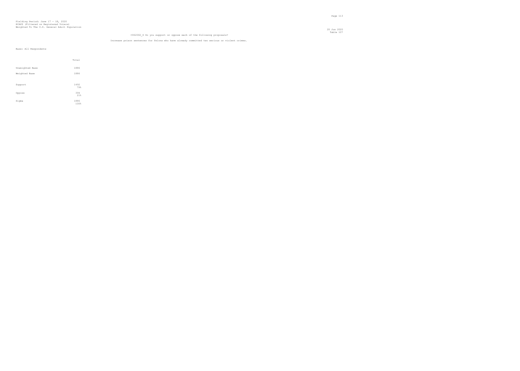## Table 107 C062002\_4 Do you support or oppose each of the following proposals?

#### Increase prison sentences for felons who have already committed two serious or violent crimes.

|                 | Total        |
|-----------------|--------------|
| Unweighted Base | 1886         |
| Weighted Base   | 1886         |
|                 |              |
| Support         | 1492<br>79%  |
| Oppose          | 394<br>21%   |
| Sigma           | 1886<br>100% |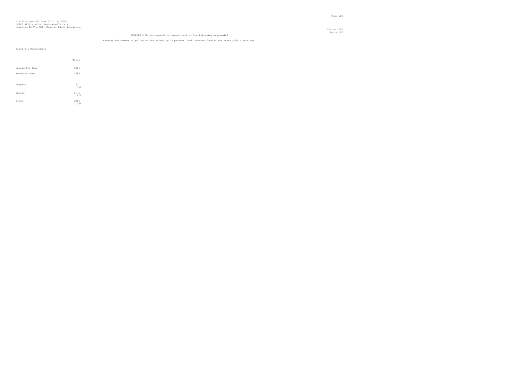## Table 108 C062002\_5 Do you support or oppose each of the following proposals?

#### Decrease the number of police on the street by 10 percent, and increase funding for other public services.

|                 | Total        |
|-----------------|--------------|
| Unweighted Base | 1886         |
| Weighted Base   | 1886         |
|                 |              |
| Support         | 711<br>38%   |
| Oppose          | 1175<br>62%  |
| Sigma           | 1886<br>100% |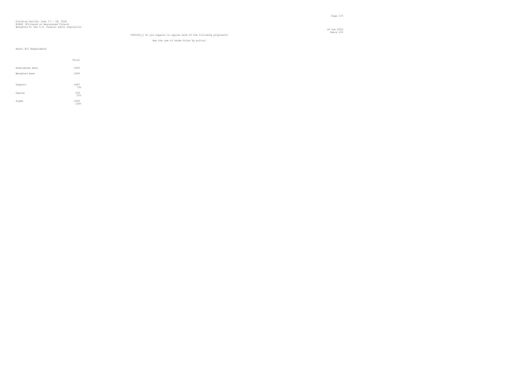## Table 109 C062002\_6 Do you support or oppose each of the following proposals?

### Ban the use of choke holds by police.

|                 | Total        |
|-----------------|--------------|
| Unweighted Base | 1886         |
| Weighted Base   | 1886         |
|                 |              |
| Support         | 1487<br>79%  |
| Oppose          | 399<br>21%   |
| Sigma           | 1886<br>100% |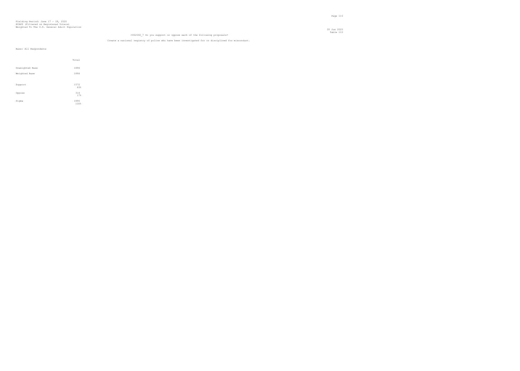## Table 110 C062002\_7 Do you support or oppose each of the following proposals?

#### Create a national registry of police who have been investigated for or disciplined for misconduct.

|                 | Total        |
|-----------------|--------------|
| Unweighted Base | 1886         |
| Weighted Base   | 1886         |
|                 |              |
| Support         | 1572<br>83%  |
| Oppose          | 314<br>17%   |
| Sigma           | 1886<br>100% |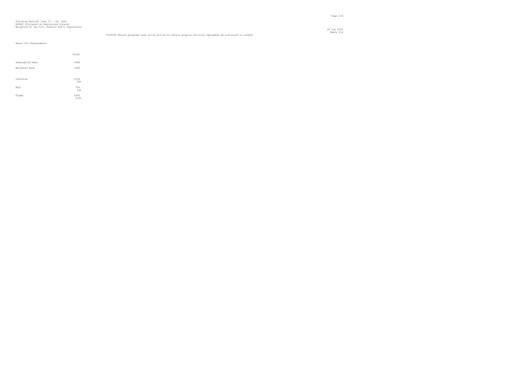20 Jun 2020

|                 | Total        |
|-----------------|--------------|
| Unweighted Base | 1886         |
| Weighted Base   | 1886         |
|                 |              |
| Continue        | 1094<br>58%  |
| End             | 792<br>42%   |
| Sigma           | 1886<br>100% |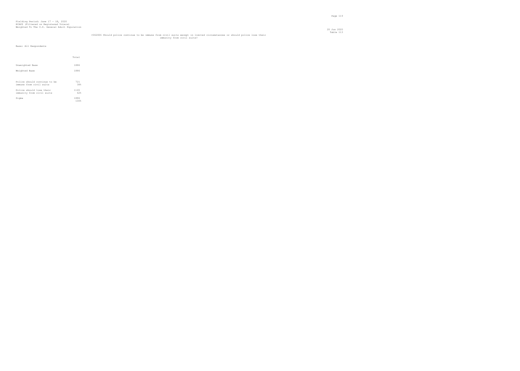20 Jun 2020

|                                                         | Total        |
|---------------------------------------------------------|--------------|
| Unweighted Base                                         | 1886         |
| Weighted Base                                           | 1886         |
|                                                         |              |
| Police should continue to be<br>immune from civil suits | 721<br>38%   |
| Police should lose their<br>immunity from civil suits   | 1165<br>62%  |
| Sigma                                                   | 1886<br>100% |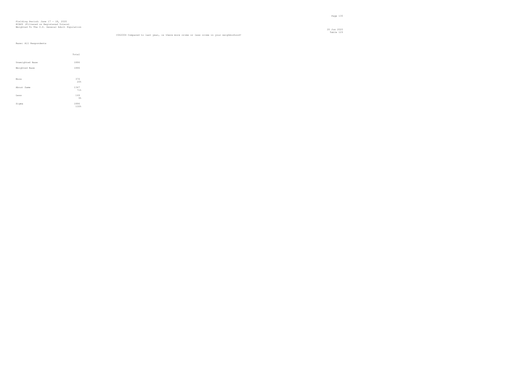20 Jun 2020

### Table 129 C062004 Compared to last year, is there more crime or less crime in your neighborhood?

|                 | Total        |
|-----------------|--------------|
| Unweighted Base | 1886         |
| Weighted Base   | 1886         |
|                 |              |
| More            | 370<br>20%   |
| About Same      | 1347<br>71%  |
| Less            | 169<br>9%    |
| Sigma           | 1886<br>100% |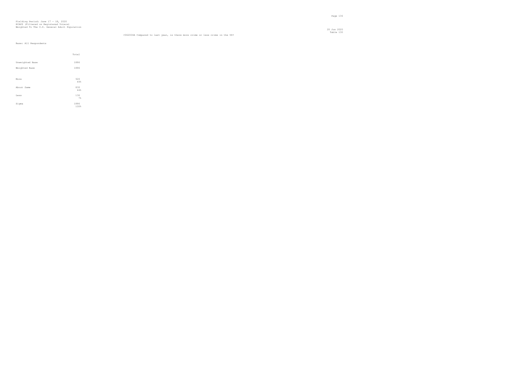20 Jun 2020

|                 | Total        |
|-----------------|--------------|
| Unweighted Base | 1886         |
| Weighted Base   | 1886         |
|                 |              |
| More            | 920<br>49%   |
| About Same      | 830<br>44%   |
| Less            | 136<br>7%    |
| Sigma           | 1886<br>100% |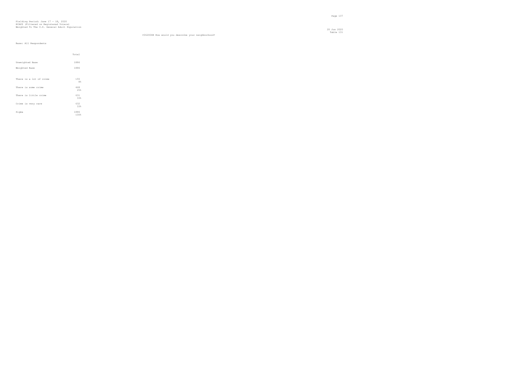#### Table 131 C062004B How would you describe your neighborhood?

|                         | Total        |
|-------------------------|--------------|
| Unweighted Base         | 1886         |
| Weighted Base           | 1886         |
| There is a lot of crime | 155<br>8%    |
| There is some crime     | 468<br>25%   |
| There is little crime   | 631<br>33%   |
| Crime is very rare      | 632<br>33%   |
| Sigma                   | 1886<br>100% |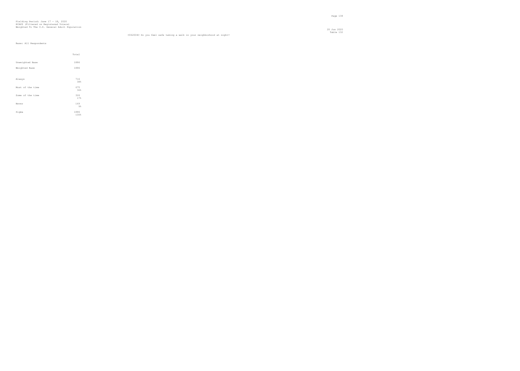#### Table 132 C062004C Do you feel safe taking a walk in your neighborhood at night?

 Total Unweighted Base 1886 Weighted Base 1886 Always 38% Most of the time  $675$ <br>36% Some of the time  $326$ <br> $17%$  $Never$  $169$ <br>9% Sigma 1886 100%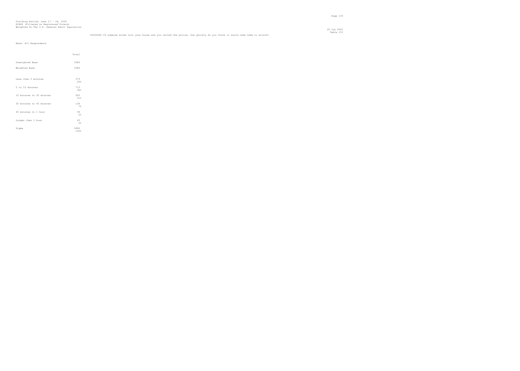20 Jun 2020

| Base: All Respondents |  |  |  |
|-----------------------|--|--|--|
|-----------------------|--|--|--|

|                          | Total        |
|--------------------------|--------------|
| Unweighted Base          | 1886         |
| Weighted Base            | 1886         |
| Less than 5 minutes      | 379<br>20%   |
| 5 to 10 minutes          | 713<br>38%   |
| 10 minutes to 30 minutes | 583<br>31%   |
| 30 minutes to 45 minutes | 128<br>7%    |
| 45 minutes to 1 hour     | 38<br>2%     |
| Longer than 1 hour       | 45<br>2%     |
| Sigma                    | 1886<br>100% |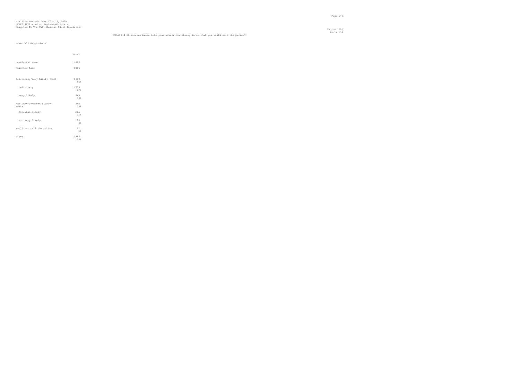# Fielding Period: June 17 - 18, 2020 HCAPS (Filtered on Registered Voters) Weighted To The U.S. General Adult Population

## Table 134 C062004E If someone broke into your house, how likely is it that you would call the police?

|                                   | Total        |
|-----------------------------------|--------------|
| Unweighted Base                   | 1886         |
| Weighted Base                     | 1886         |
| Definitely/Very Likely (Net)      | 1603<br>85%  |
| Definitely                        | 1259<br>67%  |
| Very likely                       | 344<br>18%   |
| Not Very/Somewhat Likely<br>(Net) | 262<br>14%   |
| Somewhat likely                   | 206<br>11%   |
| Not very likely                   | 56<br>3%     |
| Would not call the police         | 21<br>1 %    |
| Sigma                             | 1886<br>100% |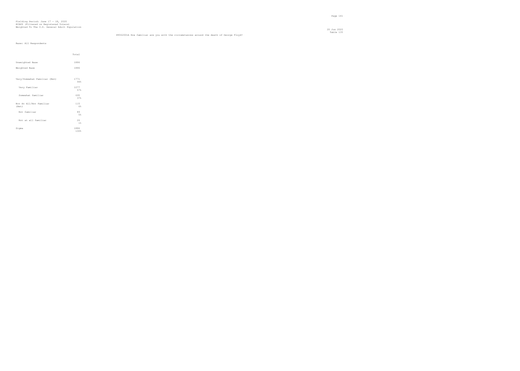# Fielding Period: June 17 - 18, 2020 HCAPS (Filtered on Registered Voters) Weighted To The U.S. General Adult Population

### Table 135 PP062001A How familiar are you with the circumstances around the death of George Floyd?

|  | Base: All Respondents |
|--|-----------------------|

|                                  | Total        |
|----------------------------------|--------------|
| Unweighted Base                  | 1886         |
| Weighted Base                    | 1886         |
| Very/Somewhat Familiar (Net)     | 1771<br>94%  |
| Very Familiar                    | 1077<br>57%  |
| Somewhat familiar                | 695<br>37%   |
| Not At All/Not Familiar<br>(Net) | 115<br>6%    |
| Not familiar                     | 89<br>5%     |
| Not at all familiar              | 26<br>1%     |
| Sigma                            | 1886<br>100% |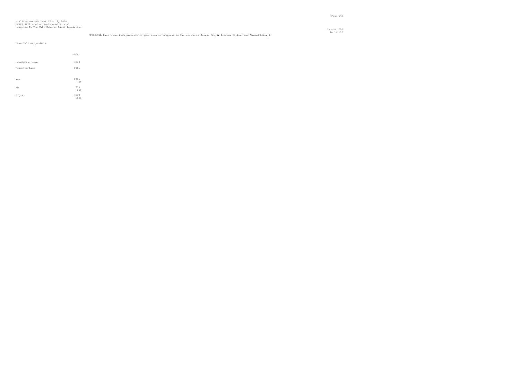|                 | Total        |
|-----------------|--------------|
| Unweighted Base | 1886         |
| Weighted Base   | 1886         |
|                 |              |
| Yes             | 1386<br>74%  |
| No              | 500<br>26%   |
| Sigma           | 1886<br>100% |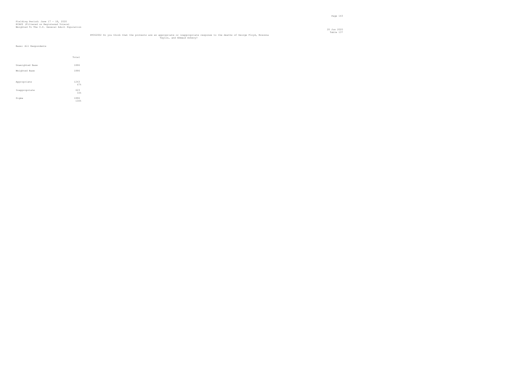|                 | Total        |
|-----------------|--------------|
| Unweighted Base | 1886         |
| Weighted Base   | 1886         |
|                 |              |
| Appropriate     | 1263<br>67%  |
| Inappropriate   | 623<br>33%   |
| Sigma           | 1886<br>100% |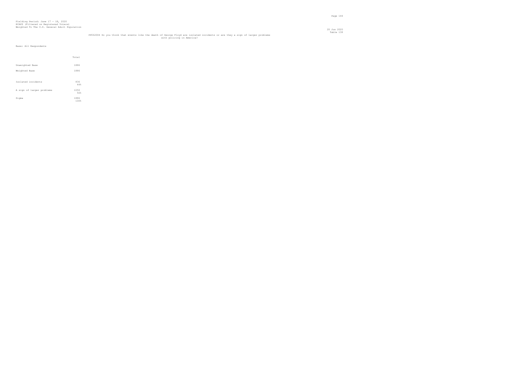## 20 Jun 2020

|                           | Total        |
|---------------------------|--------------|
| Unweighted Base           | 1886         |
| Weighted Base             | 1886         |
|                           |              |
| Isolated incidents        | 836<br>44%   |
| A sign of larger problems | 1050<br>56%  |
| Sigma                     | 1886<br>100% |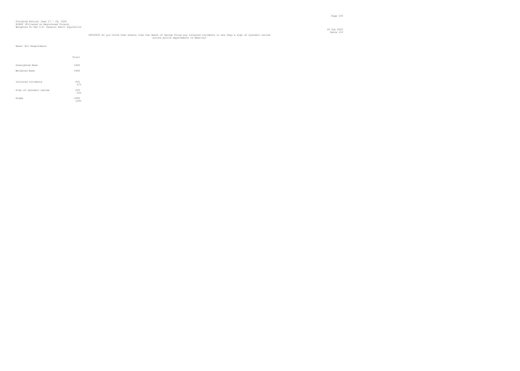|                         | Total        |
|-------------------------|--------------|
| Unweighted Base         | 1886         |
| Weighted Base           | 1886         |
|                         |              |
| Isolated incidents      | 891<br>47%   |
| Sign of systemic racism | 995<br>53%   |
| Sigma                   | 1886<br>100% |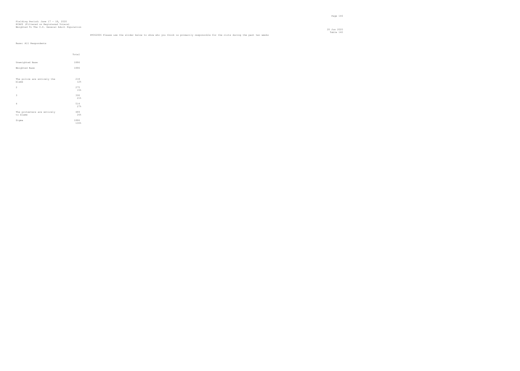|                             | Total |  |
|-----------------------------|-------|--|
| Unweighted Base             | 1886  |  |
|                             |       |  |
| Weighted Base               | 1886  |  |
|                             |       |  |
|                             |       |  |
| The police are entirely the | 218   |  |
| blame                       | 12%   |  |
| $\overline{c}$              | 275   |  |
|                             | 15%   |  |
| 3                           | 390   |  |
|                             | 21%   |  |
| $\overline{4}$              | 514   |  |
|                             | 27%   |  |
| The protesters are entirely | 489   |  |
| to blame                    | 26%   |  |
|                             |       |  |
| Sigma                       | 1886  |  |
|                             | 100%  |  |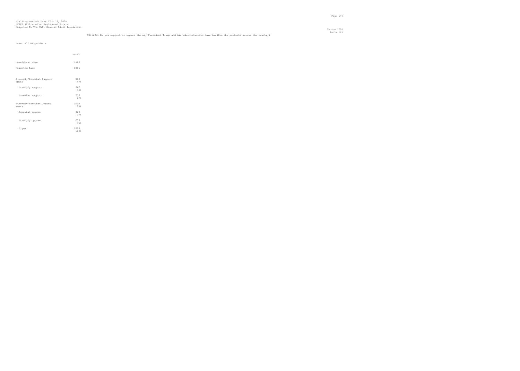20 Jun 2020

|                                    | Total        |
|------------------------------------|--------------|
| Unweighted Base                    | 1886         |
| Weighted Base                      | 1886         |
|                                    |              |
| Strongly/Somewhat Support<br>(Net) | 883<br>47%   |
| Strongly support                   | 367<br>19%   |
| Somewhat support                   | 516<br>27%   |
| Strongly/Somewhat Oppose<br>(Net)  | 1003<br>53%  |
| Somewhat oppose                    | 328<br>17%   |
| Strongly oppose                    | 676<br>36%   |
| Sigma                              | 1886<br>100% |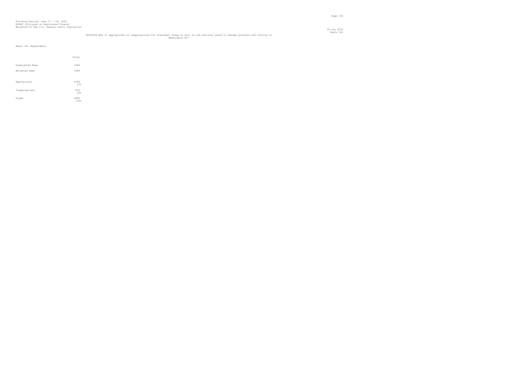# Table 142 TA062004 Was it appropriate or inappropriate for President Trump to call in the national guard to manage protests and rioting in Washington DC?

|                 | Total        |
|-----------------|--------------|
| Unweighted Base | 1886         |
| Weighted Base   | 1886         |
|                 |              |
| Appropriate     | 1084<br>57%  |
| Inappropriate   | 802<br>43%   |
| Sigma           | 1886<br>100% |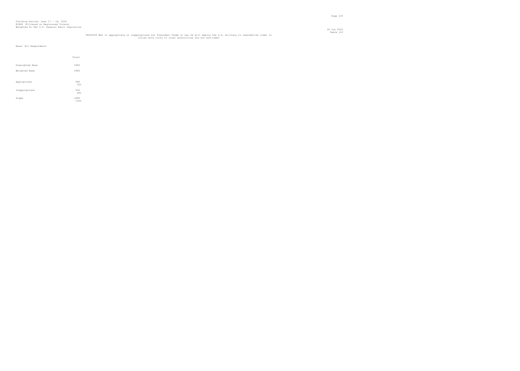# TA062005 Was it appropriate or inappropriate for President Trump to say he will deploy the U.S. military to reestablish order in Table 143<br>cities with riots if local authorities did not end them?

20 Jun 2020

|                 | Total        |  |
|-----------------|--------------|--|
| Unweighted Base | 1886         |  |
| Weighted Base   | 1886         |  |
|                 |              |  |
| Appropriate     | 980<br>52%   |  |
| Inappropriate   | 906<br>48%   |  |
| Sigma           | 1886<br>100% |  |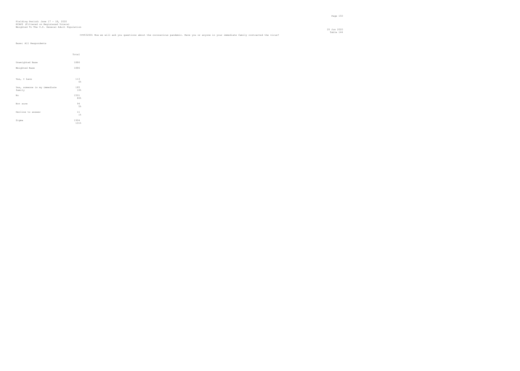### Table 144 COV032001 Now we will ask you questions about the coronavirus pandemic. Have you or anyone in your immediate family contracted the virus?

|                                        | Total        |
|----------------------------------------|--------------|
| Unweighted Base                        | 1886         |
| Weighted Base                          | 1886         |
| Yes, I have                            | 113<br>6%    |
| Yes, someone in my immediate<br>family | 185<br>10%   |
| $_{\mathrm{No}}$                       | 1501<br>80%  |
| Not sure                               | 94<br>5%     |
| Decline to answer                      | 11<br>1%     |
| Sigma                                  | 1904<br>101% |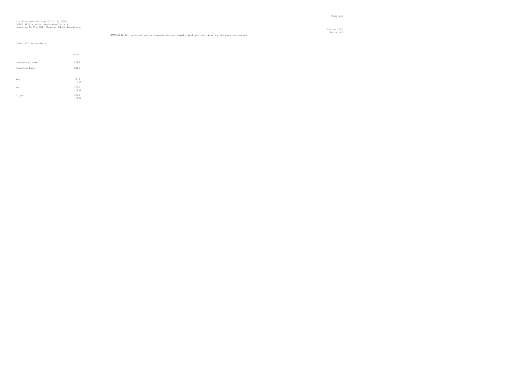# Fielding Period: June 17 - 18, 2020 HCAPS (Filtered on Registered Voters) Weighted To The U.S. General Adult Population

20 Jun 2020

### Table 145 COV032002 Do you think you or someone in your family will get the virus in the next few weeks?

|                 | Total        |
|-----------------|--------------|
| Unweighted Base | 1886         |
| Weighted Base   | 1886         |
|                 |              |
| Yes             | 278<br>15%   |
| No              | 1608<br>85%  |
| Sigma           | 1886<br>100% |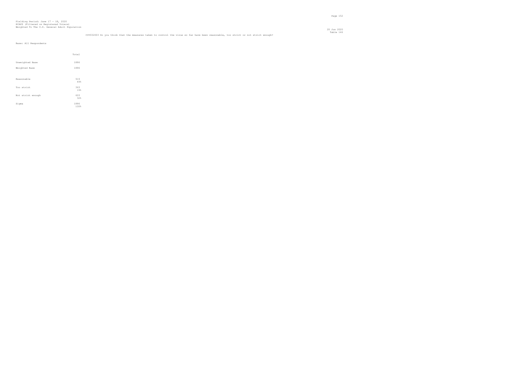### Table 146 COV032003 Do you think that the measures taken to control the virus so far have been reasonable, too strict or not strict enough?

|                   | Total        |
|-------------------|--------------|
| Unweighted Base   | 1886         |
| Weighted Base     | 1886         |
|                   |              |
| Reasonable        | 919<br>49%   |
| Too strict        | 363<br>19%   |
| Not strict enough | 603<br>32%   |
| Sigma             | 1886<br>100% |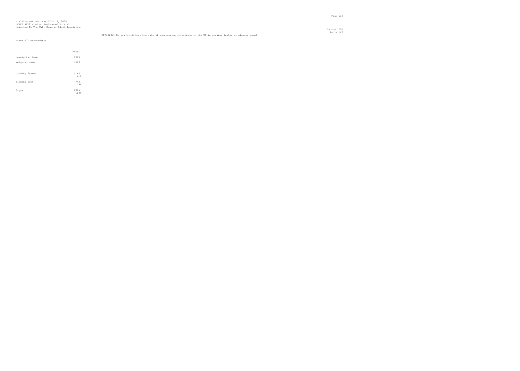|                 | Total        |
|-----------------|--------------|
| Unweighted Base | 1886         |
| Weighted Base   | 1886         |
|                 |              |
| Growing faster  | 1144<br>61%  |
| Slowing Down    | 742<br>39%   |
| Sigma           | 1886<br>100% |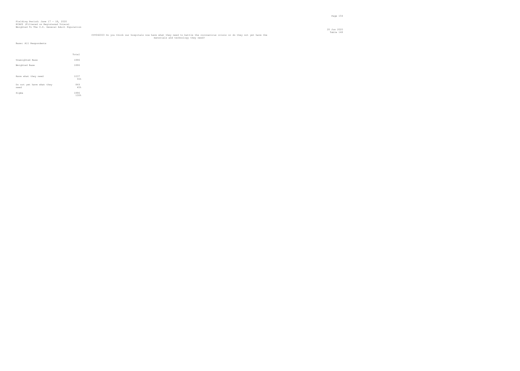# Table 148 COV042003 Do you think our hospitals now have what they need to battle the coronavirus crisis or do they not yet have the materials and technology they need?

|                                   | Total        |
|-----------------------------------|--------------|
| Unweighted Base                   | 1886         |
| Weighted Base                     | 1886         |
|                                   |              |
| Have what they need               | 1037<br>55%  |
| Do not yet have what they<br>need | 849<br>45%   |
| Sigma                             | 1886<br>100% |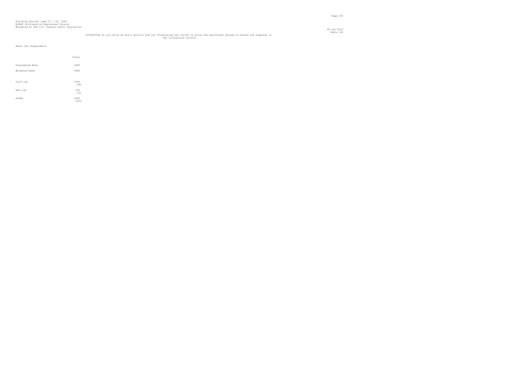# Table 149 COV042004A Do you think we did a good or bad job "flattening the curve" to allow the healthcare system to handle the response to the coronavirus crisis?

|                 | Total        |
|-----------------|--------------|
| Unweighted Base | 1886         |
| Weighted Base   | 1886         |
|                 |              |
| Good job        | 1296<br>69%  |
| Bad job         | 590<br>31%   |
| Sigma           | 1886<br>100% |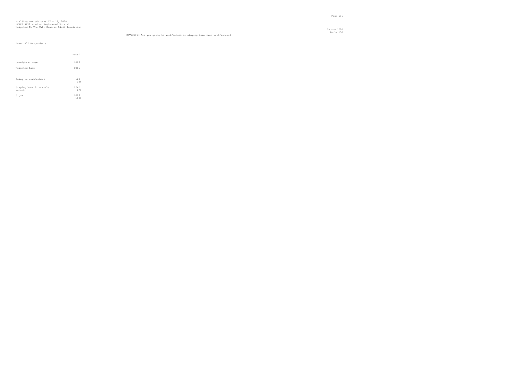## 20 Jun 2020

|                                   | Total        |
|-----------------------------------|--------------|
| Unweighted Base                   | 1886         |
| Weighted Base                     | 1886         |
|                                   |              |
| Going to work/school              | 624<br>33%   |
| Staying home from work/<br>school | 1262<br>67%  |
| Sigma                             | 1886<br>100% |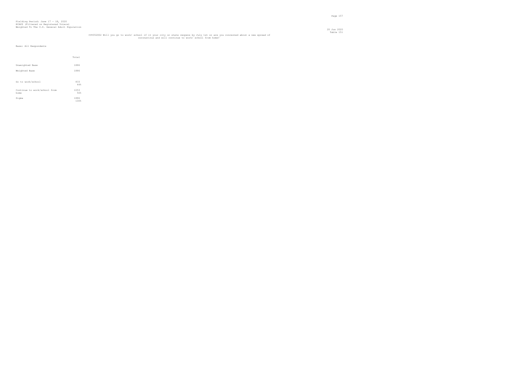20 Jun 2020

|                                      | Total        |
|--------------------------------------|--------------|
| Unweighted Base                      | 1886         |
| Weighted Base                        | 1886         |
| Go to work/school                    | 833<br>44%   |
| Continue to work/school from<br>home | 1053<br>56%  |
| Sigma                                | 1886<br>100% |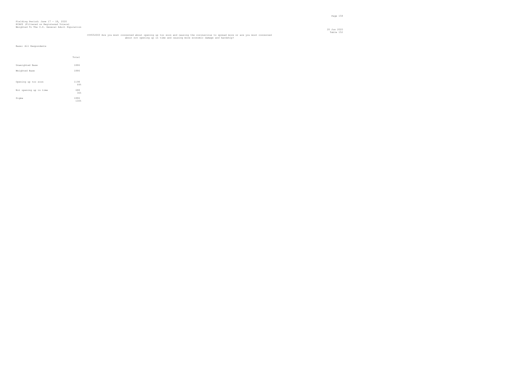|                        | Total        |
|------------------------|--------------|
| Unweighted Base        | 1886         |
| Weighted Base          | 1886         |
|                        |              |
| Opening up too soon    | 1198<br>64%  |
| Not opening up in time | 688<br>36%   |
| Sigma                  | 1886<br>100% |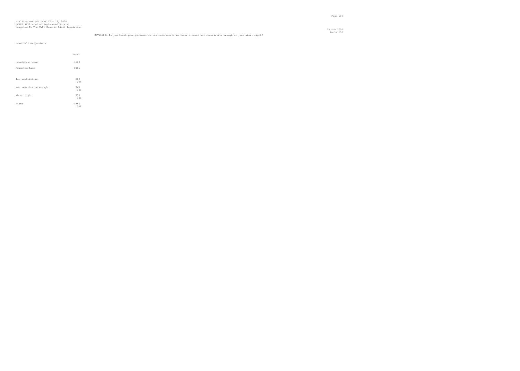|                        | Total        |
|------------------------|--------------|
| Unweighted Base        | 1886         |
| Weighted Base          | 1886         |
|                        |              |
| Too restrictive        | 369<br>20%   |
| Not restrictive enough | 763<br>40%   |
| About right            | 755<br>40%   |
| Sigma                  | 1886<br>100% |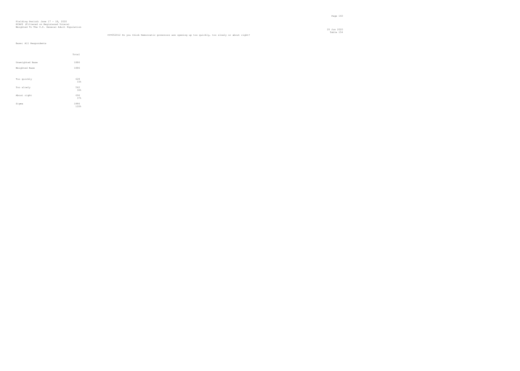|                 | Total        |  |
|-----------------|--------------|--|
| Unweighted Base | 1886         |  |
| Weighted Base   | 1886         |  |
|                 |              |  |
| Too quickly     | 628<br>33%   |  |
| Too slowly      | 562<br>30%   |  |
| About right     | 696<br>37%   |  |
| Sigma           | 1886<br>100% |  |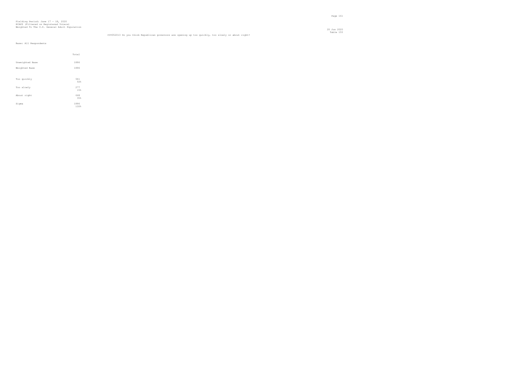Page 161

20 Jun 2020

|                 | Total        |  |
|-----------------|--------------|--|
| Unweighted Base | 1886         |  |
| Weighted Base   | 1886         |  |
|                 |              |  |
| Too quickly     | 941<br>50%   |  |
| Too slowly      | 277<br>15%   |  |
| About right     | 668          |  |
|                 | 35%          |  |
| Sigma           | 1886<br>100% |  |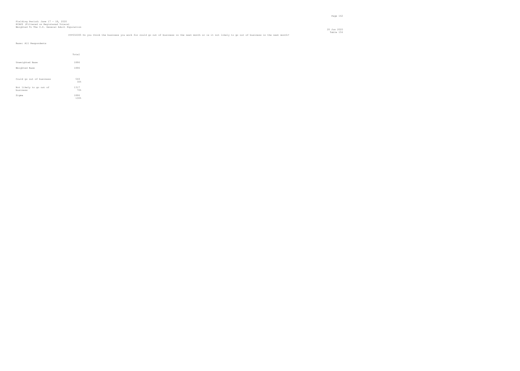# Table 156 COV032005 Do you think the business you work for could go out of business in the next month or is it not likely to go out of business in the next month?

|                                     | Total        |  |
|-------------------------------------|--------------|--|
| Unweighted Base                     | 1886         |  |
| Weighted Base                       | 1886         |  |
|                                     |              |  |
| Could go out of business            | 569<br>30%   |  |
| Not likely to go out of<br>business | 1317<br>70%  |  |
| Sigma                               | 1886<br>100% |  |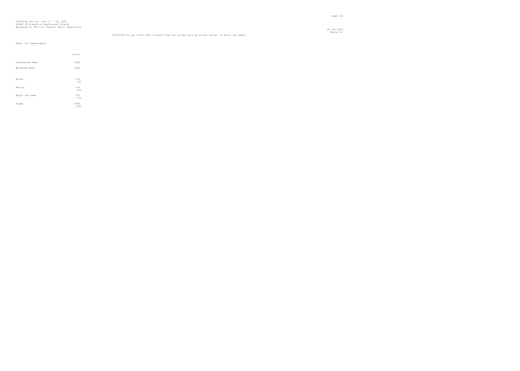en de la familien de la familien de la familien de la familien de la familien de la familien de la familien de<br>Page 163

|                 | Total        |
|-----------------|--------------|
| Unweighted Base | 1886         |
| Weighted Base   | 1886         |
| Worse           | 616<br>33%   |
| Better          | 569<br>30%   |
| About the same  | 701<br>37%   |
| Sigma           | 1886<br>100% |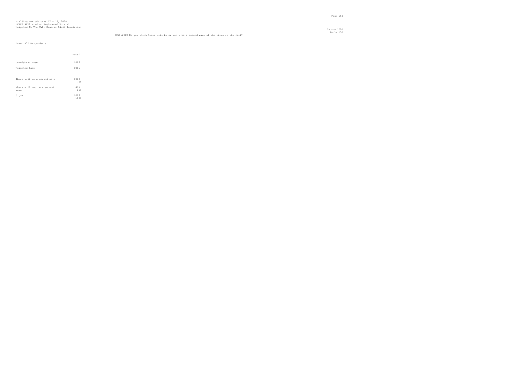Page 164

20 Jun 2020

|                                    | Total        |
|------------------------------------|--------------|
| Unweighted Base                    | 1886         |
| Weighted Base                      | 1886         |
|                                    |              |
| There will be a second wave        | 1388<br>74%  |
| There will not be a second<br>wave | 498<br>26%   |
| Sigma                              | 1886<br>100% |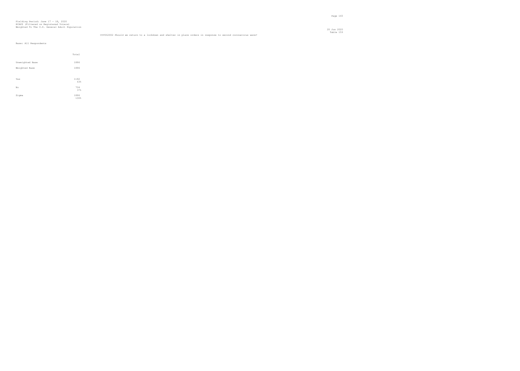en de la forma de la forma de la forma de la forma de la forma de la forma de la forma de la forma de la forma<br>Page 165

|                 | Total |
|-----------------|-------|
|                 |       |
| Unweighted Base | 1886  |
| Weighted Base   | 1886  |
|                 |       |
| Yes             | 1182  |
|                 | 63%   |
| No              | 704   |
|                 | 37%   |
| Sigma           | 1886  |
|                 | 100%  |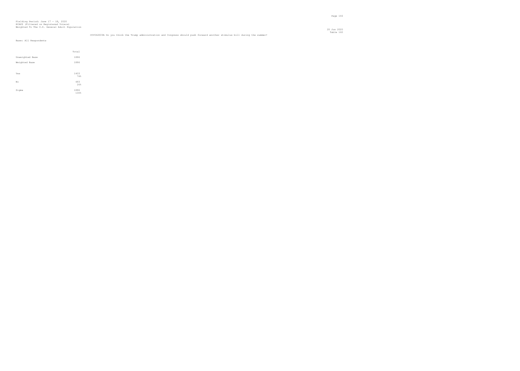| Yes   | 1403<br>74%  |
|-------|--------------|
| No    | 483<br>26%   |
| Sigma | 1886<br>100% |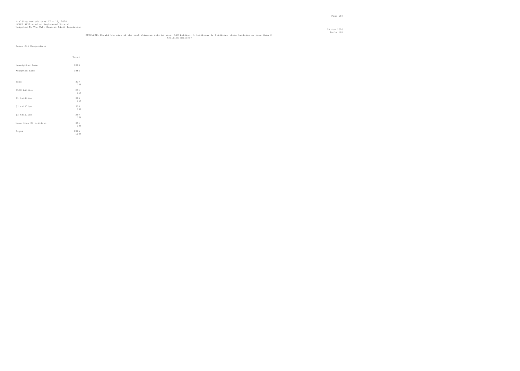Page 167

# Table 161 COV052016 Should the size of the next stimulus bill be zero, 500 billion, 1 trillion, 2, trillion, three trillion or more than 3 trillion dollars?

|                        | Total        |
|------------------------|--------------|
| Unweighted Base        | 1886         |
| Weighted Base          | 1886         |
|                        |              |
| Zero                   | 337<br>18%   |
| \$500 billion          | 291<br>15%   |
| \$1 trillion           | 306<br>16%   |
| \$2 trillion           | 303<br>16%   |
| \$3 trillion           | 297<br>16%   |
| More than \$3 trillion | 351<br>19%   |
| Sigma                  | 1886<br>100% |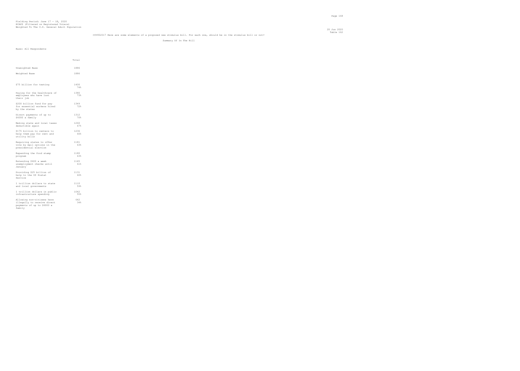# Table 162 COV052017 Here are some elements of a proposed new stimulus bill. For each one, should be in the stimulus bill or not?

Summary Of In The Bill

|                                                                                                   | Total       |
|---------------------------------------------------------------------------------------------------|-------------|
| Unweighted Base                                                                                   | 1886        |
| Weighted Base                                                                                     | 1886        |
|                                                                                                   |             |
| \$75 billion for testing                                                                          | 1400<br>74% |
| Paying for the healthcare of<br>employees who have lost<br>their job                              | 1380<br>73% |
| \$200 billion fund for pay<br>for essential workers hired<br>by the states                        | 1349<br>72% |
| Direct payments of up to<br>\$6000 a family                                                       | 1312<br>70% |
| Making state and local taxes<br>deductible again                                                  | 1260<br>67% |
| \$175 billion to renters to<br>help them pay for rent and<br>utility bills                        | 1236<br>66% |
| Requiring states to offer<br>vote by mail options in the<br>presidential election                 | 1181<br>63% |
| Expanding the food stamp<br>program                                                               | 1180<br>63% |
| Extending \$600 a week<br>unemployment checks until<br>January                                    | 1145<br>61% |
| Providing \$25 billion of<br>help to the US Postal<br>Service                                     | 1131<br>60% |
| 1 trillion dollars to state<br>and local governments                                              | 1110<br>59% |
| 1 trillion dollars in public<br>infrastructure spending                                           | 1042<br>55% |
| Allowing non-citizens here<br>illegally to receive direct<br>payments of up to \$6000 a<br>family | 642<br>34%  |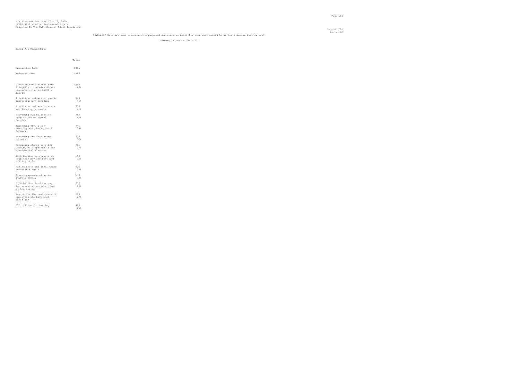#### 20 Jun 2020 Table 163 COV052017 Here are some elements of a proposed new stimulus bill. For each one, should be in the stimulus bill or not?

Summary Of Not In The Bill

|                                                                                                   | Total       |  |
|---------------------------------------------------------------------------------------------------|-------------|--|
| Unweighted Base                                                                                   | 1886        |  |
| Weighted Base                                                                                     | 1886        |  |
| Allowing non-citizens here<br>illegally to receive direct<br>payments of up to \$6000 a<br>family | 1244<br>66% |  |
| 1 trillion dollars in public<br>infrastructure spending                                           | 844<br>45%  |  |
| 1 trillion dollars to state<br>and local governments                                              | 776<br>41%  |  |
| Providing \$25 billion of<br>help to the US Postal<br>Service                                     | 755<br>40%  |  |
| Extending \$600 a week<br>unemployment checks until<br>January                                    | 741<br>39%  |  |
| Expanding the food stamp<br>program                                                               | 706<br>37%  |  |
| Requiring states to offer<br>vote by mail options in the<br>presidential election                 | 705<br>37%  |  |
| \$175 billion to renters to<br>help them pay for rent and<br>utility bills                        | 650<br>34%  |  |
| Making state and local taxes<br>deductible again                                                  | 626<br>33%  |  |
| Direct payments of up to<br>\$6000 a family                                                       | 574<br>30%  |  |
| \$200 billion fund for pay<br>for essential workers hired<br>by the states                        | 537<br>28%  |  |
| Paying for the healthcare of<br>employees who have lost<br>their job                              | 506<br>27%  |  |
| \$75 billion for testing                                                                          | 486<br>26%  |  |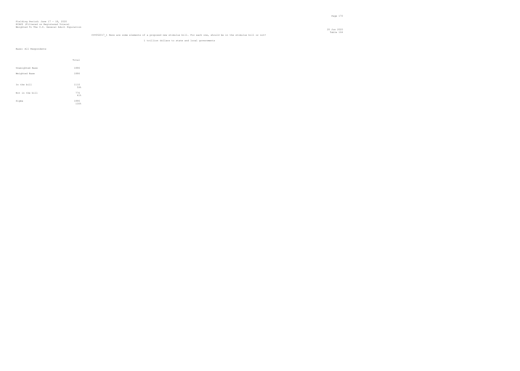# COV052017 1 Here are some elements of a proposed new stimulus bill. For each one, should be in the stimulus bill or not?

### 1 trillion dollars to state and local governments

|                 | Total        |
|-----------------|--------------|
| Unweighted Base | 1886         |
| Weighted Base   | 1886         |
|                 |              |
| In the bill     | 1110<br>59%  |
| Not in the bill | 776<br>41%   |
| Sigma           | 1886<br>100% |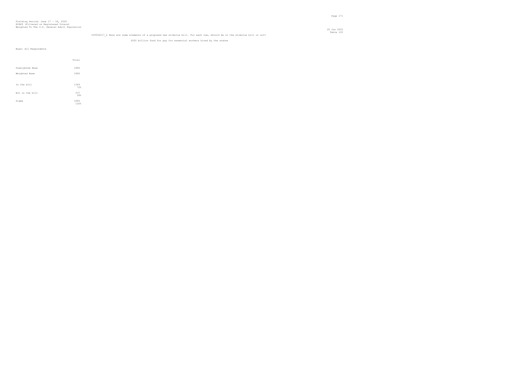# Table 165 COV052017\_2 Here are some elements of a proposed new stimulus bill. For each one, should be in the stimulus bill or not?

# \$200 billion fund for pay for essential workers hired by the states

|                 | Total        |
|-----------------|--------------|
| Unweighted Base | 1886         |
| Weighted Base   | 1886         |
| In the bill     | 1349<br>72%  |
| Not in the bill | 537<br>28%   |
| Sigma           | 1886<br>100% |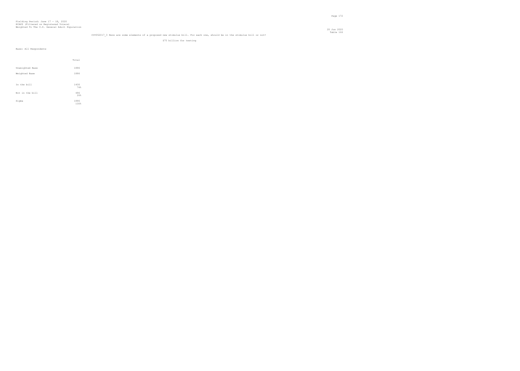# Table 166 COV052017\_3 Here are some elements of a proposed new stimulus bill. For each one, should be in the stimulus bill or not?

\$75 billion for testing

|                 | Total        |
|-----------------|--------------|
| Unweighted Base | 1886         |
| Weighted Base   | 1886         |
|                 |              |
| In the bill     | 1400<br>74%  |
| Not in the bill | 486<br>26%   |
| Sigma           | 1886<br>100% |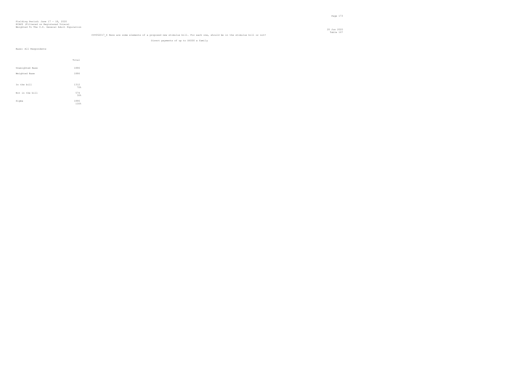# Table 167 COV052017\_4 Here are some elements of a proposed new stimulus bill. For each one, should be in the stimulus bill or not?

# Direct payments of up to \$6000 a family

|                 | Total        |
|-----------------|--------------|
| Unweighted Base | 1886         |
| Weighted Base   | 1886         |
|                 |              |
| In the bill     | 1312<br>70%  |
| Not in the bill | 574<br>30%   |
| Sigma           | 1886<br>100% |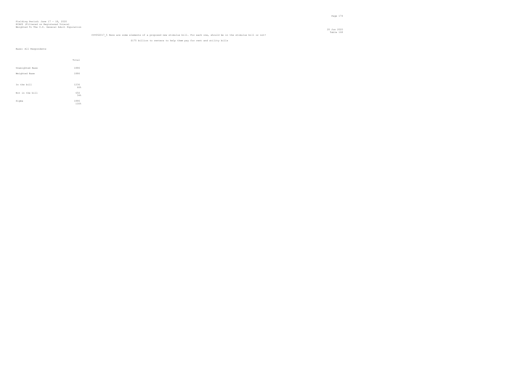# Table 168 COV052017\_5 Here are some elements of a proposed new stimulus bill. For each one, should be in the stimulus bill or not?

\$175 billion to renters to help them pay for rent and utility bills

|                 | Total        |
|-----------------|--------------|
| Unweighted Base | 1886         |
| Weighted Base   | 1886         |
|                 |              |
| In the bill     | 1236<br>66%  |
| Not in the bill | 650<br>34%   |
| Sigma           | 1886<br>100% |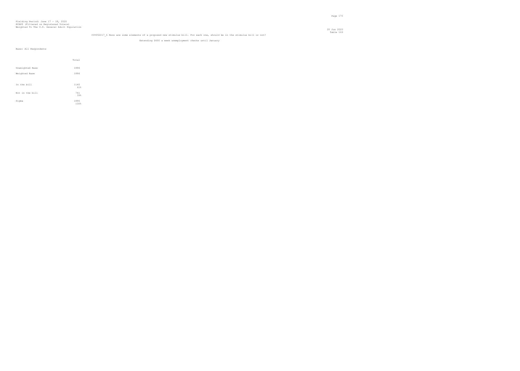# Table 169 COV052017\_6 Here are some elements of a proposed new stimulus bill. For each one, should be in the stimulus bill or not?

### Extending \$600 a week unemployment checks until January

|                 | Total        |
|-----------------|--------------|
| Unweighted Base | 1886         |
| Weighted Base   | 1886         |
|                 |              |
| In the bill     | 1145<br>61%  |
| Not in the bill | 741<br>39%   |
| Sigma           | 1886<br>100% |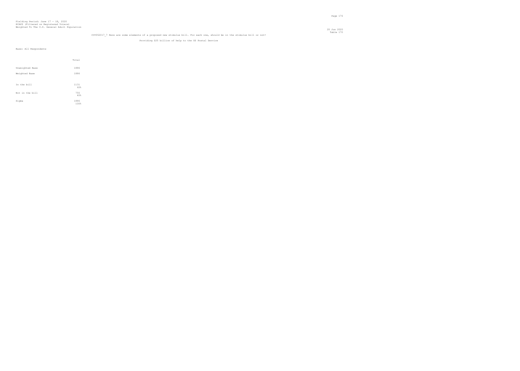# COV052017 7 Here are some elements of a proposed new stimulus bill. For each one, should be in the stimulus bill or not?

### Providing \$25 billion of help to the US Postal Service

|                 | Total        |
|-----------------|--------------|
| Unweighted Base | 1886         |
| Weighted Base   | 1886         |
|                 |              |
| In the bill     | 1131<br>60%  |
| Not in the bill | 755<br>40%   |
| Sigma           | 1886<br>100% |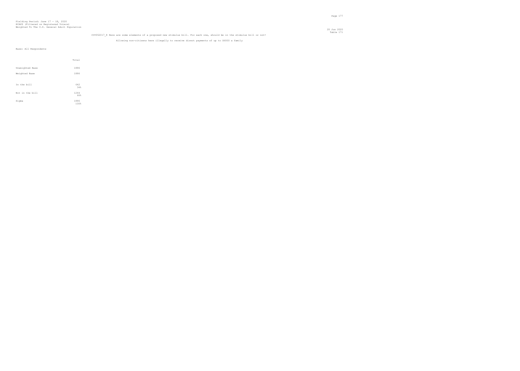# Table 171 COV052017\_8 Here are some elements of a proposed new stimulus bill. For each one, should be in the stimulus bill or not?

### Allowing non-citizens here illegally to receive direct payments of up to \$6000 a family

|                 | Total        |
|-----------------|--------------|
| Unweighted Base | 1886         |
| Weighted Base   | 1886         |
|                 |              |
| In the bill     | 642<br>34%   |
| Not in the bill | 1244<br>66%  |
| Sigma           | 1886<br>100% |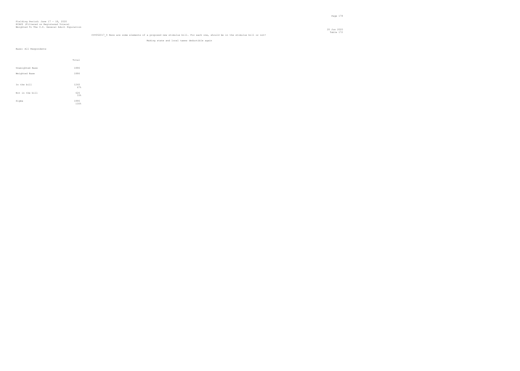# Table 172 COV052017\_9 Here are some elements of a proposed new stimulus bill. For each one, should be in the stimulus bill or not?

### Making state and local taxes deductible again

|                 | Total        |
|-----------------|--------------|
| Unweighted Base | 1886         |
| Weighted Base   | 1886         |
|                 |              |
| In the bill     | 1260<br>67%  |
| Not in the bill | 626<br>33%   |
| Sigma           | 1886<br>100% |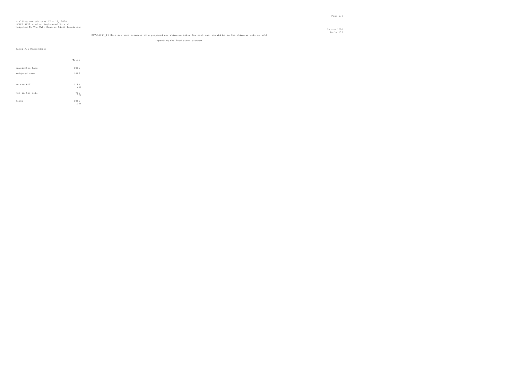# Table 173 COV052017\_10 Here are some elements of a proposed new stimulus bill. For each one, should be in the stimulus bill or not?

# Expanding the food stamp program

|                 | Total        |
|-----------------|--------------|
| Unweighted Base | 1886         |
| Weighted Base   | 1886         |
|                 |              |
| In the bill     | 1180<br>63%  |
| Not in the bill | 706<br>37%   |
| Sigma           | 1886<br>100% |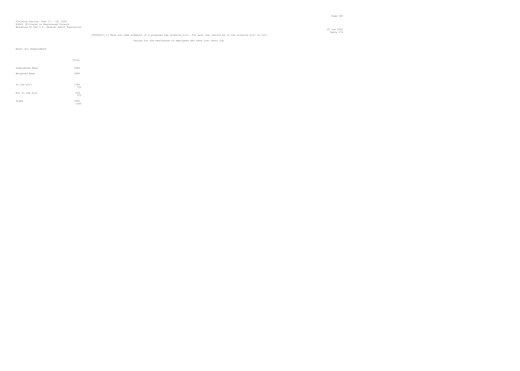# Table 174 COV052017\_11 Here are some elements of a proposed new stimulus bill. For each one, should be in the stimulus bill or not?

# Paying for the healthcare of employees who have lost their job

|                 | Total        |
|-----------------|--------------|
| Unweighted Base | 1886         |
| Weighted Base   | 1886         |
|                 |              |
| In the bill     | 1380<br>73%  |
| Not in the bill | 506<br>27%   |
| Sigma           | 1886<br>100% |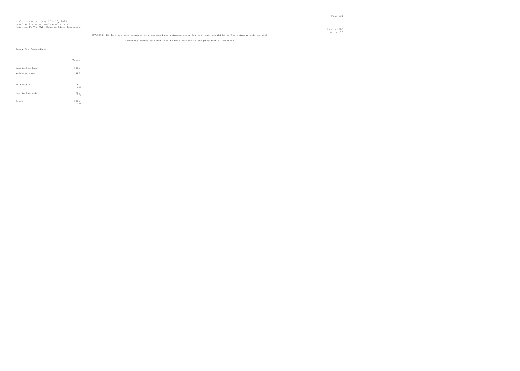# Table 175 COV052017\_12 Here are some elements of a proposed new stimulus bill. For each one, should be in the stimulus bill or not?

# Requiring states to offer vote by mail options in the presidential election

|                 | Total        |
|-----------------|--------------|
| Unweighted Base | 1886         |
| Weighted Base   | 1886         |
|                 |              |
| In the bill     | 1181<br>63%  |
| Not in the bill | 705<br>37%   |
| Sigma           | 1886<br>100% |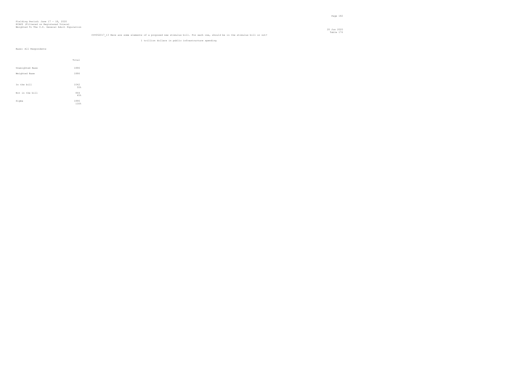# Table 176 COV052017\_13 Here are some elements of a proposed new stimulus bill. For each one, should be in the stimulus bill or not?

### 1 trillion dollars in public infrastructure spending

|                 | Total |
|-----------------|-------|
|                 |       |
| Unweighted Base | 1886  |
| Weighted Base   | 1886  |
|                 |       |
| In the bill     | 1042  |
|                 | 55%   |
| Not in the bill | 844   |
|                 | 45%   |
| Sigma           | 1886  |
|                 | 100%  |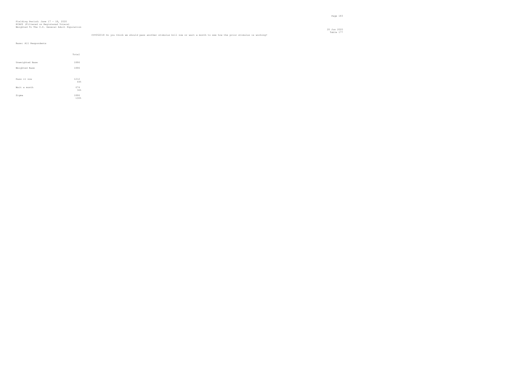|                 | Total        |  |
|-----------------|--------------|--|
| Unweighted Base | 1886         |  |
| Weighted Base   | 1886         |  |
|                 |              |  |
| Pass it now     | 1212<br>64%  |  |
| Wait a month    | 674<br>36%   |  |
| Sigma           | 1886<br>100% |  |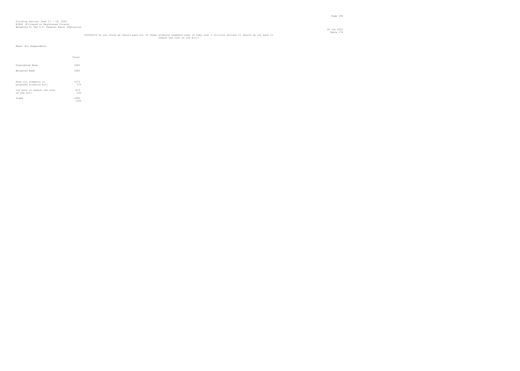|                                                | Total        |
|------------------------------------------------|--------------|
| Unweighted Base                                | 1886         |
| Weighted Base                                  | 1886         |
|                                                |              |
| Pass all elements in<br>proposed stimulus bill | 1073<br>57%  |
| Cut back to reduce the cost<br>of the bill     | 813<br>43%   |
| Sigma                                          | 1886<br>100% |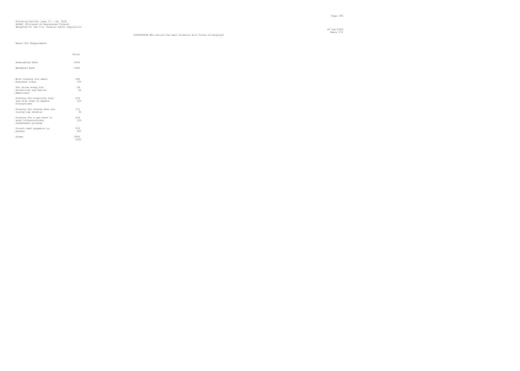Total Unweighted Base 1886 Weighted Base 1886 More funding for small 283 business loans 15% Set aside money for 69 minorities and Native 4% Americans Funding for hospitals that 236 are shut down to handle 13% Coronavirus Funding for States that are 171 losing tax revenue 9% Funding for a get back to 224 work infrastructure 12% investment program Direct cash payments to 902 people 48% Sigma  $1886$ <br> $100%$ 

 20 Jun 2020 Table 179 COV042009B Who should the next stimulus bill focus on helping?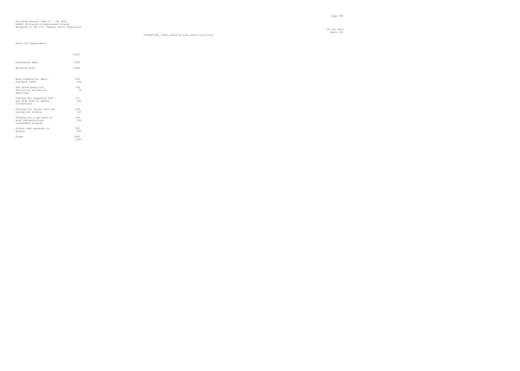20 Jun 2020 20 Jun 2020<br>Table 180

 Total Unweighted Base 1886 Weighted Base 1886 More funding for small 454 business loans 24% Set aside money for 140 minorities and Native 7% Americans Funding for hospitals that 373 are shut down to handle 20% Coronavirus Funding for States that are 202 losing tax revenue 11% Funding for a get back to 284 work infrastructure 15% investment program Direct cash payments to 432 people 23% Sigma 1886<br>100%

# COV042009B\_1 What would be your second priority?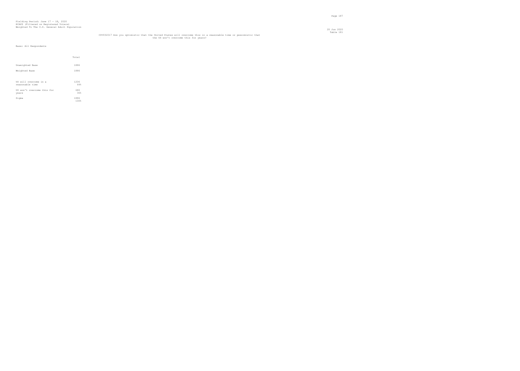Page 187

20 Jun 2020

|                                          | Total        |
|------------------------------------------|--------------|
| Unweighted Base                          | 1886         |
| Weighted Base                            | 1886         |
|                                          |              |
| US will overcome in a<br>reasonable time | 1206<br>64%  |
| US won't overcome this for<br>years      | 680<br>36%   |
| Sigma                                    | 1886<br>100% |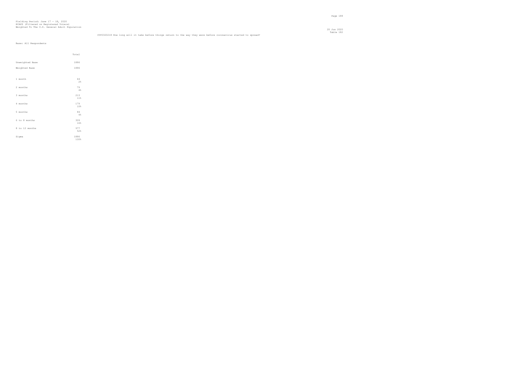|  |  | Base: All Respondents |
|--|--|-----------------------|
|--|--|-----------------------|

|                 | Total  |
|-----------------|--------|
|                 |        |
| Unweighted Base | 1886   |
|                 |        |
| Weighted Base   | 1886   |
|                 |        |
|                 |        |
| 1 month         | $4\,4$ |
|                 | 2%     |
| 2 months        | 79     |
|                 | 4%     |
| 3 months        | 213    |
|                 | 11%    |
|                 |        |
| 4 months        | 179    |
|                 | 10%    |
| 5 months        | 84     |
|                 | 4%     |
|                 |        |
| 6 to 8 months   | 309    |
|                 | 16%    |
| 8 to 12 months  | 977    |
|                 | 52%    |
|                 |        |
| Sigma           | 1886   |
|                 | 100%   |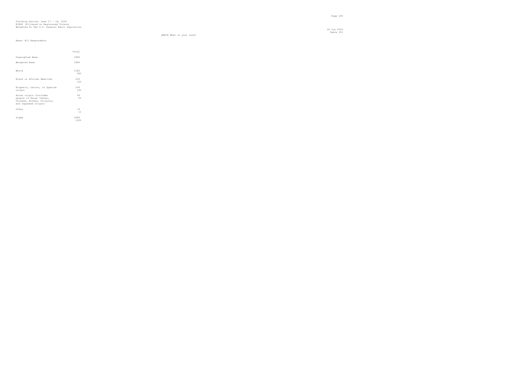20 Jun 2020 Table 183

QRACE What is your race?

|                                                                                                         | Total        |
|---------------------------------------------------------------------------------------------------------|--------------|
| Unweighted Base                                                                                         | 1886         |
| Weighted Base                                                                                           | 1886         |
| White                                                                                                   | 1282<br>68%  |
| Black or African American                                                                               | 226<br>12%   |
| Hispanic, Latino, or Spanish<br>origin                                                                  | 264<br>14%   |
| Asian origin (includes<br>people of Asian Indian,<br>Chinese, Korean, Filipino,<br>and Japanese origin) | 94<br>5%     |
| Other                                                                                                   | 19<br>1%     |
| Sigma                                                                                                   | 1886<br>100% |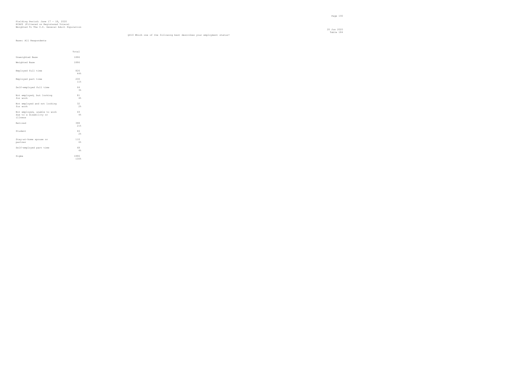|                                                                   | Total        |
|-------------------------------------------------------------------|--------------|
| Unweighted Base                                                   | 1886         |
| Weighted Base                                                     | 1886         |
| Employed full time                                                | 826<br>44%   |
| Employed part time                                                | 200<br>11%   |
| Self-employed full time                                           | 64<br>3%     |
| Not employed, but looking<br>for work                             | 81<br>4%     |
| Not employed and not looking<br>for work                          | 32<br>2      |
| Not employed, unable to work<br>due to a disability or<br>illness | 69<br>4%     |
| Retired                                                           | 388<br>21%   |
| Student                                                           | 46<br>2%     |
| Stay-at-home spouse or<br>partner                                 | 110<br>6%    |
| Self-employed part time                                           | 68<br>4%     |
| Sigma                                                             | 1886<br>100% |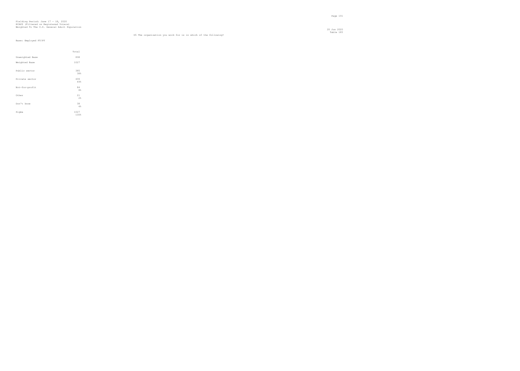20 Jun 2020 Table 185 D5 The organization you work for is in which of the following?

# Base: Employed FT/PT

|                 | Total        |  |
|-----------------|--------------|--|
| Unweighted Base | 898          |  |
| Weighted Base   | 1027         |  |
| Public sector   | 385<br>38%   |  |
| Private sector  | 499<br>49%   |  |
| Not-for-profit  | 84<br>8%     |  |
| Other           | 21<br>2%     |  |
| Don't know      | 38<br>$4\%$  |  |
| Sigma           | 1027<br>100% |  |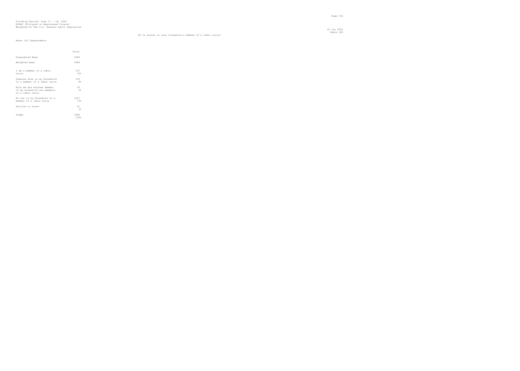20 Jun 2020 Table 186 D6 Is anyone in your household a member of a labor union?

|                                                                               | Total                  |
|-------------------------------------------------------------------------------|------------------------|
| Unweighted Base                                                               | 1886                   |
| Weighted Base                                                                 | 1886                   |
| I am a member of a labor<br>union                                             | 197<br>10 <sup>8</sup> |
| Someone else in my household<br>is a member of a labor union                  | 143<br>8%              |
| Both me and another member<br>of my household are members<br>of a labor union | 59<br>3%               |
| No one in my household is a<br>member of a labor union                        | 1427<br>76%            |
| Decline to state                                                              | 61<br>3%               |
| Sigma                                                                         | 1886<br>100%           |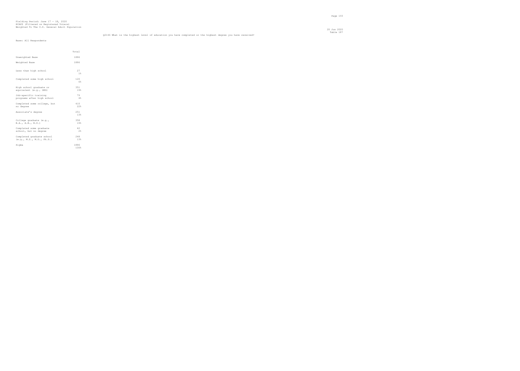# Fielding Period: June 17 - 18, 2020 HCAPS (Filtered on Registered Voters) Weighted To The U.S. General Adult Population

# Table 187 Q2146 What is the highest level of education you have completed or the highest degree you have received?

| Base: All Respondents                                  |             |
|--------------------------------------------------------|-------------|
|                                                        | Total       |
| Unweighted Base                                        | 1886        |
| Weighted Base                                          | 1886        |
| Less than high school                                  | 27<br>$1\%$ |
| Completed some high school                             | 120<br>6%   |
| High school graduate or<br>equivalent (e.g., GED)      | 351<br>19%  |
| Job-specific training<br>programs after high school    | 79<br>4%    |
| Completed some college, but<br>no degree               | 410<br>22%  |
| Associate's degree                                     | 251<br>13%  |
| College graduate (e.g.,<br>B.A., A.B., B.S.)           | 358<br>19%  |
| Completed some graduate<br>school, but no degree       | 42<br>2%    |
| Completed graduate school<br>(e.g., M.S., M.D., Ph.D.) | 248<br>1.3% |

1886<br>100%

Sigma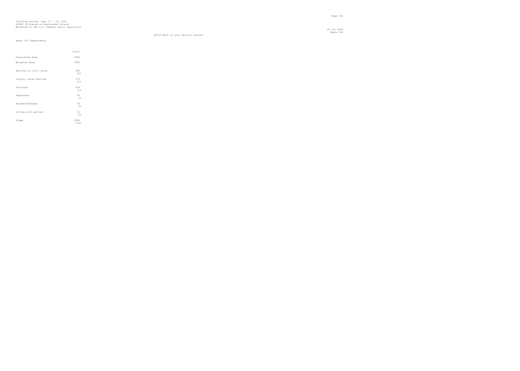20 Jun 2020 Table 188

Q2135 What is your marital status?

|                        | Total        |
|------------------------|--------------|
| Unweighted Base        | 1886         |
| Weighted Base          | 1886         |
| Married or civil union | 940<br>50%   |
| Single, never married  | 516<br>27%   |
| Divorced               | 204<br>11%   |
| Separated              | 42<br>2%     |
| Widowed/Widower        | 93<br>5%     |
| Living with partner    | 91<br>5%     |
| Sigma                  | 1886<br>100% |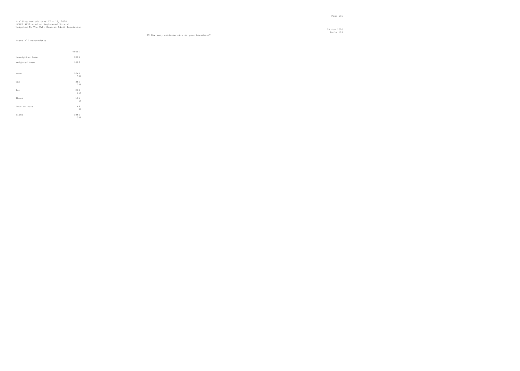#### D9 How many children live in your household?

|                 | Total        |
|-----------------|--------------|
| Unweighted Base | 1886         |
| Weighted Base   | 1886         |
|                 |              |
| None            | 1064<br>56%  |
| One             | 385<br>20%   |
| Two             | 283<br>15%   |
| Three           | 106<br>$6\%$ |
| Four or more    | 49<br>3%     |
| Sigma           | 1886<br>100% |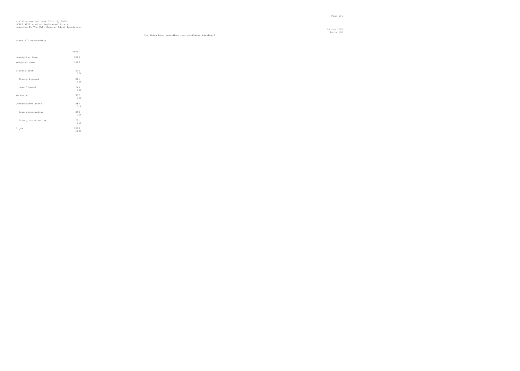#### M12 Which best describes your political ideology?

|                     | Total        |  |
|---------------------|--------------|--|
| Unweighted Base     | 1886         |  |
| Weighted Base       | 1886         |  |
| Liberal (Net)       | 504<br>27%   |  |
| Strong liberal      | 261<br>14%   |  |
| Lean liberal        | 243<br>13%   |  |
| Moderate            | 797<br>42%   |  |
| Conservative (Net)  | 585<br>31%   |  |
| Lean conservative   | 294<br>16%   |  |
| Strong conservative | 291<br>15%   |  |
| Sigma               | 1886<br>100% |  |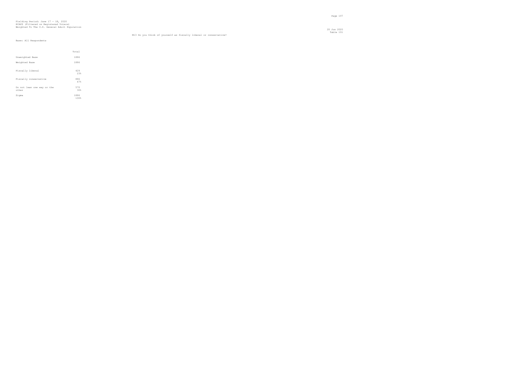20 Jun 2020 Table 191 M13 Do you think of yourself as fiscally liberal or conservative?

|                                     | Total        |  |
|-------------------------------------|--------------|--|
| Unweighted Base                     | 1886         |  |
| Weighted Base                       | 1886         |  |
| Fiscally liberal                    | 429<br>23%   |  |
| Fiscally conservative               | 886<br>47%   |  |
| Do not lean one way or the<br>other | 570<br>30%   |  |
| Sigma                               | 1886<br>100% |  |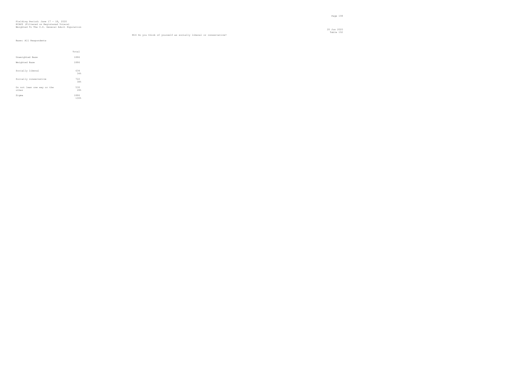M14 Do you think of yourself as socially liberal or conservative?

|                                     | Total        |  |
|-------------------------------------|--------------|--|
| Unweighted Base                     | 1886         |  |
| Weighted Base                       | 1886         |  |
| Socially liberal                    | 634<br>34%   |  |
| Socially conservative               | 722<br>38%   |  |
| Do not lean one way or the<br>other | 530<br>28%   |  |
| Sigma                               | 1886<br>100% |  |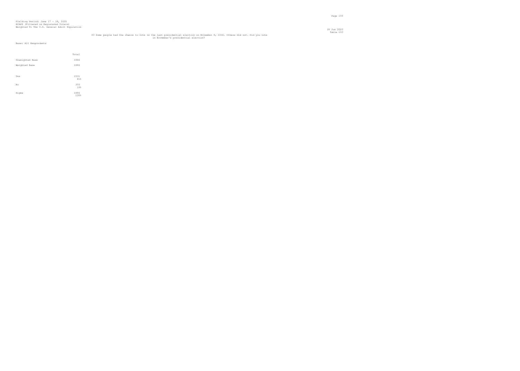Page 199

|                  | Total        |
|------------------|--------------|
| Unweighted Base  | 1886         |
| Weighted Base    | 1886         |
|                  |              |
| Yes              | 1531<br>81%  |
| $_{\mathrm{No}}$ | 355<br>19%   |
| Sigma            | 1886<br>100% |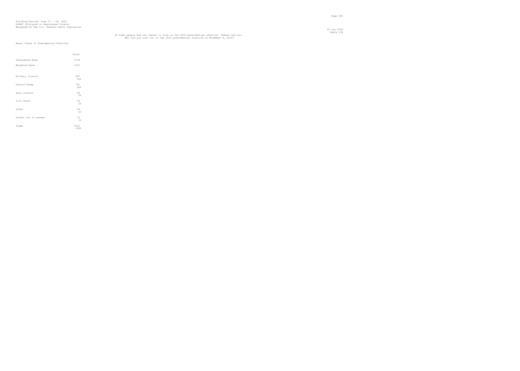# Table 194 S4 Some people had the chance to vote in the 2016 presidential election. Others did not. Who did you vote for in the 2016 presidential election on November 8, 2016?

#### Base: Voted In Presidential Election

|                      | Total        |
|----------------------|--------------|
| Unweighted Base      | 1534         |
| Weighted Base        | 1531         |
| Hillary Clinton      | 667<br>44%   |
| Donald Trump         | 701<br>46%   |
| Gary Johnson         | 69<br>5%     |
| Jill Stein           | 24<br>2%     |
| Other                | 54<br>4%     |
| Prefer not to answer | 16<br>1%     |
| Sigma                | 1531<br>100% |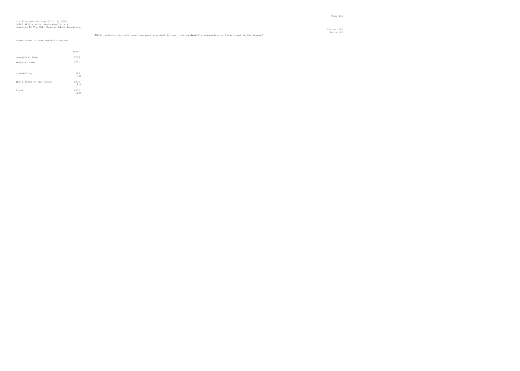#### Base: Voted In Presidential Election

|                           | Total        |
|---------------------------|--------------|
| Unweighted Base           | 1534         |
| Weighted Base             | 1531         |
|                           |              |
| Likeability               | 296<br>19%   |
| Their stand on the issues | 1236<br>81%  |
| Sigma                     | 1531<br>100% |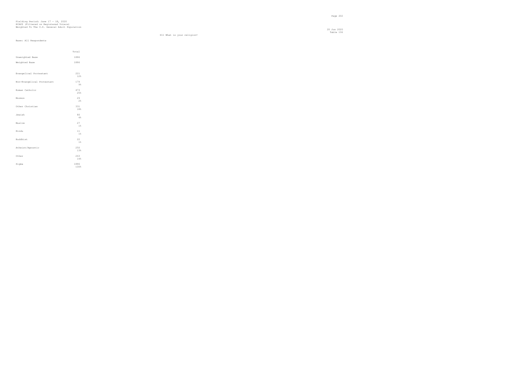20 Jun 2020 Table 196

D11 What is your religion?

|                            | Total        |  |
|----------------------------|--------------|--|
| Unweighted Base            | 1886         |  |
| Weighted Base              | 1886         |  |
|                            |              |  |
| Evangelical Protestant     | 221<br>12%   |  |
| Non-Evangelical Protestant | 179          |  |
|                            | 9%           |  |
| Roman Catholic             | 473<br>25%   |  |
| Mormon                     | 29           |  |
|                            | 2%           |  |
| Other Christian            | 331          |  |
| Jewish                     | 18%<br>80    |  |
|                            | 4%           |  |
| Muslim                     | 27           |  |
|                            | 1%           |  |
| Hindu                      | 11<br>1%     |  |
| Buddhist                   | 22           |  |
|                            | $1\%$        |  |
| Atheist/Agnostic           | 250<br>13%   |  |
| Other                      | 263          |  |
|                            | 14%          |  |
| Sigma                      | 1886<br>100% |  |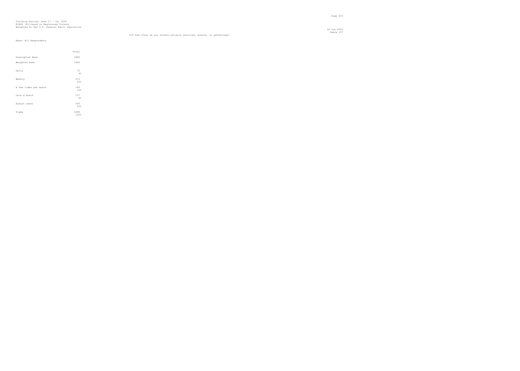20 Jun 2020 Table 197 D12 How often do you attend religion services, events, or gatherings?

|                       | Total        |
|-----------------------|--------------|
| Unweighted Base       | 1886         |
| Weighted Base         | 1886         |
| Daily                 | 75           |
|                       | 4%           |
| Weekly                | 472<br>25%   |
| A few times per month | 189<br>10%   |
| Once a month          | 157<br>8%    |
| Almost never          | 993<br>53%   |
| Sigma                 | 1886<br>100% |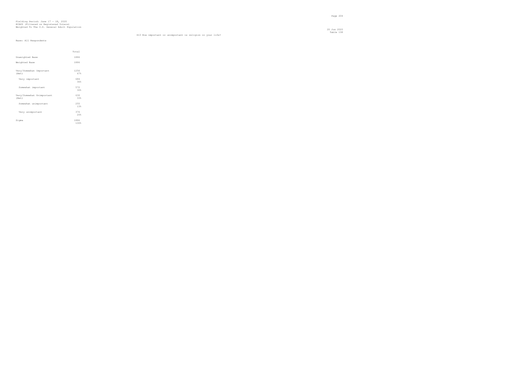20 Jun 2020 Table 198 D13 How important or unimportant is religion in your life?

|                                    | Total        |
|------------------------------------|--------------|
| Unweighted Base                    | 1886         |
| Weighted Base                      | 1886         |
| Very/Somewhat Important<br>(Net)   | 1256<br>67%  |
| Very important                     | 684<br>36%   |
| Somewhat important                 | 572<br>30%   |
| Very/Somewhat Unimportant<br>(Net) | 630<br>33%   |
| Somewhat unimportant               | 255<br>13%   |
| Very unimportant                   | 376<br>20%   |
| Sigma                              | 1886<br>100% |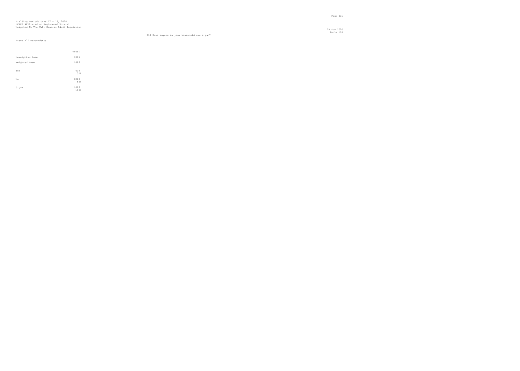#### Table 199 D14 Does anyone in your household own a gun?

|                  | Total        |  |
|------------------|--------------|--|
| Unweighted Base  | 1886         |  |
| Weighted Base    | 1886         |  |
| Yes              | 603<br>32%   |  |
| $_{\mathrm{No}}$ | 1283<br>68%  |  |
| Sigma            | 1886<br>100% |  |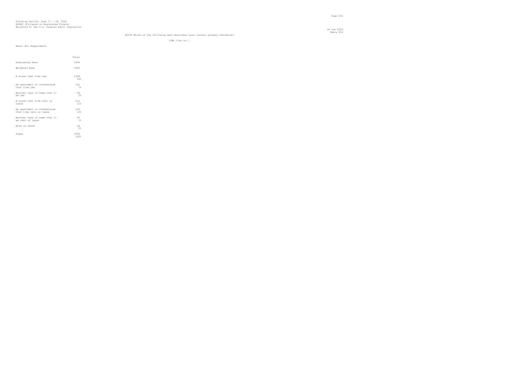#### Table 200 Q2145 Which of the following best describes your current primary residence?

I/We live in...

|  |  | Base: All Respondents |
|--|--|-----------------------|
|--|--|-----------------------|

|                                                        | Total        |
|--------------------------------------------------------|--------------|
| Unweighted Base                                        | 1886         |
| Weighted Base                                          | 1886         |
| A house that I/we own                                  | 1208<br>64%  |
| An apartment or condominium<br>that I/we own           | 141<br>7%    |
| Another type of home that I/<br>we own                 | 50<br>3%     |
| A house that I/we rent or<br>lease                     | 212<br>11%   |
| An apartment or condominium<br>that I/we rent or lease | 220<br>12%   |
| Another type of home that I/<br>we rent or lease       | 25<br>1%     |
| None of these                                          | 32<br>2%     |
| Sigma                                                  | 1886<br>100% |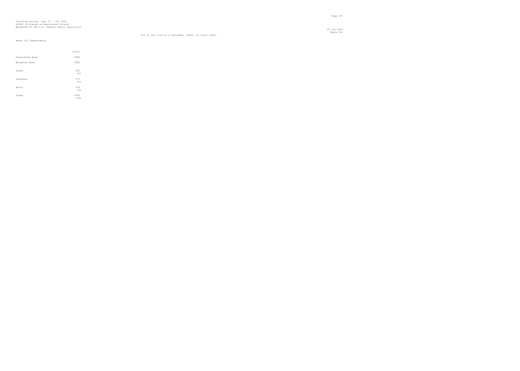#### D16 Do you live in a suburban, urban, or rural area?

|                 | Total        |
|-----------------|--------------|
| Unweighted Base | 1886         |
| Weighted Base   | 1886         |
| Urban           | 553<br>29%   |
| Suburban        | 973<br>52%   |
| Rural           | 360<br>19%   |
| Sigma           | 1886<br>100% |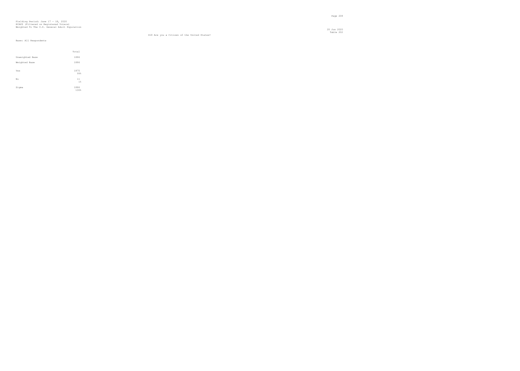|                 | Total        |
|-----------------|--------------|
| Unweighted Base | 1886         |
| Weighted Base   | 1886         |
| Yes             | 1875<br>99%  |
| No              | 11<br>1%     |
| Sigma           | 1886<br>100% |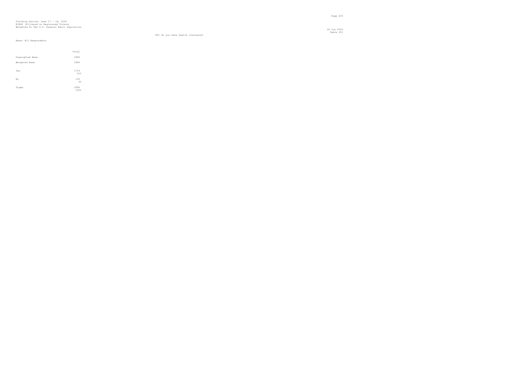Page 209

 20 Jun 2020 20 Jun 2020<br>Table 203

| Base: All Respondents |
|-----------------------|
|                       |

|                 | Total |
|-----------------|-------|
| Unweighted Base | 1886  |
| Weighted Base   | 1886  |
|                 |       |
| Yes             | 1724  |
|                 | 91%   |
| No              | 162   |
|                 | 9%    |
| Sigma           | 1886  |
|                 | 100%  |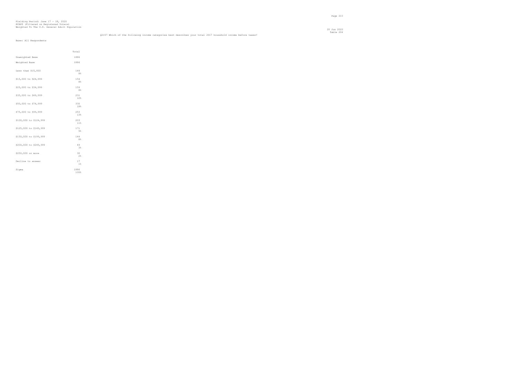|                        | Total        |
|------------------------|--------------|
| Unweighted Base        | 1886         |
| Weighted Base          | 1886         |
| Less than \$15,000     | 144<br>8%    |
| \$15,000 to \$24,999   | 154<br>8%    |
| \$25,000 to \$34,999   | 159<br>8%    |
| \$35,000 to \$49,999   | 231<br>12%   |
| \$50,000 to \$74,999   | 330<br>18%   |
| \$75,000 to \$99,999   | 253<br>13%   |
| \$100,000 to \$124,999 | 203<br>11%   |
| \$125,000 to \$149,999 | 171<br>9%    |
| \$150,000 to \$199,999 | 144<br>8%    |
| \$200,000 to \$249,999 | 49<br>3%     |
| \$250,000 or more      | 30<br>2%     |
| Decline to answer      | 17<br>$1\%$  |
| Sigma                  | 1886<br>100% |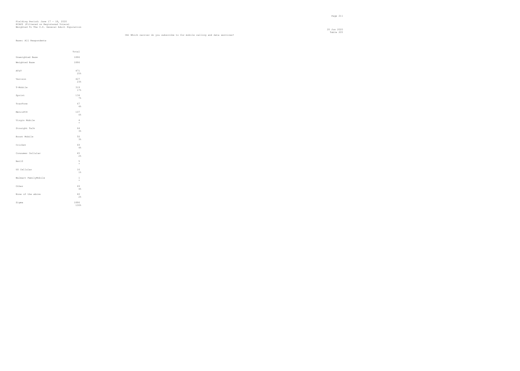|                      | Total                  |
|----------------------|------------------------|
| Unweighted Base      | 1886                   |
| Weighted Base        | 1886                   |
| AT&T                 | 471<br>25%             |
| Verizon              | 427<br>23%             |
| T-Mobile             | 319<br>17%             |
| Sprint               | 134<br>7%              |
| TracFone             | 67<br>4%               |
| MetroPCS             | 107<br>6%              |
| Virgin Mobile        | 4<br>$\star$           |
| Straight Talk        | 64<br>3%               |
| Boost Mobile         | 50<br>3%               |
| Cricket              | 69<br>4%               |
| Consumer Cellular    | 45<br>2%               |
| Net10                | 5<br>$\star$           |
| US Cellular          | 16<br>1%               |
| Walmart FamilyMobile | $\mathbf 1$<br>$\star$ |
| Other                | 69<br>4%               |
| None of the above    | 40<br>2%               |
| Sigma                | 1886<br>100%           |